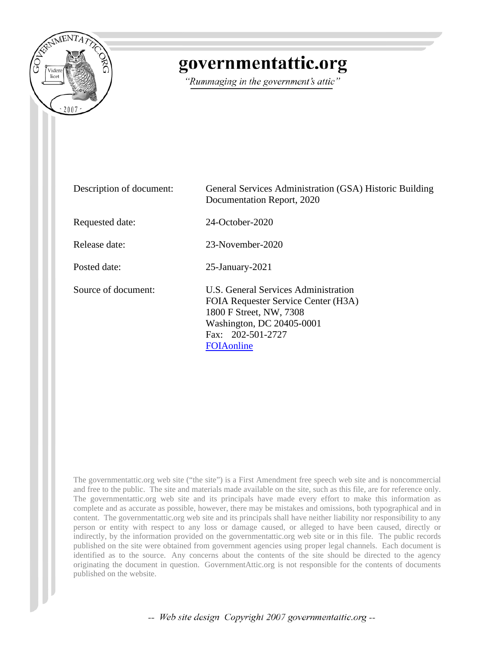

## governmentattic.org

"Rummaging in the government's attic"

| Description of document: | General Services Administration (GSA) Historic Building<br>Documentation Report, 2020                                                                                          |
|--------------------------|--------------------------------------------------------------------------------------------------------------------------------------------------------------------------------|
| Requested date:          | 24-October-2020                                                                                                                                                                |
| Release date:            | 23-November-2020                                                                                                                                                               |
| Posted date:             | $25$ -January- $2021$                                                                                                                                                          |
| Source of document:      | U.S. General Services Administration<br>FOIA Requester Service Center (H3A)<br>1800 F Street, NW, 7308<br>Washington, DC 20405-0001<br>Fax: 202-501-2727<br><b>FOIA</b> online |

The governmentattic.org web site ("the site") is a First Amendment free speech web site and is noncommercial and free to the public. The site and materials made available on the site, such as this file, are for reference only. The governmentattic.org web site and its principals have made every effort to make this information as complete and as accurate as possible, however, there may be mistakes and omissions, both typographical and in content. The governmentattic.org web site and its principals shall have neither liability nor responsibility to any person or entity with respect to any loss or damage caused, or alleged to have been caused, directly or indirectly, by the information provided on the governmentattic.org web site or in this file. The public records published on the site were obtained from government agencies using proper legal channels. Each document is identified as to the source. Any concerns about the contents of the site should be directed to the agency originating the document in question. GovernmentAttic.org is not responsible for the contents of documents published on the website.

-- Web site design Copyright 2007 governmentattic.org --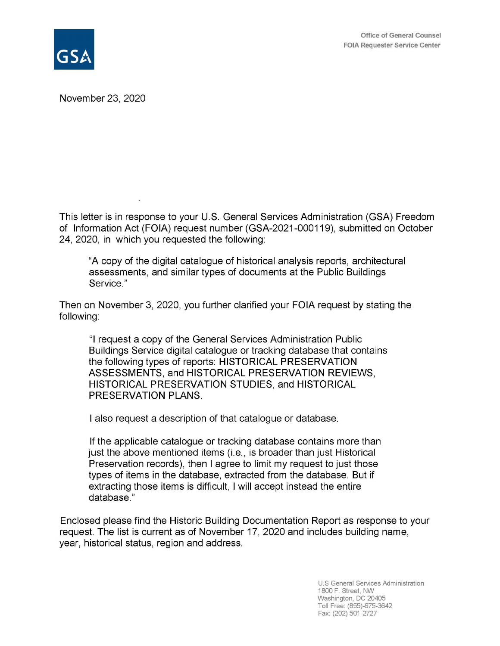

November 23, 2020

This letter is in response to your U.S. General Services Administration (GSA) Freedom of Information Act (FOIA) request number (GSA-2021-000119), submitted on October 24, 2020, in which you requested the following:

"A copy of the digital catalogue of historical analysis reports, architectural assessments, and similar types of documents at the Public Buildings Service."

Then on November 3, 2020, you further clarified your FOIA request by stating the following:

"I request a copy of the General Services Administration Public Buildings Service digital catalogue or tracking database that contains the following types of reports: HISTORICAL PRESERVATION ASSESSMENTS, and HISTORICAL PRESERVATION REVIEWS, HISTORICAL PRESERVATION STUDIES, and HISTORICAL **PRESERVATION PLANS.** 

I also request a description of that catalogue or database.

If the applicable catalogue or tracking database contains more than just the above mentioned items (i.e., is broader than just Historical Preservation records), then I agree to limit my request to just those types of items in the database, extracted from the database. But if extracting those items is difficult, I will accept instead the entire database."

Enclosed please find the Historic Building Documentation Report as response to your request. The list is current as of November 17, 2020 and includes building name, year, historical status, region and address.

> U.S General Services Administration 1800 F. Street, NW Washington, DC 20405 Toll Free: (855)-675-3642 Fax: (202) 501-2727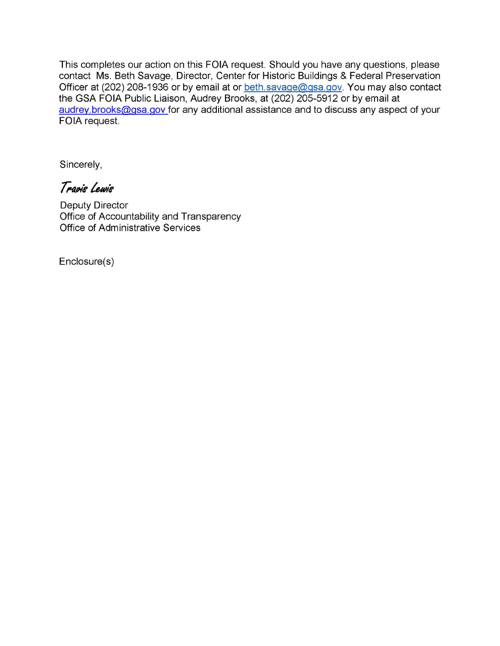This completes our action on this FOIA request. Should you have any questions, please contact Ms. Beth Savage, Director, Center for Historic Buildings & Federal Preservation Officer at (202) 208-1936 or by email at or beth.savage@gsa.gov. You may also contact the GSA FOIA Public Liaison, Audrey Brooks, at (202) 205-5912 or by email at audrey.brooks@gsa.gov for any additional assistance and to discuss any aspect of your FOIA request.

Sincerely,

Travis Lewis

Deputy Director Office of Accountability and Transparency Office of Administrative Services

Enclosure(s)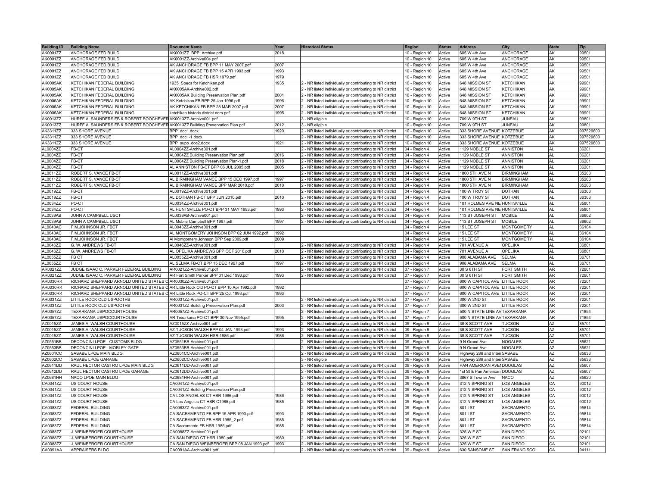| <b>Building ID</b> | <b>Building Name</b>                                                                | <b>Document Name</b>                        | Year | <b>Historical Status</b>                                  | Region           | <b>Status</b> | <b>Address</b>                | <b>City</b>          | <b>State</b>   | Zip       |
|--------------------|-------------------------------------------------------------------------------------|---------------------------------------------|------|-----------------------------------------------------------|------------------|---------------|-------------------------------|----------------------|----------------|-----------|
| AK0001ZZ           | ANCHORAGE FED BUILD                                                                 | AK0001ZZ_BPP_Archive.pdf                    | 2018 |                                                           | 10 - Region 10   | Active        | 605 W 4th Ave                 | <b>ANCHORAGE</b>     | <b>AK</b>      | 99501     |
| AK0001ZZ           | ANCHORAGE FED BUILD                                                                 | AK0001ZZ-Archive004.pdf                     |      |                                                           | 10 - Region 10   | Active        | 605 W 4th Ave                 | ANCHORAGE            | AK             | 99501     |
| AK0001ZZ           | ANCHORAGE FED BUILD                                                                 | AK ANCHORAGE FB BPP 11 MAY 2007.pdf         | 2007 |                                                           | 10 - Region 10   | Active        | 605 W 4th Ave                 | <b>ANCHORAGE</b>     | <b>AK</b>      | 99501     |
| AK0001ZZ           | ANCHORAGE FED BUILD                                                                 | AK ANCHORAGE FB BPP 15 APR 1993.pdf         | 1993 |                                                           | 10 - Region 10   | Active        | 605 W 4th Ave                 | ANCHORAGE            | lak            | 99501     |
| AK0001ZZ           | ANCHORAGE FED BUILD                                                                 | AK ANCHORAGE FB HSR 1979.pdf                | 1979 |                                                           | $10 -$ Region 10 | Active        | 605 W 4th Ave                 | ANCHORAGE            | AK             | 99501     |
| <b>AK0005AK</b>    | KETCHIKAN FEDERAL BUILDING                                                          | 1935_Specs for Ketchikan.pdf                | 1935 | 2 - NR listed individually or contributing to NR district | 10 - Region 10   | Active        | 648 MISSION ST                | <b>KETCHIKAN</b>     | AK             | 99901     |
| <b>AK0005AK</b>    | KETCHIKAN FEDERAL BUILDING                                                          | AK0005AK-Archive002.pdf                     |      | NR listed individually or contributing to NR district     | 10 - Region 10   | Active        | 648 MISSION ST                | <b>KETCHIKAN</b>     | AK             | 99901     |
| <b>AK0005AK</b>    | KETCHIKAN FEDERAL BUILDING                                                          | AK0005AK Building Preservation Plan.pdf     | 2001 | 2 - NR listed individually or contributing to NR district | 10 - Region 10   | Active        | 648 MISSION ST                | <b>KETCHIKAN</b>     | AK             | 99901     |
| AK0005AK           | KETCHIKAN FEDERAL BUILDING                                                          | AK Ketchikan FB BPP 25 Jan 1996.pdf         | 1996 | - NR listed individually or contributing to NR district   | 10 - Region 10   | Active        | 648 MISSION ST                | <b>KETCHIKAN</b>     | lak            | 99901     |
| <b>AK0005AK</b>    | KETCHIKAN FEDERAL BUILDING                                                          | AK KETCHIKAN FB BPP 28 MAR 2007.pdf         | 2007 | 2 - NR listed individually or contributing to NR district | 10 - Region 10   | Active        | 648 MISSION ST                | <b>KETCHIKAN</b>     | <b>AK</b>      | 99901     |
| <b>AK0005AK</b>    | KETCHIKAN FEDERAL BUILDING                                                          | ketchikan historic district nom.pdf         | 1995 | 2 - NR listed individually or contributing to NR district | 10 - Region 10   | Active        | 648 MISSION ST                | <b>KETCHIKAN</b>     | <b>AK</b>      | 99901     |
| AK0013ZZ           | HURFF A. SAUNDERS FB & ROBERT BOOCHEVER AK0013ZZ-Archive001.pdf                     |                                             |      | 3 - NR eligible                                           | 10 - Region 10   | Active        | 709 W 9TH ST                  | JUNEAU               | AK             | 99801     |
| AK0013ZZ           | HURFF A. SAUNDERS FB & ROBERT BOOCHEVER AK0013ZZ Building Preservation Plan.pdf     |                                             | 2012 | - NR eligible                                             | 10 - Region 10   | Active        | 709 W 9TH ST                  | JUNEAU               | <b>AK</b>      | 99801     |
| AK3311ZZ           | 333 SHORE AVENUE                                                                    | BPP doc1.docx                               | 1920 | - NR listed individually or contributing to NR district   | 10 - Region 10   | Active        | 333 SHORE AVENUE KOTZEBUE     |                      | <b>AK</b>      | 997529800 |
| AK3311ZZ           | 333 SHORE AVENUE                                                                    | BPP doc1-1.docx                             |      | 2 - NR listed individually or contributing to NR district | 10 - Region 10   | Active        | 333 SHORE AVENUE KOTZEBUE     |                      | lak            | 997529800 |
| AK3311ZZ           | 333 SHORE AVENUE                                                                    | BPP_supp_doc2.docx                          | 1921 | 2 - NR listed individually or contributing to NR district | 10 - Region 10   | Active        | 333 SHORE AVENUE KOTZEBUE     |                      | <b>AK</b>      | 997529800 |
| AL0004ZZ           | FB-CT                                                                               | AL0004ZZ-Archive001.pdf                     |      | - NR listed individually or contributing to NR district   | 04 - Region 4    | Active        | 1129 NOBLE ST                 | <b>ANNISTON</b>      | AL.            | 36201     |
| AL0004ZZ           | FB-CT                                                                               | AL0004ZZ Building Preservation Plan.pdf     | 2016 | - NR listed individually or contributing to NR district   | 04 - Region 4    | Active        | 1129 NOBLE ST                 | <b>ANNISTON</b>      | AL             | 36201     |
| AL0004ZZ           | FB-CT                                                                               | AL0004ZZ Building Preservation Plan-1.pdf   | 2018 | 2 - NR listed individually or contributing to NR district | 04 - Region 4    | Active        | 1129 NOBLE ST                 | <b>ANNISTON</b>      | <b>AL</b>      | 36201     |
| AL0004ZZ           | FB-CT                                                                               | AL ANNISTON FB-CT BPP 06 JUL 2005.pdf       | 2005 | 2 - NR listed individually or contributing to NR district | 04 - Region 4    | Active        | 1129 NOBLE ST                 | <b>ANNISTON</b>      | AL             | 36201     |
| AL0011ZZ           | ROBERT S. VANCE FB-CT                                                               | AL0011ZZ-Archive001.pdf                     |      | 2 - NR listed individually or contributing to NR district | 04 - Region 4    | Active        | 1800 5TH AVE N                | <b>BIRMINGHAM</b>    | AL             | 35203     |
| AL0011ZZ           | ROBERT S. VANCE FB-CT                                                               | AL BIRMINGHAM VANCE BPP 15 DEC 1997.pdf     | 1997 | 2 - NR listed individually or contributing to NR district | 04 - Region 4    | Active        | 1800 5TH AVE N                | <b>BIRMINGHAM</b>    | AL             | 35203     |
| AL0011ZZ           | ROBERT S. VANCE FB-CT                                                               | AL BIRMINGHAM VANCE BPP MAR 2010.pdf        | 2010 | NR listed individually or contributing to NR district     | 04 - Region 4    | Active        | 1800 5TH AVE N                | <b>BIRMINGHAM</b>    | AL             | 35203     |
| AL0019ZZ           | FB-CT                                                                               | AL0019ZZ-Archive001.pdf                     |      | - NR listed individually or contributing to NR district   | 04 - Region 4    | Active        | 100 W TROY ST                 | <b>DOTHAN</b>        | AL             | 36303     |
| AL0019ZZ           | FB-CT                                                                               | AL DOTHAN FB-CT BPP JUN 2010.pdf            | 2010 | 2 - NR listed individually or contributing to NR district | 04 - Region 4    | Active        | 100 W TROY ST                 | <b>DOTHAN</b>        | AL             | 36303     |
| AL0034ZZ           | PO-CT                                                                               | AL0034ZZ-Archive001.pdf                     |      | 2 - NR listed individually or contributing to NR district | 04 - Region 4    | Active        | 101 HOLMES AVE NE HUNTSVILLE  |                      | AL             | 35801     |
| AL0034ZZ           | PO-CT                                                                               | AL HUNTSVILLE PO-CT BPP 31 MAY 1993.pdf     | 1993 | 2 - NR listed individually or contributing to NR district | 04 - Region 4    | Active        | 101 HOLMES AVE NE HUNTSVILLE  |                      | AL             | 35801     |
| AL0039AB           | JOHN A CAMPBELL USCT                                                                | AL0039AB-Archive001.pdf                     |      | - NR listed individually or contributing to NR district   | 04 - Region 4    | Active        | 113 ST JOSEPH ST   MOBILE     |                      | AL             | 36602     |
| AL0039AB           | JOHN A CAMPBELL USCT                                                                | AL Mobile Campbell BPP 1997.pdf             | 1997 | 2 - NR listed individually or contributing to NR district | 04 - Region 4    | Active        | 113 ST JOSEPH ST              | <b>MOBILE</b>        | AL             | 36602     |
| AL0043AC           | F.M.JOHNSON JR. FBCT                                                                | AL0043ZZ-Archive001.pdf                     |      |                                                           | 04 - Region 4    | Active        | 15 LEE ST                     | <b>MONTGOMERY</b>    | AL             | 36104     |
| AL0043AC           | F.M.JOHNSON JR. FBCT                                                                | AL MONTGOMERY JOHNSON BPP 02 JUN 1992.pdf   | 1992 |                                                           | 04 - Region 4    | Active        | 15 LEE ST                     | <b>MONTGOMERY</b>    | AL.            | 36104     |
| AL0043AC           | F.M.JOHNSON JR. FBCT                                                                | Al Montgomery Johnson BPP Sep 2009.pdf      | 2009 |                                                           | 04 - Region 4    | Active        | 15 LEE ST                     | <b>MONTGOMERY</b>    | AL             | 36104     |
| AL0046ZZ           | G. W. ANDREWS FB-CT                                                                 | AL0046ZZ-Archive001.pdf                     |      | NR listed individually or contributing to NR district     | 04 - Region 4    | Active        | 701 AVENUE A                  | OPELIKA              | AL             | 36801     |
| AL0046ZZ           | G. W. ANDREWS FB-CT                                                                 | AL OPELIKA ANDREWS BPP OCT 2010.pdf         | 2010 | - NR listed individually or contributing to NR district   | 04 - Region 4    | Active        | 701 AVENUE A                  | OPELIKA              | AL             | 36801     |
| AL0055ZZ           | <b>FB CT</b>                                                                        | AL0055ZZ-Archive001.pdf                     |      | 2 - NR listed individually or contributing to NR district | 04 - Region 4    | Active        | 908 ALABAMA AVE               | <b>SELMA</b>         | AL             | 36701     |
| AL0055ZZ           | FB CT                                                                               | AL SELMA FB-CT BPP 15 DEC 1997.pdf          | 1997 | 2 - NR listed individually or contributing to NR district | 04 - Region 4    | Active        | 908 ALABAMA AVE               | <b>SELMA</b>         | AL             | 36701     |
| AR0021ZZ           | JUDGE ISAAC C. PARKER FEDERAL BUILDING                                              | AR0021ZZ-Archive001.pdf                     |      | 2 - NR listed individually or contributing to NR district | 07 - Region 7    | Active        | 30 S 6TH ST                   | FORT SMITH           | <b>AR</b>      | 72901     |
| AR0021ZZ           | JUDGE ISAAC C. PARKER FEDERAL BUILDING                                              | AR Fort Smith Parker BPP 01 Dec 1993.pdf    | 1993 | 2 - NR listed individually or contributing to NR district | 07 - Region 7    | Active        | 30 S 6TH ST                   | <b>FORT SMITH</b>    | <b>AR</b>      | 72901     |
| AR0030RK           | RICHARD SHEPPARD ARNOLD UNITED STATES CLAR0030ZZ-Archive001.pdf                     |                                             |      |                                                           | 07 - Region 7    | Active        | 600 W CAPITOL AVE LITTLE ROCK |                      | A <sub>R</sub> | 72201     |
| AR0030RK           | RICHARD SHEPPARD ARNOLD UNITED STATES CAR Little Rock Old PO-CT BPP 10 Apr 1992.pdf |                                             | 1992 |                                                           | 07 - Region 7    | Active        | 600 W CAPITOL AVE LITTLE ROCK |                      | AR             | 72201     |
| AR0030RK           | RICHARD SHEPPARD ARNOLD UNITED STATES CAR Little Rock PO-CT BPP 25 Oct 1993.pdf     |                                             | 1993 |                                                           | 07 - Region 7    | Active        | 600 W CAPITOL AVE LITTLE ROCK |                      | AR             | 72201     |
| AR0031ZZ           | LITTLE ROCK OLD USPOCTHS                                                            | AR0031ZZ-Archive001.pdf                     |      | 2 - NR listed individually or contributing to NR district | 07 - Region 7    | Active        | 300 W 2ND ST                  | <b>LITTLE ROCK</b>   | AR             | 72201     |
| AR0031ZZ           | LITTLE ROCK OLD USPOCTHS                                                            | AR0031ZZ Building Preservation Plan.pdf     | 2003 | NR listed individually or contributing to NR district     | 07 - Region 7    | Active        | 300 W 2ND ST                  | <b>LITTLE ROCK</b>   | AR             | 72201     |
| AR0057ZZ           | TEXARKANA USPOCOURTHOUSE                                                            | AR0057ZZ-Archive001.pdf                     |      | - NR listed individually or contributing to NR district   | 07 - Region 7    | Active        | 500 N STATE LINE AV TEXARKANA |                      | lar            | 71854     |
| AR0057ZZ           | TEXARKANA USPOCOURTHOUSE                                                            | AR Texarkana PO-CT BPP 30 Nov 1995.pdf      | 1995 | 2 - NR listed individually or contributing to NR district | 07 - Region 7    | Active        | 500 N STATE LINE AV TEXARKANA |                      | AR             | 71854     |
| AZ0015ZZ           | JAMES A. WALSH COURTHOUSE                                                           | AZ0015ZZ-Archive001.pdf                     |      | 2 - NR listed individually or contributing to NR district | 09 - Region 9    | Active        | 38 S SCOTT AVE                | <b>TUCSON</b>        | AZ             | 85701     |
| AZ0015ZZ           | JAMES A. WALSH COURTHOUSE                                                           | AZ TUCSON WALSH BPP 04 JAN 1993.pdf         | 1993 | 2 - NR listed individually or contributing to NR district | 09 - Region 9    | Active        | 38 S SCOTT AVE                | <b>TUCSON</b>        | AZ             | 85701     |
| AZ0015ZZ           | JAMES A. WALSH COURTHOUSE                                                           | AZ TUCSON WALSH HSR 1986.pdf                | 1986 | 2 - NR listed individually or contributing to NR district | 09 - Region 9    | Active        | 38 S SCOTT AVE                | <b>TUCSON</b>        | AZ             | 85701     |
| AZ0551BB           | DECONCINI LPOE - CUSTOMS BLDG                                                       | AZ0551BB-Archive001.pdf                     |      | - NR listed individually or contributing to NR district   | 09 - Region 9    | Active        | 9 N Grand Ave                 | <b>NOGALES</b>       | <b>AZ</b>      | 85621     |
| AZ0553BB           | DECONCINI LPOE - MORLEY GATE                                                        | AZ0553BB-Archive001.pdf                     |      | 2 - NR listed individually or contributing to NR district | 09 - Region 9    | Active        | 9 N Grand Ave                 | <b>NOGALES</b>       | AZ             | 85621     |
| AZ0601CC           | SASABE LPOE MAIN BLDG                                                               | AZ0601CC-Archive001.pdf                     |      | 2 - NR listed individually or contributing to NR district | 09 - Region 9    | Active        | Highway 286 and Inter SASABE  |                      | AZ             | 85633     |
| AZ0602CC           | SASABE LPOE GARAGE                                                                  | AZ0602CC-Archive001.pdf                     |      | I - NR eligible                                           | 09 - Region 9    | Active        | Highway 286 and Inter SASABE  |                      | AZ             | 85633     |
| AZ0611DD           | RAUL HECTOR CASTRO LPOE MAIN BLDG                                                   | AZ0611DD-Archive001.pdf                     |      | - NR listed individually or contributing to NR district   | 09 - Region 9    | Active        | PAN AMERICAN AVEI DOUGLAS     |                      | AZ             | 85607     |
| AZ0612DD           | RAUL HECTOR CASTRO LPOE GARAGE                                                      | AZ0612DD-Archive001.pdf                     |      | - NR listed individually or contributing to NR district   | 09 - Region 9    | Active        | 1st St & Pan American DOUGLAS |                      | <b>AZ</b>      | 85607     |
| AZ0681HH           | NACO LPOE MAIN BLDG                                                                 | AZ0681HH-Archive001.pdf                     |      | 2 - NR listed individually or contributing to NR district | 09 - Region 9    | Active        | 3867 S Towner Ave             | <b>NACO</b>          | AZ             | 85620     |
| CA0041ZZ           | US COURT HOUSE                                                                      | CA0041ZZ-Archive001.pdf                     |      | 2 - NR listed individually or contributing to NR district | 09 - Region 9    | Active        | 312 N SPRING ST               | <b>LOS ANGELES</b>   | CA             | 90012     |
| CA0041ZZ           | US COURT HOUSE                                                                      | CA0041ZZ Building Preservation Plan.pdf     |      | 2 - NR listed individually or contributing to NR district | 09 - Region 9    | Active        | 312 N SPRING ST               | <b>LOS ANGELES</b>   | CA             | 90012     |
| CA0041ZZ           | <b>US COURT HOUSE</b>                                                               | CA LOS ANGELES CT HSR 1986.pdf              | 1986 | NR listed individually or contributing to NR district     | 09 - Region 9    | Active        | 312 N SPRING ST               | <b>LOS ANGELES</b>   | <b>CA</b>      | 90012     |
| CA0041ZZ           | <b>US COURT HOUSE</b>                                                               | CA Los Angeles CT HSR C1985.pdf             | 1985 | - NR listed individually or contributing to NR district   | 09 - Region 9    | Active        | 312 N SPRING ST               | <b>LOS ANGELES</b>   | <b>CA</b>      | 90012     |
| CA0083ZZ           | <b>FEDERAL BUILDING</b>                                                             | CA0083ZZ-Archive001.pdf                     |      | 2 - NR listed individually or contributing to NR district | 09 - Region 9    | Active        | 801 I ST                      | SACRAMENTO           | CA             | 95814     |
| CA0083ZZ           | <b>FEDERAL BUILDING</b>                                                             | CA SACRAMENTO FB BPP 15 APR 1993.pdf        | 1993 | 2 - NR listed individually or contributing to NR district | 09 - Region 9    | Active        | 801 I ST                      | SACRAMENTO           | CA             | 95814     |
| CA0083ZZ           | FEDERAL BUILDING                                                                    | CA SACRAMENTO FB HSR 1985_2.pdf             | 1985 | 2 - NR listed individually or contributing to NR district | 09 - Region 9    | Active        | 801 I ST                      | SACRAMENTO           | CA             | 95814     |
| CA0083ZZ           | <b>FEDERAL BUILDING</b>                                                             | CA Sacramento FB HSR 1985.pdf               | 1985 | - NR listed individually or contributing to NR district   | 09 - Region 9    | Active        | 801 I ST                      | SACRAMENTO           | CA             | 95814     |
| CA0088ZZ           | J. WEINBERGER COURTHOUSE                                                            | CA0088ZZ-Archive001.pdf                     |      | - NR listed individually or contributing to NR district   | 09 - Region 9    | Active        | 325 W F ST                    | SAN DIEGO            | CA             | 92101     |
| CA0088ZZ           | J. WEINBERGER COURTHOUSE                                                            | CA SAN DIEGO CT HSR 1980.pdf                | 1980 | 2 - NR listed individually or contributing to NR district | 09 - Region 9    | Active        | 325 W F ST                    | SAN DIEGO            | CA             | 92101     |
| CA0088ZZ           | J. WEINBERGER COURTHOUSE                                                            | CA SAN DIEGO WEINBERGER BPP 08 JAN 1993.pdf | 1993 | 2 - NR listed individually or contributing to NR district | 09 - Region 9    | Active        | 325 W F ST                    | SAN DIEGO            | CA             | 92101     |
| CA0091AA           | <b>APPRAISERS BLDG</b>                                                              | CA0091AA-Archive001.pdf                     |      | 2 - NR listed individually or contributing to NR district | 09 - Region 9    | Active        | 630 SANSOME ST                | <b>SAN FRANCISCO</b> | <b>CA</b>      | 94111     |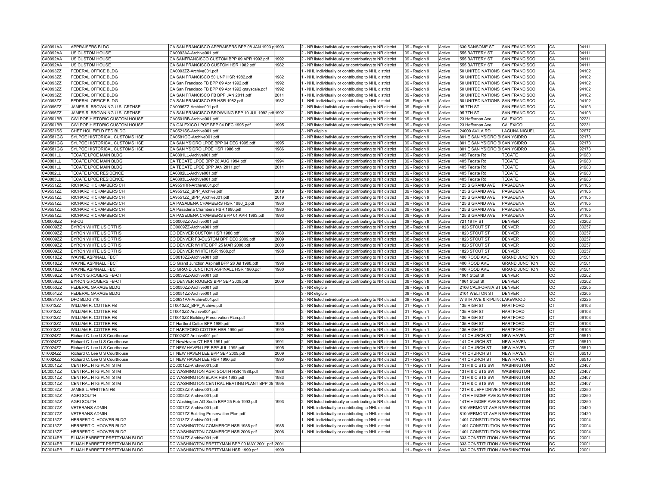| CA0091AA        | APPRAISERS BLDG               | CA SAN FRANCISCO APPRAISERS BPP 08 JAN 1993.p 1993 |      | 2 - NR listed individually or contributing to NR district                                                         | 09 - Region 9  | Active | 630 SANSOME ST                  | <b>SAN FRANCISCO</b>  | CA             | 94111 |
|-----------------|-------------------------------|----------------------------------------------------|------|-------------------------------------------------------------------------------------------------------------------|----------------|--------|---------------------------------|-----------------------|----------------|-------|
| CA0092AA        | US CUSTOM HOUSE               | CA0092AA-Archive001.pdf                            |      | 2 - NR listed individually or contributing to NR district                                                         | 09 - Region 9  | Active | 555 BATTERY ST                  | SAN FRANCISCO         | CA             | 94111 |
| CA0092AA        | US CUSTOM HOUSE               | CA SANFRANCISCO CUSTOM BPP 09 APR 1992.pdf         | 1992 | 2 - NR listed individually or contributing to NR district                                                         | 09 - Region 9  | Active | 555 BATTERY ST                  | SAN FRANCISCO         | CA             | 94111 |
| CA0092AA        | US CUSTOM HOUSE               | CA SAN FRANCISCO CUSTOM HSR 1982.pdf               | 1982 | 2 - NR listed individually or contributing to NR district                                                         | 09 - Region 9  | Active | 555 BATTERY ST                  | SAN FRANCISCO         | CA             | 94111 |
| CA0093ZZ        | FEDERAL OFFICE BLDG           | CA0093ZZ-Archive001.pdf                            |      | 1 - NHL individually or contributing to NHL district                                                              | 09 - Region 9  | Active | 50 UNITED NATIONS SAN FRANCISCO |                       | CA             | 94102 |
| CA0093ZZ        | FEDERAL OFFICE BLDG           | CA SAN FRANCISCO 50 UNP HSR 1982.pdf               | 1982 | 1 - NHL individually or contributing to NHL district                                                              | 09 - Region 9  | Active | 50 UNITED NATIONS SAN FRANCISCO |                       | CA             | 94102 |
| CA0093ZZ        | FEDERAL OFFICE BLDG           | CA San Francisco FB BPP 09 Apr 1992.pdf            | 1992 | 1 - NHL individually or contributing to NHL district                                                              | 09 - Region 9  | Active | 50 UNITED NATIONS SAN FRANCISCO |                       | CA             | 94102 |
| CA0093ZZ        | FEDERAL OFFICE BLDG           | CA San Francisco FB BPP 09 Apr 1992 grayscale.pdf  | 1992 | - NHL individually or contributing to NHL district                                                                | 09 - Region 9  | Active | 50 UNITED NATIONS SAN FRANCISCO |                       | CA             | 94102 |
| CA0093ZZ        | FEDERAL OFFICE BLDG           | CA SAN FRANCISCO FB BPP JAN 2011.pdf               | 2011 | - NHL individually or contributing to NHL district                                                                | 09 - Region 9  | Active | 50 UNITED NATIONS SAN FRANCISCO |                       | l CA           | 94102 |
| CA0093ZZ        | FEDERAL OFFICE BLDG           | CA SAN FRANCISCO FB HSR 1982.pdf                   | 1982 |                                                                                                                   |                | Active | 50 UNITED NATIONS SAN FRANCISCO |                       | CA             | 94102 |
| CA0096ZZ        | JAMES R. BROWNING U.S. CRTHSE | CA0096ZZ-Archive001.pdf                            |      | 1 - NHL individually or contributing to NHL district<br>2 - NR listed individually or contributing to NR district | 09 - Region 9  | Active | 95 7TH ST                       | SAN FRANCISCO         | <b>CA</b>      | 94103 |
| CA0096ZZ        | JAMES R. BROWNING U.S. CRTHSE | CA SAN FRANCISCO BROWNING BPP 10 JUL 1992.pdf 1992 |      |                                                                                                                   | 09 - Region 9  | Active | 95 7TH ST                       | <b>SAN FRANCISCO</b>  | CA             | 94103 |
|                 |                               |                                                    |      | 2 - NR listed individually or contributing to NR district                                                         | 09 - Region 9  |        |                                 |                       | <b>CA</b>      |       |
| CA0501BB        | CWLPOE HISTORIC CUSTOM HOUSE  | CA0501BB-Archive001.pdf                            |      | 2 - NR listed individually or contributing to NR district                                                         | 09 - Region 9  | Active | 23 Heffernan Ave                | CALEXICO              |                | 92231 |
| CA0501BB        | CWLPOE HISTORIC CUSTOM HOUSE  | CA CALEXICO LPOE BPP 04 DEC 1995.pdf               | 1995 | 2 - NR listed individually or contributing to NR district                                                         | 09 - Region 9  | Active | 23 Heffernan Ave                | CALEXICO              | CA             | 92231 |
| CA0521SS        | CHET HOLIFIELD FED BLDG       | CA0521SS-Archive001.pdf                            |      | 3 - NR eligible                                                                                                   | 09 - Region 9  | Active | 24000 AVILA RD                  | LAGUNA NIGUEL         | CA             | 92677 |
| CA0581GG        | SYLPOE HISTORICAL CUSTOMS HSE | CA0581GG-Archive001.pdf                            |      | 2 - NR listed individually or contributing to NR district                                                         | 09 - Region 9  | Active | 801 E SAN YSIDRO BISAN YSIDRO   |                       | CA             | 92173 |
| CA0581GG        | SYLPOE HISTORICAL CUSTOMS HSE | CA SAN YSIDRO LPOE BPP 04 DEC 1995.pdf             | 1995 | 2 - NR listed individually or contributing to NR district                                                         | 09 - Region 9  | Active | 801 E SAN YSIDRO B SAN YSIDRO   |                       | CA             | 92173 |
| CA0581GG        | SYLPOE HISTORICAL CUSTOMS HSE | CA SAN YSIDRO LPOE HSR 1986.pdf                    | 1986 | 2 - NR listed individually or contributing to NR district                                                         | 09 - Region 9  | Active | 801 E SAN YSIDRO BISAN YSIDRO   |                       | CA             | 92173 |
| CA0801LL        | TECATE LPOE MAIN BLDG         | CA0801LL-Archive001.pdf                            |      | 2 - NR listed individually or contributing to NR district                                                         | 09 - Region 9  | Active | 405 Tecate Rd                   | <b>TECATE</b>         | lca            | 91980 |
| <b>CA0801LL</b> | TECATE LPOE MAIN BLDG         | CA TECATE LPOE BPP 26 AUG 1994.pdf                 | 1994 | 2 - NR listed individually or contributing to NR district                                                         | 09 - Region 9  | Active | 405 Tecate Rd                   | <b>TECATE</b>         | CA             | 91980 |
| <b>CA0801LL</b> | TECATE LPOE MAIN BLDG         | CA TECATE LPOE BPP JAN 2011.pdf                    | 2011 | 2 - NR listed individually or contributing to NR district                                                         | 09 - Region 9  | Active | 405 Tecate Rd                   | <b>TECATE</b>         | CA             | 91980 |
| <b>CA0802LL</b> | TECATE LPOE RESIDENCE         | CA0802LL-Archive001.pdf                            |      | 2 - NR listed individually or contributing to NR district                                                         | 09 - Region 9  | Active | 405 Tecate Rd                   | TECATE                | CA             | 91980 |
| CA0803LL        | TECATE LPOE RESIDENCE         | CA0803LL-Archive001.pdf                            |      | 2 - NR listed individually or contributing to NR district                                                         | 09 - Region 9  | Active | 405 Tecate Rd                   | <b>TECATE</b>         | CA             | 91980 |
| CA9551ZZ        | RICHARD H CHAMBERS CH         | CA9551RR-Archive001.pdf                            |      | 2 - NR listed individually or contributing to NR district                                                         | 09 - Region 9  | Active | 125 S GRAND AVE                 | PASADENA              | l CA           | 91105 |
| CA9551ZZ        | RICHARD H CHAMBERS CH         | CA9551ZZ BPP Archive.pdf                           | 2019 | 2 - NR listed individually or contributing to NR district                                                         | 09 - Region 9  | Active | 125 S GRAND AVE                 | PASADENA              | CA             | 91105 |
| CA9551ZZ        | RICHARD H CHAMBERS CH         | CA9551ZZ BPP Archive001.pdf                        | 2019 | 2 - NR listed individually or contributing to NR district                                                         | 09 - Region 9  | Active | 125 S GRAND AVE                 | PASADENA              | CA             | 91105 |
| CA9551ZZ        | RICHARD H CHAMBERS CH         | CA PASADENA CHAMBERS HSR 1980_2.pdf                | 1980 | 2 - NR listed individually or contributing to NR district                                                         | 09 - Region 9  | Active | 125 S GRAND AVE                 | PASADENA              | CA             | 91105 |
| CA9551ZZ        | RICHARD H CHAMBERS CH         | CA Pasadena Chambers HSR 1980.pdf                  | 1980 | 2 - NR listed individually or contributing to NR district                                                         | 09 - Region 9  | Active | 125 S GRAND AVE                 | PASADENA              | <b>CA</b>      | 91105 |
| CA9551ZZ        | RICHARD H CHAMBERS CH         | CA PASEDENA CHAMBERS BPP 01 APR 1993.pdf           | 1993 | 2 - NR listed individually or contributing to NR district                                                         | 09 - Region 9  | Active | 125 S GRAND AVE                 | PASADENA              | <b>CA</b>      | 91105 |
| CO0006ZZ        | FB-CU                         | CO0006ZZ-Archive001.pdf                            |      | 2 - NR listed individually or contributing to NR district                                                         | 08 - Region 8  | Active | 721 19TH ST                     | <b>DENVER</b>         | co             | 80202 |
| CO0009ZZ        | BYRON WHITE US CRTHS          | CO0009ZZ-Archive001.pdf                            |      | 2 - NR listed individually or contributing to NR district                                                         | 08 - Region 8  | Active | 1823 STOUT ST                   | <b>DENVER</b>         | co             | 80257 |
| CO0009ZZ        | BYRON WHITE US CRTHS          | CO DENVER CUSTOM HSR 1980.pdf                      | 1980 | 2 - NR listed individually or contributing to NR district                                                         | 08 - Region 8  | Active | 1823 STOUT ST                   | <b>DENVER</b>         | co             | 80257 |
| CO0009ZZ        | BYRON WHITE US CRTHS          | CO DENVER FB-CUSTOM BPP DEC 2009.pdf               | 2009 | 2 - NR listed individually or contributing to NR district                                                         | 08 - Region 8  | Active | 1823 STOUT ST                   | <b>DENVER</b>         | co             | 80257 |
| CO0009ZZ        | BYRON WHITE US CRTHS          | CO DENVER WHITE BPP 25 MAR 2000.pdf                | 2000 | 2 - NR listed individually or contributing to NR district                                                         | 08 - Region 8  | Active | 1823 STOUT ST                   | <b>DENVER</b>         | co             | 80257 |
| CO0009ZZ        | BYRON WHITE US CRTHS          | CO DENVER WHITE HSR 1988.pdf                       | 1988 | 2 - NR listed individually or contributing to NR district                                                         | 08 - Region 8  | Active | 1823 STOUT ST                   | <b>DENVER</b>         | co             | 80257 |
| CO0018ZZ        | WAYNE ASPINALL FBCT           | CO0018ZZ-Archive001.pdf                            |      | 2 - NR listed individually or contributing to NR district                                                         | 08 - Region 8  | Active | 400 ROOD AVE                    | <b>GRAND JUNCTION</b> | co             | 81501 |
| CO0018ZZ        | WAYNE ASPINALL FBCT           | CO Grand Junction Aspinall BPP 28 Jul 1998.pdf     | 1998 | 2 - NR listed individually or contributing to NR district                                                         | 08 - Region 8  | Active | 400 ROOD AVE                    | <b>GRAND JUNCTION</b> | co             | 81501 |
| CO0018ZZ        | WAYNE ASPINALL FBCT           | CO GRAND JUNCTION ASPINALL HSR 1980.pdf            | 1980 |                                                                                                                   |                | Active | 400 ROOD AVE                    | <b>GRAND JUNCTION</b> | co             | 81501 |
|                 | BYRON G.ROGERS FB-CT          | CO0039ZZ-Archive001.pdf                            |      | 2 - NR listed individually or contributing to NR district                                                         | 08 - Region 8  | Active |                                 |                       | lco            | 80202 |
| CO0039ZZ        |                               |                                                    |      | 2 - NR listed individually or contributing to NR district                                                         | 08 - Region 8  |        | 1961 Stout St                   | <b>DENVER</b>         |                | 80202 |
| CO0039ZZ        | BYRON G.ROGERS FB-CT          | CO DENVER ROGERS BPP SEP 2009.pdf                  | 2009 | 2 - NR listed individually or contributing to NR district                                                         | 08 - Region 8  | Active | 1961 Stout St                   | <b>DENVER</b>         | lco            |       |
| CO0050ZZ        | FEDERAL GARAGE BLDG           | CO0050ZZ-Archive001.pdf                            |      | 3 - NR eligible                                                                                                   | 08 - Region 8  | Active | 2106 CALIFORNIA ST DENVER       |                       | lco            | 80205 |
| CO0051ZZ        | FEDERAL GARAGE BLDG           | CO0051ZZ-Archive001.pdf                            |      | 3 - NR eligible                                                                                                   | 08 - Region 8  | Active | 2101 WELTON ST                  | <b>DENVER</b>         | lco            | 80205 |
| CO0631AA        | DFC BLDG 710                  | CO0631AA-Archive001.pdf                            |      | 2 - NR listed individually or contributing to NR district                                                         | 08 - Region 8  | Active | W 6TH AVE & KIPLIN LAKEWOOD     |                       | co             | 80225 |
| CT0013ZZ        | WILLIAM R. COTTER FB          | CT0013ZZ_BPP_Archive.pdf                           |      | 2 - NR listed individually or contributing to NR district                                                         | 01 - Region 1  | Active | 135 HIGH ST                     | <b>HARTFORD</b>       | lст            | 06103 |
| CT0013ZZ        | WILLIAM R. COTTER FB          | CT0013ZZ-Archive001.pdf                            |      | 2 - NR listed individually or contributing to NR district                                                         | 01 - Region 1  | Active | 135 HIGH ST                     | <b>HARTFORD</b>       | cт             | 06103 |
| CT0013ZZ        | WILLIAM R. COTTER FB          | CT0013ZZ Building Preservation Plan.pdf            |      | 2 - NR listed individually or contributing to NR district                                                         | 01 - Region 1  | Active | 135 HIGH ST                     | <b>HARTFORD</b>       | CT             | 06103 |
| CT0013ZZ        | WILLIAM R. COTTER FB          | CT Hartford Cotter BPP 1989.pdf                    | 1989 | 2 - NR listed individually or contributing to NR district                                                         | 01 - Region 1  | Active | 135 HIGH ST                     | <b>HARTFORD</b>       | Iст            | 06103 |
| CT0013ZZ        | WILLIAM R. COTTER FB          | CT HARTFORD COTTER HSR 1990.pdf                    | 1990 | 2 - NR listed individually or contributing to NR district                                                         | 01 - Region 1  | Active | 135 HIGH ST                     | <b>HARTFORD</b>       | $\overline{c}$ | 06103 |
| CT0024ZZ        | Richard C. Lee U S Courthouse | CT0024ZZ-Archive001.pdf                            |      | 2 - NR listed individually or contributing to NR district                                                         | 01 - Region 1  | Active | 141 CHURCH ST                   | <b>NEW HAVEN</b>      | Iст            | 06510 |
| CT0024ZZ        | Richard C. Lee U S Courthouse | CT NewHaven CT HSR 1991.pdf                        | 1991 | 2 - NR listed individually or contributing to NR district                                                         | 01 - Region 1  | Active | 141 CHURCH ST                   | <b>NEW HAVEN</b>      | Iст            | 06510 |
| CT0024ZZ        | Richard C. Lee U S Courthouse | CT NEW HAVEN LEE BPP JUL 1995.pdf                  | 1995 | 2 - NR listed individually or contributing to NR district                                                         | 01 - Region 1  | Active | 141 CHURCH ST                   | <b>NEW HAVEN</b>      | CT             | 06510 |
| CT0024ZZ        | Richard C. Lee U S Courthouse | CT NEW HAVEN LEE BPP SEP 2009.pdf                  | 2009 | 2 - NR listed individually or contributing to NR district                                                         | 01 - Region 1  | Active | 141 CHURCH ST                   | <b>NEW HAVEN</b>      | CT             | 06510 |
| CT0024ZZ        | Richard C. Lee U S Courthouse | CT NEW HAVEN LEE HSR 1990.pdf                      | 1990 | 2 - NR listed individually or contributing to NR district                                                         | 01 - Region 1  | Active | 141 CHURCH ST                   | <b>NEW HAVEN</b>      | lст            | 06510 |
| DC0001ZZ        | CENTRAL HTG PLNT STM          | DC0001ZZ-Archive001.pdf                            |      | 2 - NR listed individually or contributing to NR district                                                         | 11 - Region 11 | Active | 13TH & C STS SW                 | <b>WASHINGTON</b>     | DC             | 20407 |
| DC0001ZZ        | CENTRAL HTG PLNT STM          | DC WASHINGTON AGRI SOUTH HSR 1988.pdf              | 1988 | 2 - NR listed individually or contributing to NR district                                                         | 11 - Region 11 | Active | 13TH & C STS SW                 | <b>WASHINGTON</b>     | DC             | 20407 |
| DC0001ZZ        | CENTRAL HTG PLNT STM          | DC WASHINGTON BLAIR HSR 1983.pdf                   | 1983 | 2 - NR listed individually or contributing to NR district                                                         | 11 - Region 11 | Active | 13TH & C STS SW                 | <b>WASHINGTON</b>     | DC             | 20407 |
| DC0001ZZ        | CENTRAL HTG PLNT STM          | DC WASHINGTON CENTRAL HEATING PLANT BPP 05 1995    |      | 2 - NR listed individually or contributing to NR district                                                         | 11 - Region 11 | Active | <b>I3TH &amp; C STS SW</b>      | <b>WASHINGTON</b>     | DC             | 20407 |
| DC0003ZZ        | JAMES L. WHITTEN FB           | DC0003ZZ-Archive001.pdf                            |      | 2 - NR listed individually or contributing to NR district                                                         | 11 - Region 11 | Active | 12TH & JEFF DRIVE SWASHINGTON   |                       | DC             | 20250 |
| DC0005ZZ        | <b>AGRI SOUTH</b>             | DC0005ZZ-Archive001.pdf                            |      | 2 - NR listed individually or contributing to NR district                                                         | 11 - Region 11 | Active | 14TH + INDEP AVE S\WASHINGTON   |                       | <b>DC</b>      | 20250 |
| DC0005ZZ        | AGRI SOUTH                    | DC Washington AG South BPP 25 Feb 1993.pdf         | 1993 | 2 - NR listed individually or contributing to NR district                                                         | 11 - Region 11 | Active | 14TH + INDEP AVE SWASHINGTON    |                       | <b>DC</b>      | 20250 |
| DC0007ZZ        | <b>VETERANS ADMIN</b>         | DC0007ZZ-Archive001.pdf                            |      | 1 - NHL individually or contributing to NHL district                                                              | 11 - Region 11 | Active | 810 VERMONT AVE NWASHINGTON     |                       | DC             | 20420 |
| DC0007ZZ        | <b>VETERANS ADMIN</b>         | DC0007ZZ Building Preservation Plan.pdf            |      | 1 - NHL individually or contributing to NHL district                                                              | 11 - Region 11 | Active | 810 VERMONT AVE NWASHINGTON     |                       | DC             | 20420 |
| DC0013ZZ        | HERBERT C. HOOVER BLDG        | DC0013ZZ-Archive001.pdf                            |      | - NHL individually or contributing to NHL district                                                                | 11 - Region 11 | Active | 1401 CONSTITUTION WASHINGTON    |                       | <b>DC</b>      | 20004 |
| DC0013ZZ        | HERBERT C. HOOVER BLDG        | DC WASHINGTON COMMERCE HSR 1985.pdf                | 1985 | - NHL individually or contributing to NHL district                                                                | 11 - Region 11 | Active | 1401 CONSTITUTION WASHINGTON    |                       | DC             | 20004 |
|                 | HERBERT C. HOOVER BLDG        |                                                    | 2006 |                                                                                                                   |                |        | 1401 CONSTITUTION WASHINGTON    |                       | DC             | 20004 |
| DC0013ZZ        |                               | DC WASHINGTON COMMERCE HSR 2006.pdf                |      | 1 - NHL individually or contributing to NHL district                                                              | 11 - Region 11 | Active |                                 |                       | DC             |       |
| DC0014PB        | ELIJAH BARRETT PRETTYMAN BLDG | DC0014ZZ-Archive001.pdf                            |      |                                                                                                                   | 11 - Region 11 | Active | 333 CONSTITUTION AWASHINGTON    |                       |                | 20001 |
| DC0014PB        | ELIJAH BARRETT PRETTYMAN BLDG | DC WASHINGTON PRETTYMAN BPP 09 MAY 2001.pdf 2001   |      |                                                                                                                   | 11 - Region 11 | Active | 333 CONSTITUTION AWASHINGTON    |                       | DC             | 20001 |
| DC0014PB        | ELIJAH BARRETT PRETTYMAN BLDG | DC WASHINGTON PRETTYMAN HSR 1999.pdf               | 1999 |                                                                                                                   | 11 - Region 11 | Active | 333 CONSTITUTION AWASHINGTON    |                       | <b>DC</b>      | 20001 |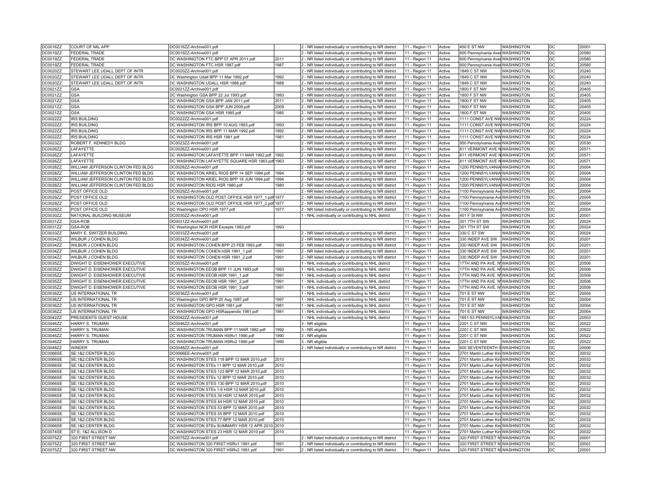| DC0016ZZ        | COURT OF MIL APP                   | DC0016ZZ-Archive001.pdf                             |      | 2 - NR listed individually or contributing to NR district | 11 - Region 11 | Active | 450 E ST NW                         | <b>WASHINGTON</b> | DC              | 20001 |
|-----------------|------------------------------------|-----------------------------------------------------|------|-----------------------------------------------------------|----------------|--------|-------------------------------------|-------------------|-----------------|-------|
| DC0019ZZ        | FEDERAL TRADE                      | DC0019ZZ-Archive001.pdf                             |      | 2 - NR listed individually or contributing to NR district | 11 - Region 11 | Active | 600 Pennsylvania Aver WASHINGTON    |                   | DC              | 20580 |
| DC0019ZZ        | FEDERAL TRADE                      | DC WASHINGTON FTC BPP 07 APR 2011.pdf               | 2011 | 2 - NR listed individually or contributing to NR district | 11 - Region 11 | Active | 600 Pennsylvania Aver WASHINGTON    |                   | DC              | 20580 |
| DC0019ZZ        | FEDERAL TRADE                      | DC WASHINGTON FTC HSR 1987.pdf                      | 1987 | 2 - NR listed individually or contributing to NR district | 11 - Region 11 | Active | 600 Pennsylvania Aver WASHINGTON    |                   | DC              | 20580 |
|                 |                                    |                                                     |      |                                                           |                |        |                                     |                   | <b>DC</b>       | 20240 |
| DC0020ZZ        | STEWART LEE UDALL DEPT OF INTR     | DC0020ZZ-Archive001.pdf                             |      | 2 - NR listed individually or contributing to NR district | 11 - Region 11 | Active | 1849 C ST NW                        | <b>WASHINGTON</b> |                 |       |
| DC0020ZZ        | STEWART LEE UDALL DEPT OF INTR     | DC Washington Udall BPP 11 Mar 1992.pdf             | 1992 | 2 - NR listed individually or contributing to NR district | 11 - Region 11 | Active | 1849 C ST NW                        | <b>WASHINGTON</b> | DC              | 20240 |
| DC0020ZZ        | STEWART LEE UDALL DEPT OF INTR     | DC WASHINGTON UDALL HSR 1988.pdf                    | 1988 | 2 - NR listed individually or contributing to NR district | 11 - Region 11 | Active | 1849 C ST NW                        | <b>WASHINGTON</b> | $ _{DC}$        | 20240 |
| DC0021ZZ        | GSA                                | DC0021ZZ-Archive001.pdf                             |      | 2 - NR listed individually or contributing to NR district | 11 - Region 11 | Active | 1800 F ST NW                        | <b>WASHINGTON</b> | DC              | 20405 |
| DC0021ZZ        | <b>GSA</b>                         | DC Washington GSA BPP 22 Jul 1993.pdf               | 1993 | 2 - NR listed individually or contributing to NR district | 11 - Region 11 | Active | 1800 F ST NW                        | <b>WASHINGTON</b> | l DC            | 20405 |
| DC0021ZZ        | <b>GSA</b>                         | DC WASHINGTON GSA BPP JAN 2011.pdf                  | 2011 | 2 - NR listed individually or contributing to NR district | 11 - Region 11 | Active | 1800 F ST NW                        | <b>WASHINGTON</b> | DC              | 20405 |
| DC0021ZZ        | <b>GSA</b>                         | DC WASHINGTON GSA BPP JUN 2009.pdf                  | 2009 | 2 - NR listed individually or contributing to NR district | 11 - Region 11 | Active | 1800 F ST NW                        | <b>WASHINGTON</b> | DC              | 20405 |
| DC0021ZZ        | <b>GSA</b>                         | DC WASHINGTON GSA HSR 1985.pdf                      | 1985 | 2 - NR listed individually or contributing to NR district | 11 - Region 11 | Active | 1800 F ST NW                        | <b>WASHINGTON</b> | DC              | 20405 |
| DC0022ZZ        | <b>IRS BUILDING</b>                | DC0022ZZ-Archive001.pdf                             |      | 2 - NR listed individually or contributing to NR district | 11 - Region 11 | Active | 1111 CONST AVE NW WASHINGTON        |                   | l DC            | 20224 |
| DC0022ZZ        | <b>IRS BUILDING</b>                | DC WASHINGTON IRS BPP 10 AUG 1993.pdf               | 1993 | 2 - NR listed individually or contributing to NR district | 11 - Region 11 | Active | <b>1111 CONST AVE NW WASHINGTON</b> |                   | <b>DC</b>       | 20224 |
| DC0022ZZ        | <b>IRS BUILDING</b>                | DC WASHINGTON IRS BPP 11 MAR 1992.pdf               | 1992 | 2 - NR listed individually or contributing to NR district | 11 - Region 11 | Active | 1111 CONST AVE NW WASHINGTON        |                   | DC              | 20224 |
|                 |                                    |                                                     |      |                                                           |                |        |                                     |                   | l DC            |       |
| DC0022ZZ        | <b>IRS BUILDING</b>                | DC WASHINGTON IRS HSR 1981.pdf                      | 1981 | 2 - NR listed individually or contributing to NR district | 11 - Region 11 | Active | 1111 CONST AVE NW WASHINGTON        |                   |                 | 20224 |
| DC0023ZZ        | ROBERT F. KENNEDY BLDG             | DC0023ZZ-Archive001.pdf                             |      | 2 - NR listed individually or contributing to NR district | 11 - Region 11 | Active | 950 Pennsylvania AverWASHINGTON     |                   | <b>DC</b>       | 20530 |
| DC0026ZZ        | LAFAYETTE                          | DC0026ZZ-Archive001.pdf                             |      | 2 - NR listed individually or contributing to NR district | 11 - Region 11 | Active | 811 VERMONT AVE NWASHINGTON         |                   | DC              | 20571 |
| DC0026ZZ        | LAFAYETTE                          | DC WASHINGTON LAFAYETTE BPP 11 MAR 1992.pdf 1992    |      | 2 - NR listed individually or contributing to NR district | 11 - Region 11 | Active | 811 VERMONT AVE NWASHINGTON         |                   | <b>DC</b>       | 20571 |
| DC0026ZZ        | LAFAYETTE                          | DC WASHINGTON LAFAYETTE SQUARE HSR 1963.pdf 1963    |      | 2 - NR listed individually or contributing to NR district | 11 - Region 11 | Active | 811 VERMONT AVE N WASHINGTON        |                   | DC              | 20571 |
| DC0028ZZ        | WILLIAM JEFFERSON CLINTON FED BLDG | DC0028ZZ-Archive001.pdf                             |      | 2 - NR listed individually or contributing to NR district | 11 - Region 11 | Active | 1200 PENNSYLVANIA WASHINGTON        |                   | l DC            | 20004 |
| DC0028ZZ        | WILLIAM JEFFERSON CLINTON FED BLDG | DC WASHINGTON ARIEL RIOS BPP 14 SEP 1994.pdf   1994 |      | 2 - NR listed individually or contributing to NR district | 11 - Region 11 | Active | 1200 PENNSYLVANIA WASHINGTON        |                   | DC              | 20004 |
| DC0028ZZ        | WILLIAM JEFFERSON CLINTON FED BLDG | DC WASHINGTON ARIEL RIOS BPP 18 JUN 1994.pdf        | 1994 | 2 - NR listed individually or contributing to NR district | 11 - Region 11 | Active | 1200 PENNSYLVANIA WASHINGTON        |                   | l DC            | 20004 |
| DC0028ZZ        | WILLIAM JEFFERSON CLINTON FED BLDG | DC WASHINGTON RIOS HSR 1980.pdf                     | 1980 | 2 - NR listed individually or contributing to NR district | 11 - Region 11 | Active | 1200 PENNSYLVANIA WASHINGTON        |                   | l DC            | 20004 |
| DC0029ZZ        | POST OFFICE OLD                    | DC0029ZZ-Archive001.pdf                             |      | 2 - NR listed individually or contributing to NR district | 11 - Region 11 | Active | 1100 Pennsylvania Ave WASHINGTON    |                   | DC              | 20004 |
| DC0029ZZ        | POST OFFICE OLD                    | DC WASHINGTON OLD POST OFFICE HSR 1977_1.pdf 1977   |      | 2 - NR listed individually or contributing to NR district | 11 - Region 11 | Active | 1100 Pennsylvania Ave WASHINGTON    |                   | DC              | 20004 |
|                 |                                    |                                                     |      |                                                           |                |        |                                     |                   | $\overline{DC}$ |       |
| DC0029ZZ        | POST OFFICE OLD                    | DC WASHINGTON OLD POST OFFICE HSR 1977_2.pdf 1977   |      | 2 - NR listed individually or contributing to NR district | 11 - Region 11 | Active | 1100 Pennsylvania Ave WASHINGTON    |                   |                 | 20004 |
| DC0029ZZ        | POST OFFICE OLD                    | DC Washington OPO HSR 1977.pdf                      | 1977 | - NR listed individually or contributing to NR district   | 11 - Region 11 | Active | 1100 Pennsylvania AveWASHINGTON     |                   | DC              | 20004 |
| DC0030ZZ        | NATIONAL BUILDING MUSEUM           | DC0030ZZ-Archive001.pdf                             |      | 1 - NHL individually or contributing to NHL district      | 11 - Region 11 | Active | 401 F St NW                         | <b>WASHINGTON</b> | DC              | 20001 |
| DC0031ZZ        | GSA-ROB                            | DC0031ZZ-Archive001.pdf                             |      |                                                           | 11 - Region 11 | Active | 301 7TH ST SW                       | <b>WASHINGTON</b> | DC              | 20024 |
| DC0031ZZ        | GSA-ROB                            | DC Washington NCR HSR Excepts 1993.pdf              | 1993 |                                                           | 11 - Region 11 | Active | 301 7TH ST SW                       | <b>WASHINGTON</b> | DC              | 20024 |
| DC0033ZZ        | MARY E. SWITZER BUILDING           | DC0033ZZ-Archive001.pdf                             |      | 2 - NR listed individually or contributing to NR district | 11 - Region 11 | Active | 330 C ST SW                         | <b>WASHINGTON</b> | DC              | 20024 |
| DC0034ZZ        | WILBUR J COHEN BLDG                | DC0034ZZ-Archive001.pdf                             |      | 2 - NR listed individually or contributing to NR district | 11 - Region 11 | Active | 330 INDEP AVE SW                    | <b>WASHINGTON</b> | DC              | 20201 |
| DC0034ZZ        | WILBUR J COHEN BLDG                | DC WASHINGTON COHEN BPP 23 FEB 1993.pdf             | 1993 | 2 - NR listed individually or contributing to NR district | 11 - Region 11 | Active | 330 INDEP AVE SW WASHINGTON         |                   | DC              | 20201 |
| DC0034ZZ        | WILBUR J COHEN BLDG                | DC WASHINGTON COHEN HSR 1991_1.pdf                  | 1991 | 2 - NR listed individually or contributing to NR district | 11 - Region 11 | Active | 330 INDEP AVE SW   WASHINGTON       |                   | DC              | 20201 |
| DC0034ZZ        | WILBUR J COHEN BLDG                | DC WASHINGTON COHEN HSR 1991 2.pdf                  | 1991 | 2 - NR listed individually or contributing to NR district | 11 - Region 11 | Active | 330 INDEP AVE SW WASHINGTON         |                   | l DC            | 20201 |
| DC0035ZZ        | DWIGHT D. EISENHOWER EXECUTIVE     | DC0035ZZ-Archive001.pdf                             |      | 1 - NHL individually or contributing to NHL district      | 11 - Region 11 | Active | 17TH AND PA AVE. N WASHINGTON       |                   | DC              | 20506 |
| DC0035ZZ        | DWIGHT D. EISENHOWER EXECUTIVE     | DC WASHINGTON EEOB BPP 11 JUN 1993.pdf              | 1993 | 1 - NHL individually or contributing to NHL district      | 11 - Region 11 | Active | 17TH AND PA AVE. N WASHINGTON       |                   | DC              | 20506 |
| DC0035ZZ        | DWIGHT D. EISENHOWER EXECUTIVE     | DC WASHINGTON EEOB HSR 1991 1.pdf                   | 1991 | 1 - NHL individually or contributing to NHL district      | 11 - Region 11 | Active | 17TH AND PA AVE. N WASHINGTON       |                   | DC              | 20506 |
| DC0035ZZ        | DWIGHT D. EISENHOWER EXECUTIVE     |                                                     | 1991 |                                                           |                | Active | 17TH AND PA AVE. N WASHINGTON       |                   | DC              | 20506 |
|                 |                                    | DC WASHINGTON EEOB HSR 1991_2.pdf                   |      | 1 - NHL individually or contributing to NHL district      | 11 - Region 11 |        |                                     |                   |                 |       |
| DC0035ZZ        | DWIGHT D. EISENHOWER EXECUTIVE     | DC WASHINGTON EEOB HSR 1991 3.pdf                   | 1991 | 1 - NHL individually or contributing to NHL district      | 11 - Region 11 | Active | 17TH AND PA AVE. N WASHINGTON       |                   | DC              | 20506 |
| DC0036ZZ        | US INTERNATIONAL TR                | DC0036ZZ-Archive001.pdf                             |      | 1 - NHL individually or contributing to NHL district      | 11 - Region 11 | Active | <b>701 E ST NW</b>                  | <b>WASHINGTON</b> | <b>DC</b>       | 20004 |
| DC0036ZZ        | US INTERNATIONAL TR                | DC Washington GPO BPP 25 Aug 1997.pdf               | 1997 | 1 - NHL individually or contributing to NHL district      | 11 - Region 11 | Active | <b>701 E ST NW</b>                  | <b>WASHINGTON</b> | l DC            | 20004 |
| DC0036ZZ        | US INTERNATIONAL TR                | DC WASHINGTON GPO HSR 1981.pdf                      | 1981 | 1 - NHL individually or contributing to NHL district      | 11 - Region 11 | Active | <b>701 E ST NW</b>                  | <b>WASHINGTON</b> | l DC            | 20004 |
| DC0036ZZ        | US INTERNATIONAL TR                | DC WASHINGTON GPO HSRappendix 1981.pdf              | 1981 | 1 - NHL individually or contributing to NHL district      | 11 - Region 11 | Active | 701 E ST NW                         | <b>WASHINGTON</b> | DC              | 20004 |
| DC0042ZZ        | PRESIDENTS GUEST HOUSE             | DC0042ZZ-Archive001.pdf                             |      | 1 - NHL individually or contributing to NHL district      | 11 - Region 11 | Active | 1651-53 PENNSYLVAI WASHINGTON       |                   | l DC            | 20503 |
| DC0046ZZ        | HARRY S. TRUMAN                    | DC0046ZZ-Archive001.pdf                             |      | 3 - NR eligible                                           | 11 - Region 11 | Active | 2201 C ST NW                        | <b>WASHINGTON</b> | DC              | 20522 |
| DC0046ZZ        | HARRY S. TRUMAN                    | DC WASHINGTON TRUMAN BPP 11 MAR 1992.pdf            | 1992 | 3 - NR eligible                                           | 11 - Region 11 | Active | 2201 C ST NW                        | <b>WASHINGTON</b> | l DC            | 20522 |
| DC0046ZZ        | HARRY S. TRUMAN                    | DC WASHINGTON TRUMAN HSRv1 1990.pdf                 | 1990 | 3 - NR eligible                                           | 11 - Region 11 | Active | 2201 C ST NW                        | <b>WASHINGTON</b> | <b>DC</b>       | 20522 |
| DC0046ZZ        | HARRY S. TRUMAN                    | DC WASHINGTON TRUMAN HSRv2 1990.pdf                 | 1990 | 3 - NR eligible                                           | 11 - Region 11 | Active | 2201 C ST NW                        | <b>WASHINGTON</b> | DC              | 20522 |
| DC0048ZZ        | WINDER                             | DC0048ZZ-Archive001.pdf                             |      | 2 - NR listed individually or contributing to NR district | 11 - Region 11 | Active | 600 SEVENTEENTH SWASHINGTON         |                   | DC              | 20006 |
| DC0066SE        | SE;1&2;CENTER BLDG                 | DC0066EE-Archive001.pdf                             |      |                                                           | 11 - Region 11 | Active | 2701 Martin Luther Kin WASHINGTON   |                   | DC              | 20032 |
| <b>DC0066SE</b> | SE;1&2;CENTER BLDG                 | DC WASHINGTON STES 118 BPP 12 MAR 2010.pdf          | 2010 |                                                           | 11 - Region 11 | Active | 2701 Martin Luther Kin WASHINGTON   |                   | DC              | 20032 |
| <b>DC0066SE</b> | SE;1&2;CENTER BLDG                 | DC WASHINGTON STEs 11 BPP 12 MAR 2010.pdf           |      |                                                           |                |        | 2701 Martin Luther Kin WASHINGTON   |                   | <b>DC</b>       | 20032 |
|                 |                                    |                                                     | 2010 |                                                           | 11 - Region 11 | Active |                                     |                   |                 |       |
| DC0066SE        | SE;1&2;CENTER BLDG                 | DC WASHINGTON STES 123 BPP 12 MAR 2010.pdf          | 2010 |                                                           | 11 - Region 11 | Active | 2701 Martin Luther Kin WASHINGTON   |                   | DC              | 20032 |
| <b>DC0066SE</b> | SE;1&2;CENTER BLDG                 | DC WASHINGTON STEs 12 BPP 12 MAR 2010.pdf           | 2010 |                                                           | 11 - Region 11 | Active | 2701 Martin Luther Kin WASHINGTON   |                   | <b>DC</b>       | 20032 |
| <b>DC0066SE</b> | SE;1&2;CENTER BLDG                 | DC WASHINGTON STES 130 BPP 12 MAR 2010.pdf          | 2010 |                                                           | 11 - Region 11 | Active | 2701 Martin Luther Kin WASHINGTON   |                   | $\overline{p}$  | 20032 |
| <b>DC0066SE</b> | SE;1&2;CENTER BLDG                 | DC WASHINGTON STEs 1-6 HSR 12 MAR 2010.pdf          | 2010 |                                                           | 11 - Region 11 | Active | 2701 Martin Luther Kin WASHINGTON   |                   | DC              | 20032 |
| <b>DC0066SE</b> | SE;1&2;CENTER BLDG                 | DC WASHINGTON STES 30 HSR 12 MAR 2010.pdf           | 2010 |                                                           | 11 - Region 11 | Active | 2701 Martin Luther Kin WASHINGTON   |                   | DC              | 20032 |
| <b>DC0066SE</b> | SE;1&2;CENTER BLDG                 | DC WASHINGTON STES 44 HSR 12 MAR 2010.pdf           | 2010 |                                                           | 11 - Region 11 | Active | 2701 Martin Luther Kin WASHINGTON   |                   | DC              | 20032 |
| DC0066SE        | SE;1&2;CENTER BLDG                 | DC WASHINGTON STES 53 BPP 12 MAR 2010.pdf           | 2010 |                                                           | 11 - Region 11 | Active | 2701 Martin Luther Kin WASHINGTON   |                   | DC              | 20032 |
| <b>DC0066SE</b> | SE;1&2;CENTER BLDG                 | DC WASHINGTON STES 55 BPP 12 MAR 2010.pdf           | 2010 |                                                           | 11 - Region 11 | Active | 2701 Martin Luther Kin WASHINGTON   |                   | DC              | 20032 |
| <b>DC0066SE</b> | SE;1&2;CENTER BLDG                 | DC WASHINGTON STES 77 BPP 12 MAR 2010.pdf           | 2010 |                                                           | 11 - Region 11 | Active | 2701 Martin Luther Kin WASHINGTON   |                   | l DC            | 20032 |
| <b>DC0066SE</b> | SE;1&2;CENTER BLDG                 | DC WASHINGTON STEs SUMMARY HSR 12 APR 2010. 2010    |      |                                                           | 11 - Region 11 | Active | 2701 Martin Luther Kin WASHINGTON   |                   | <b>DC</b>       | 20032 |
| DC0074SE        | ST E; 1&2 ALLISON D                | DC WASHINGTON STES 23 HSR 12 MAR 2010.pdf           | 2010 |                                                           | 11 - Region 11 | Active | 2701 Martin Luther Kin WASHINGTON   |                   | DC              | 20032 |
| DC0075ZZ        | 320 FIRST STREET NW                | DC0075ZZ-Archive001.pdf                             |      | 2 - NR listed individually or contributing to NR district | 11 - Region 11 | Active | 320 FIRST STREET N WASHINGTON       |                   | l DC            | 20001 |
|                 |                                    |                                                     |      |                                                           |                |        |                                     |                   |                 |       |
| <b>DC0075ZZ</b> | 320 FIRST STREET NW                | DC WASHINGTON 320 FIRST HSRv1 1991.pdf              | 1991 | 2 - NR listed individually or contributing to NR district | 11 - Region 11 | Active | 320 FIRST STREET N WASHINGTON       |                   | <b>DC</b>       | 20001 |
| <b>DC0075ZZ</b> | 320 FIRST STREET NW                | DC WASHINGTON 320 FIRST HSRv2 1991.pdf              | 1991 | 2 - NR listed individually or contributing to NR district | 11 - Region 11 | Active | 320 FIRST STREET N WASHINGTON       |                   | l DC            | 20001 |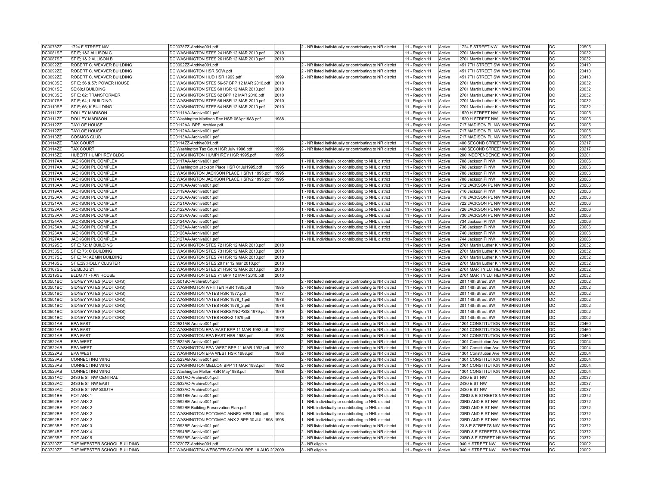| DC0078ZZ        | 1724 F STREET NW            | DC0078ZZ-Archive001.pdf                           |      | 2 - NR listed individually or contributing to NR district | 11 - Region 11 | Active | 1724 F STREET NW WASHINGTON        |                   | DC        | 20505 |
|-----------------|-----------------------------|---------------------------------------------------|------|-----------------------------------------------------------|----------------|--------|------------------------------------|-------------------|-----------|-------|
| DC0081SE        | ST E; 1&2 ALLISON C         | DC WASHINGTON STES 24 HSR 12 MAR 2010.pdf         | 2010 |                                                           | 11 - Region 11 | Active | 2701 Martin Luther Kin WASHINGTON  |                   | DC        | 20032 |
| <b>DC0087SE</b> | ST E; 1& 2 ALLISON B        | DC WASHINGTON STES 26 HSR 12 MAR 2010.pdf         | 2010 |                                                           | 11 - Region 11 | Active | 2701 Martin Luther Kin WASHINGTON  |                   | DC        | 20032 |
| DC0092ZZ        | ROBERT C. WEAVER BUILDING   | DC0092ZZ-Archive001.pdf                           |      | 2 - NR listed individually or contributing to NR district | 11 - Region 11 | Active | 451 7TH STREET SW WASHINGTON       |                   | DC        | 20410 |
| DC0092ZZ        | ROBERT C. WEAVER BUILDING   | DC WASHINGTON HSR SOW.pdf                         |      | 2 - NR listed individually or contributing to NR district | 11 - Region 11 | Active | 451 7TH STREET SW WASHINGTON       |                   | DC        | 20410 |
| DC0092ZZ        | ROBERT C. WEAVER BUILDING   | DC WASHINGTON HUD HSR 1999.pdf                    | 1999 | 2 - NR listed individually or contributing to NR district | 11 - Region 11 | Active | 451 7TH STREET SW WASHINGTON       |                   | DC        | 20410 |
|                 |                             |                                                   |      |                                                           |                |        |                                    |                   | DC        |       |
| <b>DC0100SE</b> | ST E; 56 & 57; POWER HOUSE  | DC WASHINGTON STES 56-57 BPP 12 MAR 2010.pdf      | 2010 |                                                           | 11 - Region 11 | Active | 2701 Martin Luther Kin WASHINGTON  |                   |           | 20032 |
| DC0101SE        | SE:60:J BUILDING            | DC WASHINGTON STES 60 HSR 12 MAR 2010.pdf         | 2010 |                                                           | 11 - Region 11 | Active | 2701 Martin Luther Kin WASHINGTON  |                   | <b>DC</b> | 20032 |
| <b>DC0103SE</b> | ST E; 62; TRANSFORMER       | DC WASHINGTON STES 62 BPP 12 MAR 2010.pdf         | 2010 |                                                           | 11 - Region 11 | Active | 2701 Martin Luther Kin WASHINGTON  |                   | DC        | 20032 |
| <b>DC0107SE</b> | ST E; 64; L BUILDING        | DC WASHINGTON STES 66 HSR 12 MAR 2010.pdf         | 2010 |                                                           | 11 - Region 11 | Active | 2701 Martin Luther Kin WASHINGTON  |                   | DC        | 20032 |
| <b>DC0110SE</b> | ST E; 66; K BUILDING        | DC WASHINGTON STES 64 HSR 12 MAR 2010.pdf         | 2010 |                                                           | 11 - Region 11 | Active | 2701 Martin Luther Kin WASHINGTON  |                   | DC        | 20032 |
| DC0111ZZ        | <b>DOLLEY MADISON</b>       | DC0111AA-Archive001.pdf                           |      |                                                           | 11 - Region 11 | Active | 1520 H STREET NW WASHINGTON        |                   | <b>DC</b> | 20005 |
| DC0111ZZ        | <b>DOLLEY MADISON</b>       | DC Washington Madison Rec HSR 06Apr1988.pdf       | 1988 |                                                           | 11 - Region 11 | Active | 1520 H STREET NW WASHINGTON        |                   | DC        | 20005 |
| DC0112ZZ        | <b>TAYLOE HOUSE</b>         | DC0112AA_BPP_Archive.pdf                          |      |                                                           | 11 - Region 11 | Active | 717 MADISON PL NW WASHINGTON       |                   | DC        | 20005 |
| DC0112ZZ        | <b>TAYLOE HOUSE</b>         | DC0112AA-Archive001.pdf                           |      |                                                           | 11 - Region 11 | Active | 717 MADISON PL NW WASHINGTON       |                   | <b>DC</b> | 20005 |
| DC0113ZZ        | COSMOS CLUB                 | DC0113AA-Archive001.pdf                           |      |                                                           | 11 - Region 11 | Active | 717 MADISON PL NW WASHINGTON       |                   | DC        | 20005 |
| DC0114ZZ        | <b>TAX COURT</b>            | DC0114ZZ-Archive001.pdf                           |      | 2 - NR listed individually or contributing to NR district | 11 - Region 11 | Active | 400 SECOND STREETWASHINGTON        |                   | DC        | 20217 |
| DC0114ZZ        | <b>TAX COURT</b>            | DC Washington Tax Court HSR July 1996.pdf         | 1996 | 2 - NR listed individually or contributing to NR district | 11 - Region 11 | Active | 400 SECOND STREETWASHINGTON        |                   | <b>DC</b> | 20217 |
| DC0115ZZ        | HUBERT HUMPHREY BLDG        | DC WASHINGTON HUMPHREY HSR 1995.pdf               | 1995 |                                                           | 11 - Region 11 | Active | 200 INDEPENDENCE WASHINGTON        |                   | DC        | 20201 |
| DC0117AA        | JACKSON PL COMPLEX          | DC0117AA-Archive001.pdf                           |      | 1 - NHL individually or contributing to NHL district      | 11 - Region 11 | Active | 708 Jackson PI NW                  | <b>WASHINGTON</b> | DC        | 20006 |
| <b>DC0117AA</b> | <b>JACKSON PL COMPLEX</b>   | DC Washington Jackson Place HSR 01Jul1995.pdf     | 1995 | 1 - NHL individually or contributing to NHL district      |                | Active | 708 Jackson PI NW                  | <b>WASHINGTON</b> | DC        | 20006 |
|                 |                             |                                                   |      |                                                           | 11 - Region 11 |        |                                    |                   |           |       |
| DC0117AA        | JACKSON PL COMPLEX          | DC WASHINGTON JACKSON PLACE HSRv1 1995.pdf        | 1995 | 1 - NHL individually or contributing to NHL district      | 11 - Region 11 | Active | 708 Jackson PI NW                  | <b>WASHINGTON</b> | DC        | 20006 |
| DC0117AA        | JACKSON PL COMPLEX          | DC WASHINGTON JACKSON PLACE HSRv2 1995.pdf        | 1995 | - NHL individually or contributing to NHL district        | 11 - Region 11 | Active | 708 Jackson PI NW                  | <b>WASHINGTON</b> | DC        | 20006 |
| DC0118AA        | JACKSON PL COMPLEX          | DC0118AA-Archive001.pdf                           |      | 1 - NHL individually or contributing to NHL district      | 11 - Region 11 | Active | 712 JACKSON PL NW WASHINGTON       |                   | DC        | 20006 |
| DC0119AA        | <b>JACKSON PL COMPLEX</b>   | DC0119AA-Archive001.pdf                           |      | 1 - NHL individually or contributing to NHL district      | 11 - Region 11 | Active | 716 Jackson PI NW                  | <b>WASHINGTON</b> | DC        | 20006 |
| DC0120AA        | <b>JACKSON PL COMPLEX</b>   | DC0120AA-Archive001.pdf                           |      | 1 - NHL individually or contributing to NHL district      | 11 - Region 11 | Active | 718 JACKSON PL NW WASHINGTON       |                   | <b>DC</b> | 20006 |
| <b>DC0121AA</b> | JACKSON PL COMPLEX          | DC0121AA-Archive001.pdf                           |      | - NHL individually or contributing to NHL district        | 11 - Region 11 | Active | 722 JACKSON PL NW WASHINGTON       |                   | DC        | 20006 |
| DC0122AA        | JACKSON PL COMPLEX          | DC0122AA-Archive001.pdf                           |      | - NHL individually or contributing to NHL district        | 11 - Region 11 | Active | 726 JACKSON PL NW WASHINGTON       |                   | DC        | 20006 |
| DC0123AA        | JACKSON PL COMPLEX          | DC0123AA-Archive001.pdf                           |      | I - NHL individually or contributing to NHL district      | 11 - Region 11 | Active | 730 JACKSON PL NW WASHINGTON       |                   | <b>DC</b> | 20006 |
| DC0124AA        | <b>JACKSON PL COMPLEX</b>   | DC0124AA-Archive001.pdf                           |      | 1 - NHL individually or contributing to NHL district      | 11 - Region 11 | Active | 734 Jackson PI NW                  | <b>WASHINGTON</b> | DC        | 20006 |
| DC0125AA        | <b>JACKSON PL COMPLEX</b>   | DC0125AA-Archive001.pdf                           |      | - NHL individually or contributing to NHL district        | 11 - Region 11 | Active | 736 Jackson PI NW                  | <b>WASHINGTON</b> | DC        | 20006 |
| DC0126AA        | JACKSON PL COMPLEX          | DC0126AA-Archive001.pdf                           |      | - NHL individually or contributing to NHL district        | 11 - Region 11 | Active | 740 Jackson PI NW                  | <b>WASHINGTON</b> | DC        | 20006 |
| DC0127AA        | JACKSON PL COMPLEX          | DC0127AA-Archive001.pdf                           |      | - NHL individually or contributing to NHL district        | 11 - Region 11 | Active | 744 Jackson PI NW                  | <b>WASHINGTON</b> | DC        | 20006 |
| DC0129SE        | ST E; 72; M BUILDING        | DC WASHINGTON STES 72 HSR 12 MAR 2010.pdf         | 2010 |                                                           | 11 - Region 11 | Active | 2701 Martin Luther Kin WASHINGTON  |                   | DC        | 20032 |
| DC0133SE        | ST E; 73; C BUILDING        | DC WASHINGTON STES 73 HSR 12 MAR 2010.pdf         | 2010 |                                                           | 11 - Region 11 | Active | 2701 Martin Luther Kin WASHINGTON  |                   | DC        | 20032 |
|                 | ST E; 74; ADMIN BUILDING    | DC WASHINGTON STES 74 HSR 12 MAR 2010.pdf         | 2010 |                                                           |                |        | 2701 Martin Luther Kin WASHINGTON  |                   | DC        | 20032 |
| DC0137SE        |                             |                                                   |      |                                                           | 11 - Region 11 | Active |                                    |                   | <b>DC</b> |       |
| DC0148SE        | ST E;29;HOLLY CLUSTER       | DC WASHINGTON STES 29 hsr 12 mar 2010.pdf         | 2010 |                                                           | 11 - Region 11 | Active | 2701 Martin Luther Kin WASHINGTON  |                   |           | 20032 |
| <b>DC0167SE</b> | SE;BLDG 21                  | DC WASHINGTON STES 21 HSR 12 MAR 2010.pdf         | 2010 |                                                           | 11 - Region 11 | Active | 2701 MARTIN LUTHEI WASHINGTON      |                   | DC        | 20032 |
| <b>DC0219SE</b> | BLDG 71 - FAN HOUSE         | DC WASHINGTON STES 71 BPP 12 MAR 2010.pdf         | 2010 |                                                           | 11 - Region 11 | Active | 2701 MARTIN LUTHE WASHINGTON       |                   | DC        | 20032 |
| DC0501BC        | SIDNEY YATES (AUDITORS)     | DC0501BC-Archive001.pdf                           |      | 2 - NR listed individually or contributing to NR district | 11 - Region 11 | Active | 201 14th Street SW                 | <b>WASHINGTON</b> | DC        | 20002 |
| <b>DC0501BC</b> | SIDNEY YATES (AUDITORS)     | DC WASHINGTON WHITTEN HSR 1985.pdf                | 1985 | 2 - NR listed individually or contributing to NR district | 11 - Region 11 | Active | 201 14th Street SW                 | <b>WASHINGTON</b> | DC        | 20002 |
| DC0501BC        | SIDNEY YATES (AUDITORS)     | DC WASHINGTON YATES HSR 1977.pdf                  | 1977 | 2 - NR listed individually or contributing to NR district | 11 - Region 11 | Active | 201 14th Street SW                 | <b>WASHINGTON</b> | DC        | 20002 |
| DC0501BC        | SIDNEY YATES (AUDITORS)     | DC WASHINGTON YATES HSR 1978_1.pdf                | 1978 | 2 - NR listed individually or contributing to NR district | 11 - Region 11 | Active | 201 14th Street SW                 | WASHINGTON        | DC        | 20002 |
| DC0501BC        | SIDNEY YATES (AUDITORS)     | DC WASHINGTON YATES HSR 1978_2.pdf                | 1978 | 2 - NR listed individually or contributing to NR district | 11 - Region 11 | Active | 201 14th Street SW                 | <b>WASHINGTON</b> | DC        | 20002 |
| DC0501BC        | SIDNEY YATES (AUDITORS)     | DC WASHINGTON YATES HSRSYNOPSIS 1979.pdf          | 1979 | 2 - NR listed individually or contributing to NR district | 11 - Region 11 | Active | 201 14th Street SW                 | <b>WASHINGTON</b> | DC        | 20002 |
| <b>DC0501BC</b> | SIDNEY YATES (AUDITORS)     | DC WASHINGTON YATES HSRv2 1979.pdf                | 1979 | 2 - NR listed individually or contributing to NR district | 11 - Region 11 | Active | 201 14th Street SW                 | <b>WASHINGTON</b> | <b>DC</b> | 20002 |
| DC0521AB        | <b>EPA EAST</b>             | DC0521AB-Archive001.pdf                           |      | 2 - NR listed individually or contributing to NR district | 11 - Region 11 | Active | 1201 CONSTITUTION WASHINGTON       |                   | DC        | 20460 |
| DC0521AB        | <b>EPA EAST</b>             | DC WASHINGTON EPA-EAST BPP 11 MAR 1992.pdf        | 1992 | 2 - NR listed individually or contributing to NR district | 11 - Region 11 | Active | 1201 CONSTITUTION WASHINGTON       |                   | DC        | 20460 |
| DC0521AB        | EPA EAST                    | DC WASHINGTON EPA EAST HSR 1988.pdf               | 1988 | 2 - NR listed individually or contributing to NR district | 11 - Region 11 | Active | 1201 CONSTITUTION WASHINGTON       |                   | DC        | 20460 |
|                 | EPA WEST                    |                                                   |      |                                                           |                | Active | 1301 Constitution Ave   WASHINGTON |                   | DC        | 20004 |
| DC0522AB        |                             | DC0522AB-Archive001.pdf                           |      | 2 - NR listed individually or contributing to NR district | 11 - Region 11 |        |                                    |                   |           |       |
| DC0522AB        | EPA WEST                    | DC WASHINGTON EPA-WEST BPP 11 MAR 1992.pdf        | 1992 | 2 - NR listed individually or contributing to NR district | 11 - Region 11 | Active | 1301 Constitution Ave WASHINGTON   |                   | DC        | 20004 |
| DC0522AB        | <b>EPA WEST</b>             | DC WASHINGTON EPA WEST HSR 1988.pdf               | 1988 | 2 - NR listed individually or contributing to NR district | 11 - Region 11 | Active | 1301 Constitution Ave   WASHINGTON |                   | DC        | 20004 |
| DC0523AB        | CONNECTING WING             | DC0523AB-Archive001.pdf                           |      | - NR listed individually or contributing to NR district   | 11 - Region 11 | Active | 1301 CONSTITUTION WASHINGTON       |                   | DC        | 20004 |
| DC0523AB        | CONNECTING WING             | DC WASHINGTON MELLON BPP 11 MAR 1992.pdf          | 1992 | 2 - NR listed individually or contributing to NR district | 11 - Region 11 | Active | 1301 CONSTITUTION WASHINGTON       |                   | ldc       | 20004 |
| DC0523AB        | <b>CONNECTING WING</b>      | DC Washington Mellon HSR May1988.pdf              | 1988 | 2 - NR listed individually or contributing to NR district | 11 - Region 11 | Active | 1301 CONSTITUTION WASHINGTON       |                   | DC        | 20004 |
| DC0531AC        | 2430 E ST NW CENTRAL        | DC0531AC-Archive001.pdf                           |      | 2 - NR listed individually or contributing to NR district | 11 - Region 11 | Active | 2430 E ST NW                       | <b>WASHINGTON</b> | DC        | 20037 |
| DC0532AC        | 2430 E ST NW EAST           | DC0532AC-Archive001.pdf                           |      | 2 - NR listed individually or contributing to NR district | 11 - Region 11 | Active | 2430 E ST NW                       | <b>WASHINGTON</b> | <b>DC</b> | 20037 |
| DC0533AC        | 2430 E ST NW SOUTH          | DC0533AC-Archive001.pdf                           |      | 2 - NR listed individually or contributing to NR district | 11 - Region 11 | Active | 2430 E ST NW                       | WASHINGTON        | <b>DC</b> | 20037 |
| <b>DC0591BE</b> | POT ANX 1                   | DC0591BE-Archive001.pdf                           |      | 2 - NR listed individually or contributing to NR district | 11 - Region 11 | Active | 23RD & E STREETS NWASHINGTON       |                   | DC        | 20372 |
| DC0592BE        | POT ANX 2                   | DC0592BE-Archive001.pdf                           |      | 1 - NHL individually or contributing to NHL district      | 11 - Region 11 | Active | 23RD AND E ST NW WASHINGTON        |                   | DC        | 20372 |
| DC0592BE        | POT ANX 2                   | DC0592BE Building Preservation Plan.pdf           |      | 1 - NHL individually or contributing to NHL district      | 11 - Region 11 | Active | 23RD AND E ST NW WASHINGTON        |                   | DC        | 20372 |
| DC0592BE        | POT ANX 2                   | DC WASHINGTON POTOMAC ANNEX HSR 1994.pdf          | 1994 | 1 - NHL individually or contributing to NHL district      | 11 - Region 11 | Active | 23RD AND E ST NW WASHINGTON        |                   | DC        | 20372 |
| DC0592BE        | POT ANX 2                   | DC WASHINGTON POTOMAC ANX 2 BPP 30 JUL 1998. 1998 |      | 1 - NHL individually or contributing to NHL district      | 11 - Region 11 | Active | 23RD AND E ST NW WASHINGTON        |                   | <b>DC</b> | 20372 |
|                 |                             |                                                   |      |                                                           |                |        |                                    |                   |           |       |
| DC0593BE        | POT ANX 3                   | DC0593BE-Archive001.pdf                           |      | 2 - NR listed individually or contributing to NR district | 11 - Region 11 | Active | 23 & E STREETS NW WASHINGTON       |                   | DC        | 20372 |
| <b>DC0594BE</b> | POT ANX 4                   | DC0594BE-Archive001.pdf                           |      | 2 - NR listed individually or contributing to NR district | 11 - Region 11 | Active | 23RD & E STREETS NWASHINGTON       |                   | DC        | 20372 |
| DC0595BE        | POT ANX 5                   | DC0595BE-Archive001.pdf                           |      | 2 - NR listed individually or contributing to NR district | 11 - Region 11 | Active | 23RD & E STREET NV WASHINGTON      |                   | DC        | 20372 |
| DC0720ZZ        | THE WEBSTER SCHOOL BUILDING | DC0720ZZ-Archive001.pdf                           |      | 3 - NR eligible                                           | 11 - Region 11 | Active | 940 H STREET NW WASHINGTON         |                   | DC        | 20002 |
| DC0720ZZ        | THE WEBSTER SCHOOL BUILDING | DC WASHINGTON WEBSTER SCHOOL BPP 10 AUG 202009    |      | 3 - NR eligible                                           | 11 - Region 11 | Active | 940 H STREET NW                    | <b>WASHINGTON</b> | <b>DC</b> | 20002 |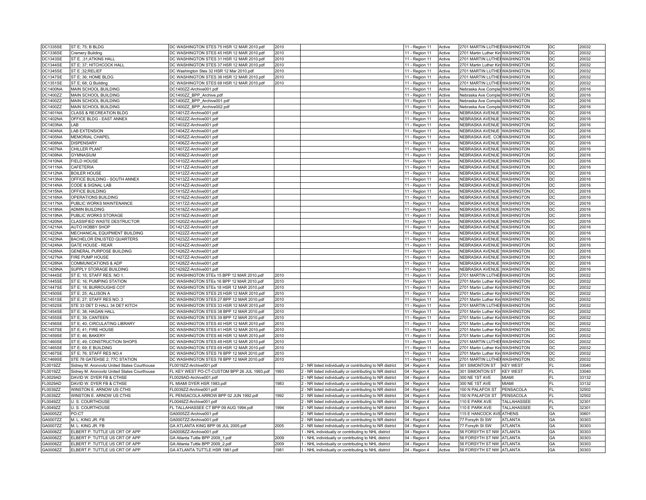| <b>DC1335SE</b>      | ST E; 75; B BLDG                                                 | DC WASHINGTON STES 75 HSR 12 MAR 2010.pdf                          | 2010         |                                                                                                              | 11 - Region 11                 | Active           | 2701 MARTIN LUTHE WASHINGTON                         |                 | DC              | 20032          |
|----------------------|------------------------------------------------------------------|--------------------------------------------------------------------|--------------|--------------------------------------------------------------------------------------------------------------|--------------------------------|------------------|------------------------------------------------------|-----------------|-----------------|----------------|
| <b>DC1336SE</b>      | <b>Cremery Building</b>                                          | DC WASHINGTON STES 45 HSR 12 MAR 2010.pdf                          | 2010         |                                                                                                              | 11 - Region 11                 | Active           | 2701 Martin Luther Kin WASHINGTON                    |                 | DC              | 20032          |
| <b>DC1343SE</b>      | ST E. : 31: ATKINS HALL                                          | DC WASHINGTON STES 31 HSR 12 MAR 2010.pdf                          | 2010         |                                                                                                              | 11 - Region 11                 | Active           | 2701 MARTIN LUTHE WASHINGTON                         |                 | DC              | 20032          |
| <b>DC1344SE</b>      | ST E; 37; HITCHCOCK HALL                                         | DC WASHINGTON STES 37 HSR 12 MAR 2010.pdf                          | 2010         |                                                                                                              | 11 - Region 11                 | Active           | 2701 Martin Luther Kin WASHINGTON                    |                 | DC              | 20032          |
|                      |                                                                  |                                                                    |              |                                                                                                              |                                |                  |                                                      |                 |                 |                |
| <b>DC1345SE</b>      | ST E : 32; RELIEF                                                | DC Washington Stes 32 HSR 12 Mar 2010.pdf                          | 2010         |                                                                                                              | 11 - Region 11                 | Active           | 2701 MARTIN LUTHE WASHINGTON                         |                 | DC              | 20032          |
| <b>DC1347SE</b>      | ST E; 36; HOME BLDG                                              | DC WASHINGTON STES 36 HSR 12 MAR 2010.pdf                          | 2010         |                                                                                                              | 11 - Region 11                 | Active           | 2701 MARTIN LUTHE WASHINGTON                         |                 | DC              | 20032          |
| <b>DC1351SE</b>      | ST E; 68; Q Building                                             | DC WASHINGTON STES 68 HSR 12 MAR 2010.pdf                          | 2010         |                                                                                                              | 11 - Region 11                 | Active           | 2701 MARTIN LUTHE WASHINGTON                         |                 | DC              | 20032          |
| DC1400NA             | MAIN SCHOOL BUILDING                                             | DC1400ZZ-Archive001.pdf                                            |              |                                                                                                              | 11 - Region 11                 | Active           | Nebraska Ave Comple WASHINGTON                       |                 | DC              | 20016          |
| DC1400ZZ             | MAIN SCHOOL BUILDING                                             | DC1400ZZ BPP Archive.pdf                                           |              |                                                                                                              | 11 - Region 11                 | Active           | Nebraska Ave Comple WASHINGTON                       |                 | l DC            | 20016          |
| DC1400ZZ             | MAIN SCHOOL BUILDING                                             | DC1400ZZ_BPP_Archive001.pdf                                        |              |                                                                                                              | 11 - Region 11                 | Active           | Nebraska Ave Comple: WASHINGTON                      |                 | DC              | 20016          |
| DC1400ZZ             | MAIN SCHOOL BUILDING                                             | DC1400ZZ BPP Archive002.pdf                                        |              |                                                                                                              | 11 - Region 11                 | Active           | Nebraska Ave Comple: WASHINGTON                      |                 | DC              | 20016          |
| DC1401NA             | CLASS & RECREATION BLDG                                          | DC1401ZZ-Archive001.pdf                                            |              |                                                                                                              | 11 - Region 11                 | Active           | NEBRASKA AVENUE WASHINGTON                           |                 | DC              | 20016          |
| <b>DC1402NA</b>      | OFFICE BLDG - EAST ANNEX                                         | DC1402ZZ-Archive001.pdf                                            |              |                                                                                                              | 11 - Region 11                 | Active           | NEBRASKA AVENUE WASHINGTON                           |                 | l DC            | 20016          |
| <b>DC1403NA</b>      | LAB                                                              | DC1403ZZ-Archive001.pdf                                            |              |                                                                                                              |                                | Active           | NEBRASKA AVENUE WASHINGTON                           |                 | DC              | 20016          |
|                      |                                                                  |                                                                    |              |                                                                                                              | 11 - Region 11                 |                  |                                                      |                 |                 |                |
| <b>DC1404NA</b>      | <b>LAB EXTENSION</b>                                             | DC1404ZZ-Archive001.pdf                                            |              |                                                                                                              | 11 - Region 11                 | Active           | NEBRASKA AVENUE WASHINGTON                           |                 | DC              | 20016          |
| <b>DC1405NA</b>      | MEMORIAL CHAPEL                                                  | DC1405ZZ-Archive001.pdf                                            |              |                                                                                                              | 11 - Region 11                 | Active           | NEBRASKA AVE. CON WASHINGTON                         |                 | DC              | 20016          |
| <b>DC1406NA</b>      | <b>DISPENSARY</b>                                                | DC1406ZZ-Archive001.pdf                                            |              |                                                                                                              | 11 - Region 11                 | Active           | NEBRASKA AVENUE WASHINGTON                           |                 | DC              | 20016          |
| <b>DC1407NA</b>      | CHILLER PLANT                                                    | DC1407ZZ-Archive001.pdf                                            |              |                                                                                                              | 11 - Region 11                 | Active           | NEBRASKA AVENUE WASHINGTON                           |                 | DC              | 20016          |
| DC1409NA             | <b>GYMNASIUM</b>                                                 | DC1409ZZ-Archive001.pdf                                            |              |                                                                                                              | 11 - Region 11                 | Active           | NEBRASKA AVENUE WASHINGTON                           |                 | <b>DC</b>       | 20016          |
| <b>DC1410NA</b>      | <b>FIELD HOUSE</b>                                               | DC1410ZZ-Archive001.pdf                                            |              |                                                                                                              | 11 - Region 11                 | Active           | NEBRASKA AVENUE WASHINGTON                           |                 | DC              | 20016          |
| <b>DC1411NA</b>      | CAFETERIA                                                        | DC1411ZZ-Archive001.pdf                                            |              |                                                                                                              | 11 - Region 11                 | Active           | NEBRASKA AVENUE WASHINGTON                           |                 | DC              | 20016          |
| DC1412NA             | <b>BOILER HOUSE</b>                                              | DC1412ZZ-Archive001.pdf                                            |              |                                                                                                              | 11 - Region 11                 | Active           | NEBRASKA AVENUE WASHINGTON                           |                 | DC              | 20016          |
| DC1413NA             | OFFICE BUILDING - SOUTH ANNEX                                    | DC1413ZZ-Archive001.pdf                                            |              |                                                                                                              | 11 - Region 11                 | Active           | NEBRASKA AVENUE WASHINGTON                           |                 | DC              | 20016          |
| <b>DC1414NA</b>      | CODE & SIGNAL LAB                                                | DC1414ZZ-Archive001.pdf                                            |              |                                                                                                              | 11 - Region 11                 | Active           | NEBRASKA AVENUE WASHINGTON                           |                 | l DC            | 20016          |
|                      |                                                                  |                                                                    |              |                                                                                                              |                                |                  |                                                      |                 |                 |                |
| <b>DC1415NA</b>      | OFFICE BUILDING                                                  | DC1415ZZ-Archive001.pdf                                            |              |                                                                                                              | 11 - Region 11                 | Active           | NEBRASKA AVENUE WASHINGTON                           |                 | DC              | 20016          |
| <b>DC1416NA</b>      | OPERATIONS BUILDING                                              | DC1416ZZ-Archive001.pdf                                            |              |                                                                                                              | 11 - Region 11                 | Active           | NEBRASKA AVENUE WASHINGTON                           |                 | DC              | 20016          |
| <b>DC1417NA</b>      | PUBLIC WORKS MAINTENANCE                                         | DC1417ZZ-Archive001.pdf                                            |              |                                                                                                              | 11 - Region 11                 | Active           | NEBRASKA AVENUE WASHINGTON                           |                 | DC              | 20016          |
| <b>DC1418NA</b>      | <b>ADMIN BUILDING</b>                                            | DC1418ZZ-Archive001.pdf                                            |              |                                                                                                              | 11 - Region 11                 | Active           | NEBRASKA AVENUE WASHINGTON                           |                 | DC              | 20016          |
| DC1419NA             | PUBLIC WORKS STORAGE                                             | DC1419ZZ-Archive001.pdf                                            |              |                                                                                                              | 11 - Region 11                 | Active           | NEBRASKA AVENUE WASHINGTON                           |                 | l DC            | 20016          |
| DC1420NA             | CLASSIFIED WASTE DESTRUCTOR                                      | DC1420ZZ-Archive001.pdf                                            |              |                                                                                                              | 11 - Region 11                 | Active           | NEBRASKA AVENUE WASHINGTON                           |                 | DC              | 20016          |
| <b>DC1421NA</b>      | AUTO HOBBY SHOP                                                  | DC1421ZZ-Archive001.pdf                                            |              |                                                                                                              | 11 - Region 11                 | Active           | NEBRASKA AVENUE WASHINGTON                           |                 | DC              | 20016          |
| DC1422NA             | MECHANICAL EQUIPMENT BUILDING                                    | DC1422ZZ-Archive001.pdf                                            |              |                                                                                                              | 11 - Region 11                 | Active           | NEBRASKA AVENUE WASHINGTON                           |                 | DC              | 20016          |
| <b>DC1423NA</b>      | BACHELOR ENLISTED QUARTERS                                       | DC1423ZZ-Archive001.pdf                                            |              |                                                                                                              | 11 - Region 11                 | Active           | NEBRASKA AVENUE WASHINGTON                           |                 | DC              | 20016          |
| DC1424NA             | <b>GATE HOUSE - REAR</b>                                         | DC1424ZZ-Archive001.pdf                                            |              |                                                                                                              | 11 - Region 11                 | Active           | NEBRASKA AVENUE WASHINGTON                           |                 | <b>DC</b>       | 20016          |
| DC1426NA             | GENERAL PURPOSE BUILDING                                         |                                                                    |              |                                                                                                              |                                |                  | NEBRASKA AVENUE WASHINGTON                           |                 | DC              | 20016          |
|                      |                                                                  | DC1426ZZ-Archive001.pdf                                            |              |                                                                                                              | 11 - Region 11                 | Active           |                                                      |                 |                 |                |
| DC1427NA             | FIRE PUMP HOUSE                                                  | DC1427ZZ-Archive001.pdf                                            |              |                                                                                                              | 11 - Region 11                 | Active           | NEBRASKA AVENUE WASHINGTON                           |                 | DC              | 20016          |
| DC1428NA             | COMMUNICATIONS & ADP                                             | DC1428ZZ-Archive001.pdf                                            |              |                                                                                                              | 11 - Region 11                 | Active           | NEBRASKA AVENUE WASHINGTON                           |                 | DC              | 20016          |
| <b>DC1429NA</b>      | SUPPLY STORAGE BUILDING                                          | DC1429ZZ-Archive001.pdf                                            |              |                                                                                                              | 11 - Region 11                 | Active           | NEBRASKA AVENUE WASHINGTON                           |                 | DC              | 20016          |
| <b>DC1444SE</b>      | ST E; 15; STAFF RES. NO 1                                        | DC WASHINGTON STEs 15 BPP 12 MAR 2010.pdf                          | 2010         |                                                                                                              | 11 - Region 11                 | Active           | 2701 MARTIN LUTHE WASHINGTON                         |                 | l DC            | 20032          |
| <b>DC1445SE</b>      | ST E; 16; PUMPING STATION                                        | DC WASHINGTON STEs 16 BPP 12 MAR 2010.pdf                          | 2010         |                                                                                                              | 11 - Region 11                 | Active           | 2701 Martin Luther Kin WASHINGTON                    |                 | DC              | 20032          |
| <b>DC1447SE</b>      | ST E; 18; BURROUGHS COT                                          | DC WASHINGTON STEs 18 HSR 12 MAR 2010.pdf                          | 2010         |                                                                                                              | 11 - Region 11                 | Active           | 2701 Martin Luther Kin WASHINGTON                    |                 | DC              | 20032          |
| <b>DC1450SE</b>      | ST E; 25; ALLISON A                                              | DC WASHINGTON STES 25 HSR 12 MAR 2010.pdf                          | 2010         |                                                                                                              | 11 - Region 11                 | Active           | 2701 Martin Luther Kin WASHINGTON                    |                 | DC              | 20032          |
| <b>DC1451SE</b>      | ST E; 27; STAFF RES NO. 3                                        | DC WASHINGTON STES 27 BPP 12 MAR 2010.pdf                          | 2010         |                                                                                                              | 11 - Region 11                 | Active           | 2701 Martin Luther Kin WASHINGTON                    |                 | DC              | 20032          |
| <b>DC1452SE</b>      | STE 33 DET D HALL 34 DET KITCH                                   | DC WASHINGTON STES 33 HSR 12 MAR 2010.pdf                          | 2010         |                                                                                                              | 11 - Region 11                 | Active           | 2701 MARTIN LUTHE WASHINGTON                         |                 | l DC            | 20032          |
| <b>DC1454SE</b>      | ST E; 38; HAGAN HALL                                             | DC WASHINGTON STES 38 BPP 12 MAR 2010.pdf                          | 2010         |                                                                                                              | 11 - Region 11                 | Active           | 2701 Martin Luther Kin WASHINGTON                    |                 | DC              | 20032          |
| <b>DC1455SE</b>      | ST E; 39; CANTEEN                                                | DC WASHINGTON STES 39 BPP 12 MAR 2010.pdf                          | 2010         |                                                                                                              | 11 - Region 11                 | Active           | 2701 Martin Luther Kin WASHINGTON                    |                 | DC              | 20032          |
|                      |                                                                  |                                                                    |              |                                                                                                              |                                |                  |                                                      |                 |                 |                |
| DC1456SE             | ST E; 40; CIRCULATING LIBRARY                                    | DC WASHINGTON STES 40 HSR 12 MAR 2010.pdf                          | 2010         |                                                                                                              | 11 - Region 11                 | Active           | 2701 Martin Luther Kin WASHINGTON                    |                 | DC              | 20032          |
| <b>DC1457SE</b>      | ST E; 41; FIRE HOUSE                                             | DC WASHINGTON STES 41 HSR 12 MAR 2010.pdf                          | 2010         |                                                                                                              | 11 - Region 11                 | Active           | 2701 Martin Luther Kin WASHINGTON                    |                 | DC              | 20032          |
| <b>DC1459SE</b>      | ST E; 46; BAKERY                                                 | DC WASHINGTON STES 46 HSR 12 MAR 2010.pdf                          | 2010         |                                                                                                              | 11 - Region 11                 | Active           | 2701 Martin Luther Kin WASHINGTON                    |                 | DC              | 20032          |
| <b>DC1460SE</b>      | ST E; 49; CONSTRUCTION SHOPS                                     | DC WASHINGTON STES 49 HSR 12 MAR 2010.pdf                          | 2010         |                                                                                                              | 11 - Region 11                 | Active           | 2701 MARTIN LUTHE WASHINGTON                         |                 | DC              | 20032          |
| <b>DC1465SE</b>      | ST E; 69; E BUILDING                                             | DC WASHINGTON STES 69 HSR 12 MAR 2010.pdf                          | 2010         |                                                                                                              | 11 - Region 11                 | Active           | 2701 Martin Luther Kin WASHINGTON                    |                 | DC              | 20032          |
| <b>DC1467SE</b>      | ST E; 76; STAFF RES NO.4                                         | DC WASHINGTON STES 76 BPP 12 MAR 2010.pdf                          | 2010         |                                                                                                              | 11 - Region 11                 | Active           | 2701 Martin Luther Kin WASHINGTON                    |                 | DC              | 20032          |
| <b>DC1469SE</b>      | STE 78 GATEHSE 2; 77C STATION                                    | DC WASHINGTON STES 78 BPP 12 MAR 2010.pdf                          | 2010         |                                                                                                              | 11 - Region 11                 | Active           | 2701 MARTIN LUTHE WASHINGTON                         |                 | DC              | 20032          |
| FL0019ZZ             | Sidney M. Aronovitz United States Courthouse                     | FL0019ZZ-Archive001.pdf                                            |              | 2 - NR listed individually or contributing to NR district                                                    | 04 - Region 4                  | Active           | 301 SIMONTON ST                                      | <b>KEY WEST</b> | FL              | 33040          |
| FL0019ZZ             | Sidney M. Aronovitz United States Courthouse                     | FL KEY WEST PO-CT-CUSTOM BPP 26 JUL 1993.pdf                       | 1993         | 2 - NR listed individually or contributing to NR district                                                    | 04 - Region 4                  | Active           | 301 SIMONTON ST                                      | <b>KEY WEST</b> | IFL             | 33040          |
| <b>FL0029AD</b>      | DAVID W. DYER FB & CTHSE                                         | FL0029AD-Archive001.pdf                                            |              | 2 - NR listed individually or contributing to NR district                                                    | 04 - Region 4                  | Active           | 300 NE 1ST AVE                                       | <b>MAMI</b>     | FL              | 33132          |
| <b>FL0029AD</b>      | DAVID W. DYER FB & CTHSE                                         | FL MIAMI DYER HSR 1983.pdf                                         | 1983         | 2 - NR listed individually or contributing to NR district                                                    | 04 - Region 4                  | Active           | 300 NE 1ST AVE                                       | MIAMI           | IFL             | 33132          |
|                      |                                                                  |                                                                    |              |                                                                                                              |                                |                  |                                                      |                 |                 |                |
| FL0039ZZ             | WINSTON E. ARNOW US CTHS                                         | FL0039ZZ-Archive001.pdf                                            |              | 2 - NR listed individually or contributing to NR district                                                    | 04 - Region 4                  | Active           | 100 N PALAFOX ST                                     | PENSACOLA       | FL              | 32502          |
| FL0039ZZ             | WINSTON E. ARNOW US CTHS                                         | FL PENSACOLA ARROW BPP 02 JUN 1992.pdf                             | 1992         | 2 - NR listed individually or contributing to NR district                                                    | 04 - Region 4                  | Active           | 100 N PALAFOX ST                                     | PENSACOLA       | FL              | 32502          |
| FL0049ZZ             | U. S. COURTHOUSE                                                 | FL0049ZZ-Archive001.pdf                                            |              | 2 - NR listed individually or contributing to NR district                                                    | 04 - Region 4                  | Active           | 110 E PARK AVE                                       | TALLAHASSEE     | FL              | 32301          |
| FL0049ZZ             | U. S. COURTHOUSE                                                 | FL TALLAHASSEE CT BPP 09 AUG 1994.pdf                              | 1994         | 2 - NR listed individually or contributing to NR district                                                    | 04 - Region 4                  | Active           | 110 E PARK AVE                                       | TALLAHASSEE     | FL              | 32301          |
| GA0005ZZ             | PO-CT                                                            | GA0005ZZ-Archive001.pdf                                            |              | 2 - NR listed individually or contributing to NR district                                                    | 04 - Region 4                  | Active           | 115 E HANCOCK AVE ATHENS                             |                 | GA              | 30601          |
| GA0007ZZ             | M. L. KING JR. FB                                                | GA0007ZZ-Archive001.pdf                                            |              | 2 - NR listed individually or contributing to NR district                                                    | 04 - Region 4                  | Active           | 77 Forsyth St SW                                     | ATLANTA         | GA              | 30303          |
| GA0007ZZ             | M. L. KING JR. FB                                                | GA ATLANTA KING BPP 06 JUL 2005.pdf                                | 2005         | 2 - NR listed individually or contributing to NR district                                                    | 04 - Region 4                  | Active           | 77 Forsyth St SW                                     | <b>ATLANTA</b>  | GA              | 30303          |
| GA0008ZZ             | ELBERT P. TUTTLE US CRT OF APP                                   | GA0008ZZ-Archive001.pdf                                            |              | 1 - NHL individually or contributing to NHL district                                                         | 04 - Region 4                  | Active           | 56 FORSYTH ST NW ATLANTA                             |                 | GA              | 30303          |
|                      |                                                                  |                                                                    |              |                                                                                                              |                                |                  |                                                      |                 |                 |                |
|                      |                                                                  |                                                                    |              |                                                                                                              |                                |                  |                                                      |                 |                 |                |
| GA0008ZZ             | ELBERT P. TUTTLE US CRT OF APP                                   | GA Atlanta Tuttle BPP 2009_1.pdf                                   | 2009         | 1 - NHL individually or contributing to NHL district                                                         | 04 - Region 4                  | Active           | 56 FORSYTH ST NW ATLANTA                             |                 | GA              | 30303          |
| GA0008ZZ<br>GA0008ZZ | ELBERT P. TUTTLE US CRT OF APP<br>ELBERT P. TUTTLE US CRT OF APP | GA Atlanta Tuttle BPP 2009_2.pdf<br>GA ATLANTA TUTTLE HSR 1981.pdf | 2009<br>1981 | 1 - NHL individually or contributing to NHL district<br>1 - NHL individually or contributing to NHL district | 04 - Region 4<br>04 - Region 4 | Active<br>Active | 56 FORSYTH ST NW ATLANTA<br>56 FORSYTH ST NW ATLANTA |                 | <b>GA</b><br>GA | 30303<br>30303 |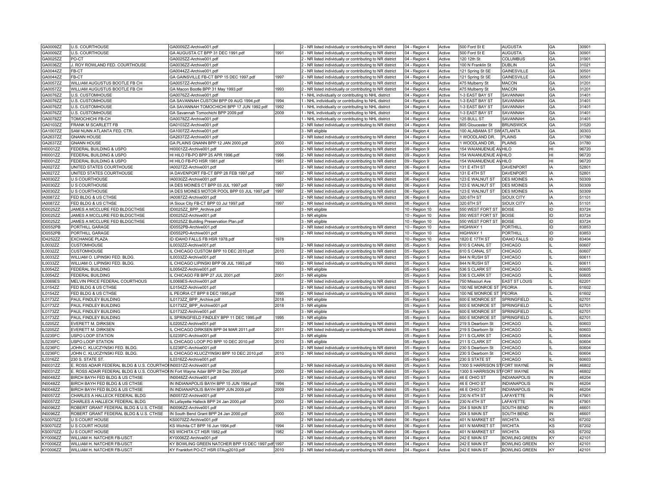| GA0009ZZ        | <b>U.S. COURTHOUSE</b>                                                            | GA0009ZZ-Archive001.pdf                           |      | 2 - NR listed individually or contributing to NR district | 04 - Region 4  | Active | 500 Ford St E                 | <b>AUGUSTA</b>       | GA        | 30901 |
|-----------------|-----------------------------------------------------------------------------------|---------------------------------------------------|------|-----------------------------------------------------------|----------------|--------|-------------------------------|----------------------|-----------|-------|
| GA0009ZZ        | U.S. COURTHOUSE                                                                   | GA AUGUSTA CT BPP 31 DEC 1991.pdf                 | 1991 | 2 - NR listed individually or contributing to NR district | 04 - Region 4  | Active | 500 Ford St E                 | AUGUSTA              | GA        | 30901 |
| GA0025ZZ        | PO-CT                                                                             | GA0025ZZ-Archive001.pdf                           |      | 2 - NR listed individually or contributing to NR district | 04 - Region 4  | Active | 120 12th St                   | COLUMBUS             | GA        | 31901 |
| GA0036ZZ        | J. ROY ROWLAND FED. COURTHOUSE                                                    | GA0036ZZ-Archive001.pdf                           |      | 2 - NR listed individually or contributing to NR district | 04 - Region 4  | Active | 100 N Franklin St             | <b>DUBLIN</b>        | GA        | 31021 |
| GA0044ZZ        | FB-CT                                                                             | GA0044ZZ-Archive001.pdf                           |      | 2 - NR listed individually or contributing to NR district | 04 - Region 4  | Active | 121 Spring St SE              | <b>GAINESVILLE</b>   | GA        | 30501 |
| GA0044ZZ        | FB-CT                                                                             | GA GAINSVILLE FB-CT BPP 15 DEC 1997.pdf           | 1997 | 2 - NR listed individually or contributing to NR district | 04 - Region 4  | Active | 121 Spring St SE              | GAINESVILLE          | <b>GA</b> | 30501 |
| GA0057ZZ        | WILLIAM AUGUSTUS BOOTLE FB CH                                                     | GA0057ZZ-Archive001.pdf                           |      | 2 - NR listed individually or contributing to NR district | 04 - Region 4  | Active | 475 Mulberry St               | <b>MACON</b>         | GA        | 31201 |
| GA0057ZZ        | WILLIAM AUGUSTUS BOOTLE FB CH                                                     | GA Macon Bootle BPP 31 May 1993.pdf               | 1993 | 2 - NR listed individually or contributing to NR district | 04 - Region 4  | Active | 475 Mulberry St               | <b>MACON</b>         | <b>GA</b> | 31201 |
| GA0076ZZ        | <b>U.S. CUSTOMHOUSE</b>                                                           | GA0076ZZ-Archive001.pdf                           |      | 1 - NHL individually or contributing to NHL district      | 04 - Region 4  | Active | 1-3 EAST BAY ST               | SAVANNAH             | <b>GA</b> | 31401 |
| GA0076ZZ        | U.S. CUSTOMHOUSE                                                                  | GA SAVANNAH CUSTOM BPP 09 AUG 1994.pdf            | 1994 | 1 - NHL individually or contributing to NHL district      | 04 - Region 4  | Active | 1-3 EAST BAY ST               | SAVANNAH             | GA        | 31401 |
| GA0076ZZ        | U.S. CUSTOMHOUSE                                                                  | GA SAVANNAH TOMOCHICHI BPP 17 JUN 1992.pdf        | 1992 | 1 - NHL individually or contributing to NHL district      | 04 - Region 4  | Active | 1-3 EAST BAY ST               | SAVANNAH             | GA        | 31401 |
| GA0076ZZ        | U.S. CUSTOMHOUSE                                                                  | GA Savannah Tomochichi BPP 2009.pdf               | 2009 | 1 - NHL individually or contributing to NHL district      | 04 - Region 4  | Active | 1-3 EAST BAY ST               | SAVANNAH             | GA        | 31401 |
| GA0078ZZ        | TOMOCHICHI FB-CH                                                                  | GA0078ZZ-Archive001.pdf                           |      | 1 - NHL individually or contributing to NHL district      | 04 - Region 4  | Active | 125 BULL ST                   | SAVANNAH             | GA        | 31401 |
| GA0103ZZ        | FRANK M SCARLETT FB                                                               | GA0103ZZ-Archive001.pdf                           |      | 2 - NR listed individually or contributing to NR district | 04 - Region 4  | Active | 805 Gloucester St             | <b>BRUNSWICK</b>     | GA        | 31520 |
| GA1007ZZ        | SAM NUNN ATLANTA FED. CTR.                                                        | GA1007ZZ-Archive001.pdf                           |      | 3 - NR eligible                                           | 04 - Region 4  | Active | 100 ALABAMA ST SW ATLANTA     |                      | GA        | 30303 |
| GA2637ZZ        | <b>GNANN HOUSE</b>                                                                | GA2637ZZ-Archive001.pdf                           |      | 2 - NR listed individually or contributing to NR district | 04 - Region 4  | Active | 1 WOODLAND DR.                | PLAINS               | <b>GA</b> | 31780 |
| GA2637ZZ        | <b>GNANN HOUSE</b>                                                                | GA PLAINS GNANN BPP 12 JAN 2000.pdf               | 2000 | 2 - NR listed individually or contributing to NR district | 04 - Region 4  | Active | 1 WOODLAND DR.                | PLAINS               | GA        | 31780 |
| HI0001ZZ        | FEDERAL BUILDING & USPO                                                           | HI0001ZZ-Archive001.pdf                           |      | 2 - NR listed individually or contributing to NR district | 09 - Region 9  | Active | 154 WAIANUENUE AVHILO         |                      | lнı       | 96720 |
| HI0001ZZ        | FEDERAL BUILDING & USPO                                                           | HI HILO FB-PO BPP 25 APR 1996.pdf                 | 1996 | 2 - NR listed individually or contributing to NR district | 09 - Region 9  | Active | 154 WAIANUENUE AVHILO         |                      | lнı       | 96720 |
| HI0001ZZ        | FEDERAL BUILDING & USPO                                                           | HI HILO FB-PO HSR 1981.pdf                        | 1981 | 2 - NR listed individually or contributing to NR district | 09 - Region 9  | Active | 154 WAIANUENUE AVHILO         |                      | lнı       | 96720 |
| IA0027ZZ        | UNITED STATES COURTHOUSE                                                          | IA0027ZZ-Archive001.pdf                           |      | 2 - NR listed individually or contributing to NR district | 06 - Region 6  | Active | 131 E 4TH ST                  | DAVENPORT            | IA        | 52801 |
| IA0027ZZ        | UNITED STATES COURTHOUSE                                                          | IA DAVENPORT FB-CT BPP 28 FEB 1997.pdf            | 1997 | 2 - NR listed individually or contributing to NR district | 06 - Region 6  | Active | 131 E 4TH ST                  | DAVENPORT            | IA        | 52801 |
| IA0030ZZ        | <b>U S COURTHOUSE</b>                                                             | IA0030ZZ-Archive001.pdf                           |      | 2 - NR listed individually or contributing to NR district | 06 - Region 6  | Active | 123 E WALNUT ST               | <b>DES MOINES</b>    | IA        | 50309 |
| IA0030ZZ        | <b>U S COURTHOUSE</b>                                                             | IA DES MOINES CT BPP 03 JUL 1997.pdf              | 1997 | 2 - NR listed individually or contributing to NR district | 06 - Region 6  | Active | 123 E WALNUT ST               | <b>DES MOINES</b>    | l IA      | 50309 |
|                 |                                                                                   |                                                   |      |                                                           |                |        |                               |                      |           |       |
| IA0030ZZ        | <b>U S COURTHOUSE</b>                                                             | IA DES MOINES MOTOR POOL BPP 03 JUL 1997.pdf      | 1997 | 2 - NR listed individually or contributing to NR district | 06 - Region 6  | Active | 123 E WALNUT ST               | <b>DES MOINES</b>    | IA        | 50309 |
| <b>IA0087ZZ</b> | FED BLDG & US CTHSE                                                               | IA0087ZZ-Archive001.pdf                           |      | 2 - NR listed individually or contributing to NR district | 06 - Region 6  | Active | 320 6TH ST                    | SIOUX CITY           | IA        | 51101 |
| IA0087ZZ        | FED BLDG & US CTHSE                                                               | IA Sioux City FB-CT BPP 03 Jul 1997.pdf           | 1997 | 2 - NR listed individually or contributing to NR district | 06 - Region 6  | Active | 320 6TH ST                    | SIOUX CITY           | IA        | 51101 |
| ID0025ZZ        | JAMES A MCCLURE FED BLDGCTHSE                                                     | ID0025ZZ BPP Archive.pdf                          |      | 3 - NR eligible                                           | 10 - Region 10 | Active | 550 WEST FORT ST BOISE        |                      | İID       | 83724 |
| ID0025ZZ        | JAMES A MCCLURE FED BLDGCTHSE                                                     | ID0025ZZ-Archive001.pdf                           |      | 3 - NR eligible                                           | 10 - Region 10 | Active | 550 WEST FORT ST              | <b>BOISE</b>         | İID       | 83724 |
| ID0025ZZ        | JAMES A MCCLURE FED BLDGCTHSE                                                     | ID0025ZZ Building Preservation Plan.pdf           |      | 3 - NR eligible                                           | 10 - Region 10 | Active | 550 WEST FORT ST              | <b>BOISE</b>         | İID       | 83724 |
| ID0552PB        | PORTHILL GARAGE                                                                   | ID0552PB-Archive001.pdf                           |      | 2 - NR listed individually or contributing to NR district | 10 - Region 10 | Active | HIGHWAY 1                     | PORTHILL             | ID        | 83853 |
| ID0552PB        | PORTHILL GARAGE                                                                   | ID0552PD-Archive001.pdf                           |      | 2 - NR listed individually or contributing to NR district | 10 - Region 10 | Active | HIGHWAY 1                     | PORTHILL             | ID        | 83853 |
| ID4252ZZ        | EXCHANGE PLAZA                                                                    | ID IDAHO FALLS FB HSR 1978.pdf                    | 1978 |                                                           | 10 - Region 10 | Active | 1820 E 17TH ST                | <b>IDAHO FALLS</b>   | ID.       | 83404 |
| IL0032ZZ        | CUSTOMHOUSE                                                                       | IL0032ZZ-Archive001.pdf                           |      | 2 - NR listed individually or contributing to NR district | 05 - Region 5  | Active | 610 S CANAL ST                | CHICAGO              |           | 60607 |
| IL0032ZZ        | <b>CUSTOMHOUSE</b>                                                                | IL CHICAGO CUSTOM BPP 10 DEC 2010.pdf             | 2010 | 2 - NR listed individually or contributing to NR district | 05 - Region 5  | Active | 610 S CANAL ST                | CHICAGO              | ١L        | 60607 |
| IL0033ZZ        | WILLIAM O. LIPINSKI FED. BLDG.                                                    | IL0033ZZ-Archive001.pdf                           |      | 2 - NR listed individually or contributing to NR district | 05 - Region 5  | Active | 844 N RUSH ST                 | CHICAGO              | lш        | 60611 |
| IL0033ZZ        | WILLIAM O. LIPINSKI FED. BLDG.                                                    | IL CHICAGO LIPINSKI BPP 06 JUL 1993.pdf           | 1993 | 2 - NR listed individually or contributing to NR district | 05 - Region 5  | Active | 844 N RUSH ST                 | CHICAGO              | Iш        | 60611 |
| IL0054ZZ        | <b>FEDERAL BUILDING</b>                                                           | IL0054ZZ-Archive001.pdf                           |      | 3 - NR eligible                                           | 05 - Region 5  | Active | 536 S CLARK ST                | CHICAGO              | Iщ        | 60605 |
| IL0054ZZ        | <b>FEDERAL BUILDING</b>                                                           | IL CHICAGO FB BPP 27 JUL 2001.pdf                 | 2001 | 3 - NR eligible                                           | 05 - Region 5  | Active | 536 S CLARK ST                | CHICAGO              |           | 60605 |
| <b>IL0069ES</b> | MELVIN PRICE FEDERAL COURTHOUS                                                    | IL0069ES-Archive001.pdf                           |      | 2 - NR listed individually or contributing to NR district | 05 - Region 5  | Active | 750 Missouri Ave              | <b>EAST ST LOUIS</b> | l١L       | 62201 |
| IL0154ZZ        | FED BLDG & US CTHSE                                                               | IL0154ZZ-Archive001.pdf                           |      | 2 - NR listed individually or contributing to NR district | 05 - Region 5  | Active | 100 NE MONROE ST              | PEORIA               | Iщ        | 61602 |
| IL0154ZZ        | FED BLDG & US CTHSE                                                               | IL PEORIA CT BPP 8 DEC 1995.pdf                   | 1995 | 2 - NR listed individually or contributing to NR district | 05 - Region 5  | Active | 100 NE MONROE ST PEORIA       |                      |           | 61602 |
| IL0173ZZ        | PAUL FINDLEY BUILDING                                                             | IL0173ZZ_BPP_Archive.pdf                          | 2018 | 3 - NR eligible                                           | 05 - Region 5  | Active | 600 E MONROE ST               | SPRINGFIELD          | Iш        | 62701 |
| IL0173ZZ        | PAUL FINDLEY BUILDING                                                             | IL0173ZZ BPP Archive001.pdf                       | 2018 | 3 - NR eligible                                           | 05 - Region 5  | Active | 600 E MONROE ST               | SPRINGFIELD          |           | 62701 |
| IL0173ZZ        | PAUL FINDLEY BUILDING                                                             | IL0173ZZ-Archive001.pdf                           |      | 3 - NR eligible                                           | 05 - Region 5  | Active | 600 E MONROE ST               | SPRINGFIELD          | l١L       | 62701 |
| IL0173ZZ        | PAUL FINDLEY BUILDING                                                             | IL SPRINGFIELD FINDLEY BPP 11 DEC 1995.pdf        | 1995 | 3 - NR eligible                                           | 05 - Region 5  | Active | 600 E MONROE ST               | SPRINGFIELD          | l١L       | 62701 |
| IL0205ZZ        | EVERETT M. DIRKSEN                                                                | IL0205ZZ-Archive001.pdf                           |      | 2 - NR listed individually or contributing to NR district | 05 - Region 5  | Active | 219 S Dearborn St             | CHICAGO              | Iш        | 60603 |
| IL0205ZZ        | <b>EVERETT M. DIRKSEN</b>                                                         | IL CHICAGO DIRKSEN BPP 04 MAR 2011.pdf            | 2011 | 2 - NR listed individually or contributing to NR district | 05 - Region 5  | Active | 219 S Dearborn St             | CHICAGO              | Iш        | 60603 |
| IL0235FC        | USPO LOOP STATION                                                                 | IL0235FC-Archive001.pdf                           |      | 3 - NR eligible                                           | 05 - Region 5  | Active | 211 S CLARK ST                | CHICAGO              | Iщ        | 60604 |
| IL0235FC        | USPO LOOP STATION                                                                 | IL CHICAGO LOOP PO BPP 10 DEC 2010.pdf            | 2010 | $3 - NR$ eligible                                         | 05 - Region 5  | Active | 211 S CLARK ST                | CHICAGO              | lш        | 60604 |
| IL0236FC        | JOHN C. KLUCZYNSKI FED. BLDG.                                                     | IL0236FC-Archive001.pdf                           |      | 2 - NR listed individually or contributing to NR district | 05 - Region 5  | Active | 230 S Dearborn St             | CHICAGO              | Iш        | 60604 |
| IL0236FC        | JOHN C. KLUCZYNSKI FED. BLDG.                                                     | IL CHICAGO KLUCZYINSKI BPP 10 DEC 2010.pdf        | 2010 | 2 - NR listed individually or contributing to NR district | 05 - Region 5  | Active | 230 S Dearborn St             | CHICAGO              | Iш        | 60604 |
| IL0316ZZ        | 230 S. STATE ST.                                                                  | IL0316ZZ-Archive001.pdf                           |      |                                                           | 05 - Region 5  | Active | 230 S STATE ST                | CHICAGO              | Iш        | 60603 |
| <b>IN0031ZZ</b> | E. ROSS ADAIR FEDERAL BLDG & U.S. COURTHOUN0031ZZ-Archive001.pdf                  |                                                   |      | 2 - NR listed individually or contributing to NR district | 05 - Region 5  | Active | 1300 S HARRISON ST FORT WAYNE |                      | IN.       | 46802 |
| <b>IN0031ZZ</b> | E. ROSS ADAIR FEDERAL BLDG & U.S. COURTHOUIN Fort Wayne Adair BPP 28 Dec 2000.pdf |                                                   | 2000 | 2 - NR listed individually or contributing to NR district | 05 - Region 5  | Active | 1300 S HARRISON ST FORT WAYNE |                      | İN        | 46802 |
| IN0048ZZ        | BIRCH BAYH FED BLDG & US CTHSE                                                    | IN0048ZZ-Archive001.pdf                           |      | 2 - NR listed individually or contributing to NR district | 05 - Region 5  | Active | 46 E OHIO ST                  | <b>INDIANAPOLIS</b>  | IN.       | 46204 |
| <b>IN0048ZZ</b> | BIRCH BAYH FED BLDG & US CTHSE                                                    | IN INDIANAPOLIS BAYH BPP 15 JUN 1994.pdf          | 1994 | 2 - NR listed individually or contributing to NR district | 05 - Region 5  | Active | 46 E OHIO ST                  | <b>INDIANAPOLIS</b>  | IN        | 46204 |
| <b>IN0048ZZ</b> | BIRCH BAYH FED BLDG & US CTHSE                                                    | IN INDIANAPOLIS BAYH BPP JUN 2009.pdf             | 2009 | 2 - NR listed individually or contributing to NR district | 05 - Region 5  | Active | 46 E OHIO ST                  | <b>INDIANAPOLIS</b>  | IN.       | 46204 |
| <b>IN0057ZZ</b> | CHARLES A HALLECK FEDERAL BLDG                                                    | IN0057ZZ-Archive001.pdf                           |      | 2 - NR listed individually or contributing to NR district | 05 - Region 5  | Active | 230 N 4TH ST                  | LAFAYETTE            | İIN       | 47901 |
| <b>IN0057ZZ</b> | CHARLES A HALLECK FEDERAL BLDG                                                    | IN Lafayette Halleck BPP 24 Jan 2000.pdf          | 2000 | 2 - NR listed individually or contributing to NR district | 05 - Region 5  | Active | 230 N 4TH ST                  | LAFAYETTE            | İIN       | 47901 |
| <b>IN0096ZZ</b> | ROBERT GRANT FEDERAL BLDG & U.S. CTHSE                                            | IN0096ZZ-Archive001.pdf                           |      | 2 - NR listed individually or contributing to NR district | 05 - Region 5  | Active | 204 S MAIN ST                 | SOUTH BEND           | IN.       | 46601 |
| IN0096ZZ        | ROBERT GRANT FEDERAL BLDG & U.S. CTHSE                                            | IN South Bend Grant BPP 24 Jan 2000.pdf           | 2000 | 2 - NR listed individually or contributing to NR district | 05 - Region 5  | Active | 204 S MAIN ST                 | SOUTH BEND           | İIN       | 46601 |
| <b>KS0070ZZ</b> | U S COURT HOUSE                                                                   | KS0070ZZ-Archive001.pdf                           |      | 2 - NR listed individually or contributing to NR district | 06 - Region 6  | Active | 401 N MARKET ST               | <b>WICHITA</b>       | KS        | 67202 |
| <b>KS0070ZZ</b> | U S COURT HOUSE                                                                   | KS Wichita CT BPP 16 Jun 1994.pdf                 | 1994 | 2 - NR listed individually or contributing to NR district | 06 - Region 6  | Active | 401 N MARKET ST               | <b>WICHITA</b>       | KS.       | 67202 |
| <b>KS0070ZZ</b> | U S COURT HOUSE                                                                   | KS WICHITA CT HSR 1982.pdf                        | 1982 | 2 - NR listed individually or contributing to NR district | 06 - Region 6  | Active | 401 N MARKET ST               | <b>WICHITA</b>       | KS        | 67202 |
| KY0006ZZ        | WILLIAM H. NATCHER FB-USCT                                                        | KY0006ZZ-Archive001.pdf                           |      | 2 - NR listed individually or contributing to NR district | 04 - Region 4  | Active | 242 E MAIN ST                 | <b>BOWLING GREEN</b> | KY        | 42101 |
| KY0006ZZ        | WILLIAM H. NATCHER FB-USCT                                                        | KY BOWLING GREEN NATCHER BPP 15 DEC 1997.pdf 1997 |      | 2 - NR listed individually or contributing to NR district | 04 - Region 4  | Active | 242 E MAIN ST                 | <b>BOWLING GREEN</b> | KY        | 42101 |
| KY0006ZZ        | WILLIAM H. NATCHER FB-USCT                                                        | KY Frankfort PO-CT HSR 07Aug2010.pdf              | 2010 | 2 - NR listed individually or contributing to NR district | 04 - Region 4  | Active | 242 E MAIN ST                 | <b>BOWLING GREEN</b> | <b>KY</b> | 42101 |
|                 |                                                                                   |                                                   |      |                                                           |                |        |                               |                      |           |       |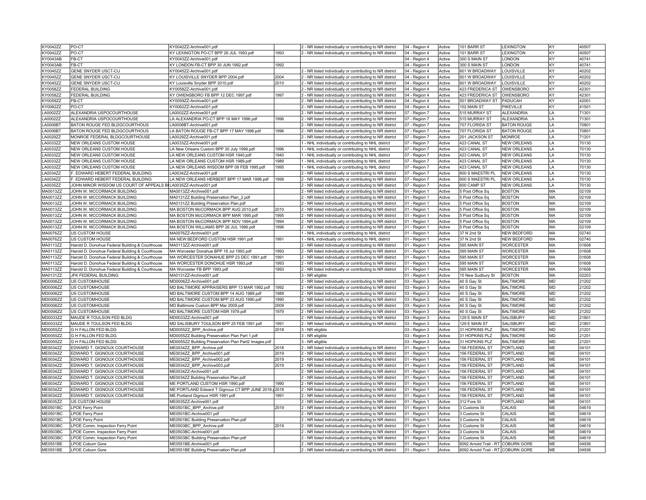| KY0042ZZ                    | PO-CT                                                           | KY0042ZZ-Archive001.pdf                                            |              | 2 - NR listed individually or contributing to NR district                                                              | 04 - Region 4                  | Active           | 101 BARR ST                                                              | <b>LEXINGTON</b>     | KY                     | 40507          |
|-----------------------------|-----------------------------------------------------------------|--------------------------------------------------------------------|--------------|------------------------------------------------------------------------------------------------------------------------|--------------------------------|------------------|--------------------------------------------------------------------------|----------------------|------------------------|----------------|
| KY0042ZZ                    | PO-CT                                                           | KY LEXINGTON PO-CT BPP 26 JUL 1993.pdf                             | 1993         | - NR listed individually or contributing to NR district                                                                | 04 - Region 4                  | Active           | 101 BARR ST                                                              | <b>LEXINGTON</b>     | KY                     | 40507          |
| KY0043AB                    | FB-CT                                                           | KY0043ZZ-Archive001.pdf                                            |              |                                                                                                                        | 04 - Region 4                  | Active           | 300 S MAIN ST                                                            | <b>ONDON</b>         | KY                     | 40741          |
| KY0043AB                    | FB-CT                                                           | KY LONDON FB-CT BPP 30 JUN 1992.pdf                                | 1992         |                                                                                                                        | 04 - Region 4                  | Active           | 300 S MAIN ST                                                            | LONDON               | KY                     | 40741          |
| KY0045ZZ                    | GENE SNYDER USCT-CU                                             | KY0045ZZ-Archive001.pdf                                            |              | 2 - NR listed individually or contributing to NR district                                                              | 04 - Region 4                  | Active           | 601 W BROADWAY                                                           | LOUISVILLE           | KY                     | 40202          |
| <b>KY0045ZZ</b>             | GENE SNYDER USCT-CU                                             | KY LOUISVILLE SNYDER BPP 2004.pdf                                  | 2004         | 2 - NR listed individually or contributing to NR district                                                              | 04 - Region 4                  | Active           | 601 W BROADWAY                                                           | <b>OUISVILLE</b>     | KY                     | 40202          |
| <b>KY0045ZZ</b>             | GENE SNYDER USCT-CU                                             | KY Louisville Snyder BPP 2010.pdf                                  | 2010         | 2 - NR listed individually or contributing to NR district                                                              | 04 - Region 4                  | Active           | 601 W BROADWAY                                                           | LOUISVILLE           | <b>KY</b>              | 40202          |
| KY0058ZZ                    | <b>FEDERAL BUILDING</b>                                         | KY0058ZZ-Archive001.pdf                                            |              | - NR listed individually or contributing to NR district                                                                | 04 - Region 4                  | Active           | 423 FREDERICA ST                                                         | <b>OWENSBORO</b>     | KY                     | 42301          |
| KY0058ZZ                    | FEDERAL BUILDING                                                | KY OWENSBORO FB BPP 12 DEC 1997.pdf                                | 1997         | 2 - NR listed individually or contributing to NR district                                                              | 04 - Region 4                  | Active           | 423 FREDERICA ST                                                         | OWENSBORO            | KY                     | 42301          |
| KY0059ZZ                    | FB-CT                                                           | KY0059ZZ-Archive001.pdf                                            |              | 2 - NR listed individually or contributing to NR district                                                              | 04 - Region 4                  | Active           | 501 BROADWAY ST                                                          | PADUCAH              | KY                     | 42001          |
| KY0062ZZ                    | PO-CT                                                           | KY0062ZZ-Archive001.pdf                                            |              | - NR listed individually or contributing to NR district                                                                | 04 - Region 4                  | Active           | 102 MAIN ST                                                              | PIKEVILLE            | kY                     | 41501          |
| LA0002ZZ                    | ALEXANDRIA USPOCOURTHOUSE                                       | LA0002ZZ-Archive001.pdf                                            |              | - NR listed individually or contributing to NR district                                                                | 07 - Region 7                  | Active           | 515 MURRAY ST                                                            | <b>ALEXANDRIA</b>    | LA                     | 71301          |
| A0002ZZ                     | ALEXANDRIA USPOCOURTHOUSE                                       | LA ALEXANDRIA PO-CT BPP 16 MAY 1996.pdf                            | 1996         | - NR listed individually or contributing to NR district                                                                | 07 - Region 7                  | Active           | 515 MURRAY ST                                                            | <b>ALEXANDRIA</b>    | I.A                    | 71301          |
| <b>A0006BT</b>              | BATON ROUGE FED BLDGCOURTHOUS                                   | LA0006BT-Archive001.pdf                                            |              | 2 - NR listed individually or contributing to NR district                                                              | 07 - Region 7                  | Active           | 707 FLORIDA ST                                                           | <b>BATON ROUGE</b>   | LA                     | 70801          |
| LA0006BT                    | BATON ROUGE FED BLDGCOURTHOUS                                   | LA BATON ROUGE FB-CT BPP 17 MAY 1996.pdf                           | 1996         | 2 - NR listed individually or contributing to NR district                                                              | 07 - Region 7                  | Active           | 707 FLORIDA ST                                                           | <b>BATON ROUGE</b>   | LA                     | 70801          |
| LA0029ZZ                    | MONROE FEDERAL BLDGCOURTHOUSE                                   | LA0029ZZ-Archive001.pdf                                            |              | 2 - NR listed individually or contributing to NR district                                                              | 07 - Region 7                  | Active           | 201 JACKSON ST                                                           | <b>MONROE</b>        | LA                     | 71201          |
| A0033ZZ                     | NEW ORLEANS CUSTOM HOUSE                                        | LA0033ZZ-Archive001.pdf                                            |              | - NHL individually or contributing to NHL district                                                                     | 07 - Region 7                  | Active           | 423 CANAL ST                                                             | <b>NEW ORLEANS</b>   | I.A                    | 70130          |
| LA0033ZZ                    | NEW ORLEANS CUSTOM HOUSE                                        | LA New Orleans Custom BPP 30 July 1996.pdf                         | 1996         | - NHL individually or contributing to NHL district                                                                     | 07 - Region 7                  | Active           | 423 CANAL ST                                                             | <b>NEW ORLEANS</b>   | $\mathsf{I}$ A         | 70130          |
| A0033ZZ                     | NEW ORLEANS CUSTOM HOUSE                                        | LA NEW ORLEANS CUSTOM HSR 1940.pdf                                 | 1940         | - NHL individually or contributing to NHL district                                                                     | 07 - Region 7                  | Active           | 423 CANAL ST                                                             | <b>NEW ORLEANS</b>   | LA                     | 70130          |
| LA0033ZZ                    | NEW ORLEANS CUSTOM HOUSE                                        | LA NEW ORLEANS CUSTOM HSR 1989.pdf                                 | 1989         | 1 - NHL individually or contributing to NHL district                                                                   | 07 - Region 7                  | Active           | 423 CANAL ST                                                             | <b>NEW ORLEANS</b>   | $\mathsf{I}$ A         | 70130          |
| LA0033ZZ                    | NEW ORLEANS CUSTOM HOUSE                                        | LA NEW ORLEANS WISDOM BPP 08 FEB 1995.pdf                          | 1995         | 1 - NHL individually or contributing to NHL district                                                                   | 07 - Region 7                  | Active           | 423 CANAL ST                                                             | <b>NEW ORLEANS</b>   | LA                     | 70130          |
| LA0034ZZ                    | F. EDWARD HEBERT FEDERAL BUILDING                               | LA0034ZZ-Archive001.pdf                                            |              | 2 - NR listed individually or contributing to NR district                                                              | 07 - Region 7                  | Active           | 600 S MAESTRI PL                                                         | NEW ORLEANS          | LA                     | 70130          |
| LA0034ZZ                    | F. EDWARD HEBERT FEDERAL BUILDING                               | LA NEW ORLEANS HERBERT BPP 17 MAR 1998.pdf                         | 1998         | 2 - NR listed individually or contributing to NR district                                                              | 07 - Region 7                  | Active           | 600 S MAESTRI PL                                                         | <b>NEW ORLEANS</b>   | LA                     | 70130          |
| LA0035ZZ                    | JOHN MINOR WISDOM US COURT OF APPEALS BULA0035ZZ-Archive001.pdf |                                                                    |              |                                                                                                                        |                                | Active           | 600 CAMP ST                                                              | <b>NEW ORLEANS</b>   | I A                    | 70130          |
|                             |                                                                 |                                                                    |              | - NR listed individually or contributing to NR district                                                                | 07 - Region 7                  |                  |                                                                          |                      |                        |                |
| MA0013ZZ                    | JOHN W. MCCORMACK BUILDING                                      | MA0013ZZ-Archive001.pdf                                            |              | 2 - NR listed individually or contributing to NR district                                                              | 01 - Region 1                  | Active           | 5 Post Office Sq                                                         | <b>BOSTON</b>        | MA                     | 02109          |
| MA0013ZZ                    | JOHN W. MCCORMACK BUILDING                                      | MA0131ZZ Building Preservation Plan 2.pdf                          |              | 2 - NR listed individually or contributing to NR district                                                              | 01 - Region 1                  | Active           | 5 Post Office Sq                                                         | <b>BOSTON</b>        | MA                     | 02109          |
| MA0013ZZ                    | JOHN W. MCCORMACK BUILDING                                      | MA0131ZZ Building Preservation Plan.pdf                            |              | 2 - NR listed individually or contributing to NR district                                                              | 01 - Region 1                  | Active           | 5 Post Office Sq                                                         | <b>BOSTON</b>        | MA                     | 02109          |
| MA0013ZZ                    | JOHN W. MCCORMACK BUILDING                                      | MA BOSTON McCORMACK BPP AUG 2010.pdf                               | 2010         | - NR listed individually or contributing to NR district                                                                | 01 - Region 1                  | Active           | 5 Post Office Sq                                                         | <b>BOSTON</b>        | MA                     | 02109          |
| MA0013ZZ                    | JOHN W. MCCORMACK BUILDING                                      | MA BOSTON McCORMACK BPP MAR 1995.pdf                               | 1995         | 2 - NR listed individually or contributing to NR district                                                              | 01 - Region 1                  | Active           | 5 Post Office Sq                                                         | <b>BOSTON</b>        | MA                     | 02109          |
| MA0013ZZ                    | JOHN W. MCCORMACK BUILDING                                      | MA BOSTON McCORMACK BPP NOV 1994.pdf                               | 1994         | 2 - NR listed individually or contributing to NR district                                                              | 01 - Region 1                  | Active           | 5 Post Office Sq                                                         | <b>BOSTON</b>        | MA                     | 02109          |
| MA0013ZZ                    | JOHN W. MCCORMACK BUILDING                                      | MA BOSTON WILLIAMS BPP 26 JUL 1996.pdf                             | 1996         | 2 - NR listed individually or contributing to NR district                                                              | 01 - Region 1                  | Active           | 5 Post Office Sq                                                         | <b>BOSTON</b>        | MA                     | 02109          |
| MA0076ZZ                    | US CUSTOM HOUSE                                                 | MA0076ZZ-Archive001.pdf                                            |              | - NHL individually or contributing to NHL district                                                                     | 01 - Region 1                  | Active           | 37 N 2nd St                                                              | NEW BEDFORD          | MA                     | 02740          |
| MA0076ZZ                    | US CUSTOM HOUSE                                                 | MA NEW BEDFORD CUSTOM HSR 1991.pdf                                 | 1991         | - NHL individually or contributing to NHL district                                                                     | 01 - Region 1                  | Active           | 37 N 2nd St                                                              | <b>NEW BEDFORD</b>   | MA                     | 02740          |
| MA0113ZZ                    | Harold D. Donohue Federal Building & Courthouse                 | MA0113ZZ-Archive001.pdf                                            |              | - NR listed individually or contributing to NR district                                                                | 01 - Region 1                  | Active           | 595 MAIN ST                                                              | <b>WORCESTER</b>     | MA                     | 01608          |
|                             |                                                                 |                                                                    |              |                                                                                                                        |                                |                  |                                                                          |                      |                        |                |
| MA0113ZZ                    | Harold D. Donohue Federal Building & Courthouse                 | MA Worcester Donahue BPP 16 Jul 1993.pdf                           | 1993         | 2 - NR listed individually or contributing to NR district                                                              | 01 - Region 1                  | Active           | 595 MAIN ST                                                              | <b>WORCESTER</b>     | MA                     | 01608          |
| MA0113ZZ                    | Harold D. Donohue Federal Building & Courthouse                 | MA WORCESTER DONAHUE BPP 23 DEC 1991.pdf                           | 1991         | 2 - NR listed individually or contributing to NR district                                                              | 01 - Region 1                  | Active           | 595 MAIN ST                                                              | <b>WORCESTER</b>     | MA                     | 01608          |
| MA0113ZZ                    | Harold D. Donohue Federal Building & Courthouse                 | MA WORCESTER DONOHUE HSR 1993.pdf                                  | 1993         | 2 - NR listed individually or contributing to NR district                                                              | 01 - Region 1                  | Active           | 595 MAIN ST                                                              | WORCESTER            | MA                     | 01608          |
| MA0113ZZ                    | Harold D. Donohue Federal Building & Courthouse                 | MA Worcester FB BPP 1993.pdf                                       | 1993         | 2 - NR listed individually or contributing to NR district                                                              | 01 - Region 1                  | Active           | 595 MAIN ST                                                              | <b>WORCESTER</b>     | MA                     | 01608          |
| MA0131ZZ                    | JFK FEDERAL BUILDING                                            | MA0131ZZ-Archive001.pdf                                            |              | - NR eligible                                                                                                          | 01 - Region 1                  | Active           | 15 New Sudbury St                                                        | <b>BOSTON</b>        | MA                     | 02203          |
| MD0006ZZ                    | US CUSTOMHOUSE                                                  | MD0006ZZ-Archive001.pdf                                            |              | 2 - NR listed individually or contributing to NR district                                                              | 03 - Region 3                  | Active           | 40 S Gay St                                                              | <b>BALTIMORE</b>     | <b>MD</b>              | 21202          |
| MD0006ZZ                    | US CUSTOMHOUSE                                                  | MD BALTIMORE APPRAISERS BPP 13 MAR 1992.pdf                        | 1992         | 2 - NR listed individually or contributing to NR district                                                              | 03 - Region 3                  | Active           | 40 S Gay St                                                              | <b>BALTIMORE</b>     | <b>MD</b>              | 21202          |
| MD0006ZZ                    | US CUSTOMHOUSE                                                  | MD BALTIMORE CUSTOM BPP 14 AUG 1989.pdf                            | 1989         | 2 - NR listed individually or contributing to NR district                                                              | 03 - Region 3                  | Active           | 40 S Gay St                                                              | <b>BALTIMORE</b>     | MD                     | 21202          |
| MD0006ZZ                    | US CUSTOMHOUSE                                                  | MD BALTIMORE CUSTOM BPP 23 AUG 1990.pdf                            | 1990         | - NR listed individually or contributing to NR district                                                                | 03 - Region 3                  | Active           | 40 S Gay St                                                              | <b>BALTIMORE</b>     | <b>MD</b>              | 21202          |
| MD0006ZZ                    | US CUSTOMHOUSE                                                  | MD Baltimore Custom BPP Mar 2009.pdf                               | 2009         | - NR listed individually or contributing to NR district                                                                | 03 - Region 3                  | Active           | 40 S Gay St                                                              | <b>BALTIMORE</b>     | <b>MD</b>              | 21202          |
| MD0006ZZ                    | US CUSTOMHOUSE                                                  | MD BALTIMORE CUSTOM HSR 1979.pdf                                   | 1979         | 2 - NR listed individually or contributing to NR district                                                              | 03 - Region 3                  | Active           | 40 S Gay St                                                              | <b>BALTIMORE</b>     | <b>MD</b>              | 21202          |
| MD0033ZZ                    | MAUDE R TOULSON FED BLDG                                        | MD0033ZZ-Archive001.pdf                                            |              | 2 - NR listed individually or contributing to NR district                                                              | 03 - Region 3                  | Active           | 129 E MAIN ST                                                            | SALISBURY            | <b>MD</b>              | 21801          |
| MD0033ZZ                    | MAUDE R TOULSON FED BLDG                                        | MD SALISBURY TOULSON BPP 25 FEB 1991.pdf                           | 1991         | 2 - NR listed individually or contributing to NR district                                                              | 03 - Region 3                  | Active           | 129 E MAIN ST                                                            | SALISBURY            | <b>MD</b>              | 21801          |
| <b>MD0055ZZ</b>             | G H FALLON FED BLDG                                             | MD0055ZZ BPP Archive.pdf                                           | 2018         | 3 - NR eligible                                                                                                        | 03 - Region 3                  | Active           | 31 HOPKINS PLZ                                                           | <b>BALTIMORE</b>     | <b>MD</b>              | 21201          |
| <b>MD0055ZZ</b>             | G H FALLON FED BLDG                                             | MD0055ZZ Building Preservation Plan Part 1.pdf                     |              | 3 - NR eligible                                                                                                        | 03 - Region 3                  | Active           | 31 HOPKINS PLZ                                                           | <b>BALTIMORE</b>     | <b>MD</b>              | 21201          |
| MD0055ZZ                    | G H FALLON FED BLDG                                             | MD0055ZZ Building Preservation Plan Part2 Images.pdf               |              | 3 - NR eligible                                                                                                        | 03 - Region 3                  | Active           | 31 HOPKINS PLZ                                                           | <b>BALTIMORE</b>     | <b>MD</b>              | 21201          |
| ME0034ZZ                    | EDWARD T. GIGNOUX COURTHOUSE                                    | ME0034ZZ_BPP_Archive.pdf                                           | 2018         | 2 - NR listed individually or contributing to NR district                                                              | 01 - Region 1                  | Active           | 156 FEDERAL ST                                                           | PORTLAND             | <b>ME</b>              | 04101          |
| ME0034ZZ                    | EDWARD T. GIGNOUX COURTHOUSE                                    | ME0034ZZ_BPP_Archive001.pdf                                        | 2019         | 2 - NR listed individually or contributing to NR district                                                              |                                | Active           | 156 FEDERAL ST                                                           | <b>PORTLAND</b>      | <b>ME</b>              | 04101          |
|                             |                                                                 |                                                                    |              |                                                                                                                        | 01 - Region 1                  |                  |                                                                          |                      |                        |                |
| ME0034ZZ<br>ME0034ZZ        | EDWARD T. GIGNOUX COURTHOUSE<br>EDWARD T. GIGNOUX COURTHOUSE    | ME0034ZZ_BPP_Archive002.pdf<br>ME0034ZZ_BPP_Archive003.pdf         | 2019<br>2019 | - NR listed individually or contributing to NR district<br>- NR listed individually or contributing to NR district     | 01 - Region 1<br>01 - Region 1 | Active<br>Active | 156 FEDERAL ST<br>156 FEDERAL ST                                         | PORTLAND<br>PORTLAND | ME<br>ME               | 04101<br>04101 |
| ME0034ZZ                    | EDWARD T. GIGNOUX COURTHOUSE                                    | ME0034ZZ-Archive001.pdf                                            |              |                                                                                                                        |                                | Active           | 156 FEDERAL ST                                                           | PORTLAND             | <b>ME</b>              | 04101          |
|                             |                                                                 |                                                                    |              | - NR listed individually or contributing to NR district                                                                | 01 - Region 1                  |                  |                                                                          |                      |                        |                |
| ME0034ZZ                    | EDWARD T. GIGNOUX COURTHOUSE                                    | ME0034ZZ Building Preservation Plan.pdf                            | 1990         | 2 - NR listed individually or contributing to NR district                                                              | 01 - Region 1                  | Active           | 156 FEDERAL ST                                                           | PORTLAND             | ME                     | 04101          |
| ME0034ZZ                    | EDWARD T. GIGNOUX COURTHOUSE                                    | ME PORTLAND CUSTOM HSR 1990.pdf                                    |              | 2 - NR listed individually or contributing to NR district                                                              | 01 - Region 1                  | Active           | 156 FEDERAL ST                                                           | PORTLAND             | ME                     | 04101          |
| ME0034ZZ                    | EDWARD T. GIGNOUX COURTHOUSE                                    | ME PORTLAND Edward T Gignoux CT BPP JUNE 2018. 2018                | 1991         | 2 - NR listed individually or contributing to NR district                                                              | 01 - Region 1                  | Active           | 156 FEDERAL ST                                                           | PORTLAND             | ME                     | 04101          |
| ME0034ZZ<br>ME0035ZZ        | EDWARD T. GIGNOUX COURTHOUSE<br>US CUSTOM HOUSE                 | ME Portland Gignoux HSR 1991.pdf<br>ME0035ZZ-Archive001.pdf        |              | - NR listed individually or contributing to NR district                                                                | 01 - Region 1                  | Active<br>Active | 156 FEDERAL ST                                                           | PORTLAND<br>PORTLAND | <b>ME</b><br><b>ME</b> | 04101<br>04101 |
|                             |                                                                 |                                                                    |              | - NR listed individually or contributing to NR district                                                                | 01 - Region 1                  |                  | 312 Fore St                                                              |                      |                        |                |
| <b>ME0501BC</b>             | <b>LPOE Ferry Point</b>                                         | ME0501BC BPP Archive.pdf                                           | 2019         | 2 - NR listed individually or contributing to NR district                                                              | 01 - Region 1                  | Active           | 3 Customs St                                                             | CALAIS               | ME                     | 04619          |
| ME0501BC                    | <b>LPOE Ferry Point</b>                                         | ME0501BC-Archive001.pdf                                            |              | 2 - NR listed individually or contributing to NR district                                                              | 01 - Region 1                  | Active           | 3 Customs St                                                             | CALAIS               | ME                     | 04619          |
| <b>ME0501BC</b>             | <b>LPOE Ferry Point</b>                                         | ME0501BC Building Preservation Plan.pdf                            |              | 2 - NR listed individually or contributing to NR district                                                              | 01 - Region 1                  | Active           | 3 Customs St                                                             | CALAIS               | <b>ME</b>              | 04619          |
| <b>ME0503BC</b>             | LPOE Comm. Inspection Ferry Point                               | ME0503BC_BPP_Archive.pdf                                           | 2019         | - NR listed individually or contributing to NR district                                                                | 01 - Region 1                  | Active           | 3 Customs St                                                             | CALAIS               | ME                     | 04619          |
| ME0503BC                    | LPOE Comm. Inspection Ferry Point                               | ME0503BC-Archive001.pdf                                            |              | - NR listed individually or contributing to NR district                                                                | 01 - Region 1                  | Active           | 3 Customs St                                                             | CALAIS               | <b>ME</b>              | 04619          |
| ME0503BC                    | LPOE Comm. Inspection Ferry Point                               | ME0503BC Building Preservation Plan.pdf                            |              | 2 - NR listed individually or contributing to NR district                                                              | 01 - Region 1                  | Active           | 3 Customs St                                                             | CALAIS               | ME                     | 04619          |
| <b>ME0551BE</b><br>ME0551BE | <b>LPOE Coburn Gore</b><br><b>LPOE Coburn Gore</b>              | ME0551BE-Archive001.pdf<br>ME0551BE Building Preservation Plan.pdf |              | 2 - NR listed individually or contributing to NR district<br>2 - NR listed individually or contributing to NR district | 01 - Region 1<br>01 - Region 1 | Active<br>Active | 6092 Arnold Trail - RT COBURN GORE<br>6092 Arnold Trail - RT COBURN GORE |                      | <b>ME</b><br><b>ME</b> | 04936<br>04936 |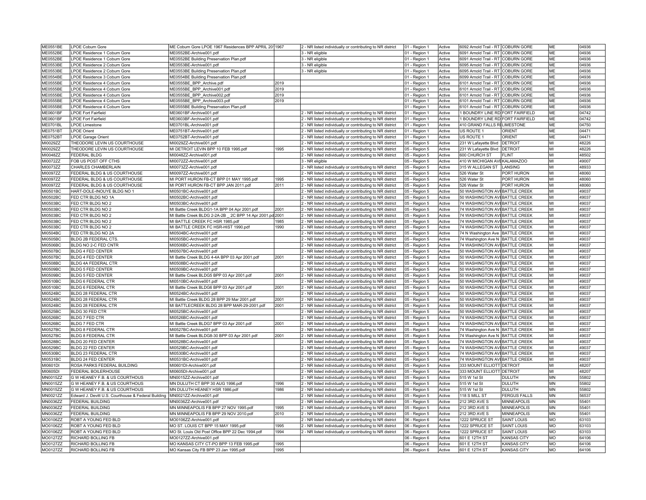| <b>ME0551BE</b> | <b>LPOE Coburn Gore</b>                             | ME Coburn Gore LPOE 1967 Residences BPP APRIL 2011967     |      | 2 - NR listed individually or contributing to NR district | 01 - Region 1 | Active | 6092 Arnold Trail - RT COBURN GORE                             |                     | ME         | 04936          |
|-----------------|-----------------------------------------------------|-----------------------------------------------------------|------|-----------------------------------------------------------|---------------|--------|----------------------------------------------------------------|---------------------|------------|----------------|
| ME0552BE        | LPOE Residence 1 Coburn Gore                        | ME0552BE-Archive001.pdf                                   |      | 3 - NR eligible                                           | 01 - Region 1 | Active | 6091 Arnold Trail - RT COBURN GORE                             |                     | ME         | 04936          |
| <b>ME0552BE</b> | LPOE Residence 1 Coburn Gore                        | ME0552BE Building Preservation Plan.pdf                   |      | 3 - NR eligible                                           | 01 - Region 1 | Active | 6091 Arnold Trail - RT COBURN GORE                             |                     | <b>ME</b>  | 04936          |
| ME0553BE        | LPOE Residence 2 Coburn Gore                        | ME0553BE-Archive001.pdf                                   |      | 3 - NR eligible                                           | 01 - Region 1 | Active | 6095 Arnold Trail - RT COBURN GORE                             |                     | <b>ME</b>  | 04936          |
| ME0553BE        | LPOE Residence 2 Coburn Gore                        | ME0553BE Building Preservation Plan.pdf                   |      | 3 - NR eligible                                           | 01 - Region 1 | Active | 6095 Arnold Trail - RT COBURN GORE                             |                     | ME         | 04936          |
| <b>ME0554BE</b> | LPOE Residence 3 Coburn Gore                        | ME0554BE Building Preservation Plan.pdf                   |      |                                                           | 01 - Region 1 | Active | 6099 Arnold Trail - RT COBURN GORE                             |                     | ME         | 04936          |
| ME0555BE        | LPOE Residence 4 Coburn Gore                        | ME0555BE_BPP_Archive.pdf                                  | 2019 |                                                           | 01 - Region 1 | Active | 6101 Arnold Trail - RT COBURN GORE                             |                     | ME         | 04936          |
| <b>ME0555BE</b> | LPOE Residence 4 Coburn Gore                        | ME0555BE_BPP_Archive001.pdf                               | 2019 |                                                           | 01 - Region 1 | Active | 6101 Arnold Trail - RT COBURN GORE                             |                     | ME         | 04936          |
| <b>ME0555BE</b> | LPOE Residence 4 Coburn Gore                        | ME0555BE BPP Archive002.pdf                               | 2019 |                                                           | 01 - Region 1 | Active | 6101 Arnold Trail - RT COBURN GORE                             |                     | ME         | 04936          |
| <b>ME0555BE</b> | LPOE Residence 4 Coburn Gore                        | ME0555BE BPP Archive003.pdf                               | 2019 |                                                           |               | Active | 6101 Arnold Trail - RT COBURN GORE                             |                     | <b>ME</b>  | 04936          |
| <b>ME0555BE</b> | LPOE Residence 4 Coburn Gore                        | ME0555BE Building Preservation Plan.pdf                   |      |                                                           | 01 - Region 1 | Active | 6101 Arnold Trail - RT COBURN GORE                             |                     | <b>ME</b>  | 04936          |
| <b>ME0601BF</b> | <b>LPOE Fort Fairfield</b>                          | ME0601BF-Archive001.pdf                                   |      |                                                           | 01 - Region 1 | Active | 1 BOUNDRY LINE RD FORT FAIRFIELD                               |                     | ME         | 04742          |
|                 |                                                     |                                                           |      | 2 - NR listed individually or contributing to NR district | 01 - Region 1 |        |                                                                |                     |            |                |
| <b>ME0601BF</b> | <b>LPOE Fort Fairfield</b>                          | ME0603BF-Archive001.pdf                                   |      | 2 - NR listed individually or contributing to NR district | 01 - Region 1 | Active | 1 BOUNDRY LINE RD FORT FAIRFIELD                               |                     | <b>ME</b>  | 04742          |
| ME0701BL        | <b>LPOE Limestone</b>                               | ME0701BL-Archive001.pdf                                   |      | 2 - NR listed individually or contributing to NR district | 01 - Region 1 | Active | 410 GRAND FALLS RULIMESTONE                                    |                     | MF         | 04750          |
| <b>ME0751BT</b> | <b>LPOE Orient</b>                                  | ME0751BT-Archive001.pdf                                   |      | 2 - NR listed individually or contributing to NR district | 01 - Region 1 | Active | US ROUTE 1                                                     | ORIENT              | ME         | 04471          |
| ME0752BT        | LPOE Garage Orient                                  | ME0752BT-Archive001.pdf                                   |      | 2 - NR listed individually or contributing to NR district | 01 - Region 1 | Active | US ROUTE 1                                                     | ORIENT              | ME         | 04471          |
| MI0029ZZ        | THEODORE LEVIN US COURTHOUSE                        | MI0029ZZ-Archive001.pdf                                   |      | 2 - NR listed individually or contributing to NR district | 05 - Region 5 | Active | 231 W Lafayette Blvd   DETROIT                                 |                     | MI         | 48226          |
| MI0029ZZ        | THEODORE LEVIN US COURTHOUSE                        | MI DETROIT LEVIN BPP 10 FEB 1995.pdf                      | 1995 | 2 - NR listed individually or contributing to NR district | 05 - Region 5 | Active | 231 W Lafayette Blvd   DETROIT                                 |                     | MI         | 48226          |
| MI0048ZZ        | <b>FEDERAL BLDG</b>                                 | MI0048ZZ-Archive001.pdf                                   |      | 2 - NR listed individually or contributing to NR district | 05 - Region 5 | Active | 600 CHURCH ST                                                  | <b>FLINT</b>        | lмı        | 48502          |
| MI0072ZZ        | FOB US POST OFF CTHS                                | MI0072ZZ-Archive001.pdf                                   |      | 3 - NR eligible                                           | 05 - Region 5 | Active | 410 W MICHIGAN AVEKALAMAZOO                                    |                     | lмı        | 49007          |
| MI0073ZZ        | CHARLES CHAMBERLAIN                                 | MI0073ZZ-Archive001.pdf                                   |      | 2 - NR listed individually or contributing to NR district | 05 - Region 5 | Active | 315 W ALLEGAN ST LANSING                                       |                     | MI         | 48933          |
| MI0097ZZ        | FEDERAL BLDG & US COURTHOUSE                        | MI0097ZZ-Archive001.pdf                                   |      | 2 - NR listed individually or contributing to NR district | 05 - Region 5 | Active | 526 Water St                                                   | PORT HURON          | lмı        | 48060          |
| MI0097ZZ        | FEDERAL BLDG & US COURTHOUSE                        | MI PORT HURON FB-CT BPP 01 MAY 1995.pdf                   | 1995 | 2 - NR listed individually or contributing to NR district | 05 - Region 5 | Active | 526 Water St                                                   | PORT HURON          | MI         | 48060          |
| MI0097ZZ        | FEDERAL BLDG & US COURTHOUSE                        | MI PORT HURON FB-CT BPP JAN 2011.pdf                      | 2011 | 2 - NR listed individually or contributing to NR district | 05 - Region 5 | Active | 526 Water St                                                   | PORT HURON          | <b>MI</b>  | 48060          |
| MI0501BC        | HART-DOLE-INOUYE BLDG NO 1                          | MI0501BC-Archive001.pdf                                   |      | 2 - NR listed individually or contributing to NR district | 05 - Region 5 | Active | 50 WASHINGTON AVI BATTLE CREEK                                 |                     | lмı        | 49037          |
| MI0502BC        | FED CTR BLDG NO 1A                                  | MI0502BC-Archive001.pdf                                   |      | 2 - NR listed individually or contributing to NR district | 05 - Region 5 | Active | 50 WASHINGTON AVEBATTLE CREEK                                  |                     | lмı        | 49037          |
| MI0503BC        | FED CTR BLDG NO 2                                   | MI0503BC-Archive001.pdf                                   |      | 2 - NR listed individually or contributing to NR district | 05 - Region 5 | Active | 74 WASHINGTON AVEBATTLE CREEK                                  |                     | lмı        | 49037          |
| MI0503BC        | FED CTR BLDG NO 2                                   | MI Battle Creek BLDG1-1A BPP 04 Apr 2001.pdf              | 2001 | 2 - NR listed individually or contributing to NR district | 05 - Region 5 | Active | 74 WASHINGTON AVI BATTLE CREEK                                 |                     | lмı        | 49037          |
| MI0503BC        | FED CTR BLDG NO 2                                   | MI Battle Creek BLDG 2-2A-2B _ 2C BPP 14 Apr 2001.pd 2001 |      | 2 - NR listed individually or contributing to NR district | 05 - Region 5 | Active | 74 WASHINGTON AVI BATTLE CREEK                                 |                     | MI         | 49037          |
| MI0503BC        | FED CTR BLDG NO 2                                   | MI BATTLE CREEK FC HSR 1985.pdf                           | 1985 | 2 - NR listed individually or contributing to NR district | 05 - Region 5 | Active | 74 WASHINGTON AVEBATTLE CREEK                                  |                     | MI         | 49037          |
| MI0503BC        | FED CTR BLDG NO 2                                   | MI BATTLE CREEK FC HSR-HIST 1990.pdf                      | 1990 | 2 - NR listed individually or contributing to NR district | 05 - Region 5 | Active | 74 WASHINGTON AVEBATTLE CREEK                                  |                     | MI         | 49037          |
| MI0504BC        | FED CTR BLDG NO 2A                                  | MI0504BC-Archive001.pdf                                   |      | 2 - NR listed individually or contributing to NR district | 05 - Region 5 | Active | 74 N Washington Ave BATTLE CREEK                               |                     | lмı        | 49037          |
| MI0505BC        | BLDG 2B FEDERAL CTS                                 | MI0505BC-Archive001.pdf                                   |      | 2 - NR listed individually or contributing to NR district | 05 - Region 5 | Active | 74 Washington Ave N   BATTLE CREEK                             |                     | MI         | 49037          |
| MI0506BC        | BLDG NO 2-C FED CNTR                                | MI0506BC-Archive001.pdf                                   |      | 2 - NR listed individually or contributing to NR district | 05 - Region 5 | Active | 74 WASHINGTON AVEBATTLE CREEK                                  |                     | lмı        | 49037          |
| MI0507BC        | <b>BLDG 4 FED CENTER</b>                            | MI0507BC-Archive001.pdf                                   |      | 2 - NR listed individually or contributing to NR district | 05 - Region 5 | Active | 50 WASHINGTON AVEBATTLE CREEK                                  |                     | MI         | 49037          |
| MI0507BC        | <b>BLDG 4 FED CENTER</b>                            | MI Battle Creek BLDG 4-4A BPP 03 Apr 2001.pdf             | 2001 | 2 - NR listed individually or contributing to NR district | 05 - Region 5 | Active | 50 WASHINGTON AVEBATTLE CREEK                                  |                     | MI         | 49037          |
| MI0508BC        | BLDG 4A FEDERAL CTR                                 | MI0508BC-Archive001.pdf                                   |      | 2 - NR listed individually or contributing to NR district | 05 - Region 5 | Active | 50 WASHINGTON AVEBATTLE CREEK                                  |                     | lмı        | 49037          |
| MI0509BC        | BLDG 5 FED CENTER                                   | MI0509BC-Archive001.pdf                                   |      | 2 - NR listed individually or contributing to NR district | 05 - Region 5 | Active | 50 WASHINGTON AVEBATTLE CREEK                                  |                     | lмı        | 49037          |
| MI0509BC        | <b>BLDG 5 FED CENTER</b>                            | MI Battle Creek BLDG5 BPP 03 Apr 2001.pdf                 | 2001 | 2 - NR listed individually or contributing to NR district | 05 - Region 5 | Active | 50 WASHINGTON AVEBATTLE CREEK                                  |                     | lмı        | 49037          |
| MI0510BC        | BLDG 6 FEDERAL CTR                                  | MI0510BC-Archive001.pdf                                   |      | 2 - NR listed individually or contributing to NR district | 05 - Region 5 | Active | 50 WASHINGTON AVEBATTLE CREEK                                  |                     | lмı        | 49037          |
| MI0510BC        | BLDG 6 FEDERAL CTR                                  | MI Battle Creek BLDG6 BPP 03 Apr 2001.pdf                 | 2001 | 2 - NR listed individually or contributing to NR district | 05 - Region 5 | Active | 50 WASHINGTON AVEBATTLE CREEK                                  |                     | lмı        | 49037          |
|                 |                                                     |                                                           |      |                                                           |               |        | 50 WASHINGTON AVEBATTLE CREEK                                  |                     | lмı        | 49037          |
| MI0524BC        | BLDG 28 FEDERAL CTR                                 | MI0524BC-Archive001.pdf                                   | 2001 | 2 - NR listed individually or contributing to NR district | 05 - Region 5 | Active |                                                                |                     | MI         |                |
| MI0524BC        | <b>BLDG 28 FEDERAL CTR</b>                          | MI Battle Creek BLDG 28 BPP 29 Mar 2001.pdf               |      | 2 - NR listed individually or contributing to NR district | 05 - Region 5 | Active | 50 WASHINGTON AVEBATTLE CREEK<br>50 WASHINGTON AVIBATTLE CREEK |                     | lмı        | 49037<br>49037 |
| MI0524BC        | BLDG 28 FEDERAL CTR                                 | MI BATTLECREEK BLDG 28 BPP MAR-29-2001.pdf                | 2001 | 2 - NR listed individually or contributing to NR district | 05 - Region 5 | Active |                                                                |                     |            |                |
| MI0525BC        | BLDG 30 FED CTR                                     | MI0525BC-Archive001.pdf                                   |      | 2 - NR listed individually or contributing to NR district | 05 - Region 5 | Active | 50 WASHINGTON AVEBATTLE CREEK                                  |                     | MI         | 49037          |
| MI0526BC        | BLDG 7 FED CTR                                      | MI0526BC-Archive001.pdf                                   |      | 2 - NR listed individually or contributing to NR district | 05 - Region 5 | Active | 74 WASHINGTON AVEBATTLE CREEK                                  |                     | MI         | 49037          |
| MI0526BC        | <b>BLDG 7 FED CTR</b>                               | MI Battle Creek BLDG7 BPP 03 Apr 2001.pdf                 | 2001 | 2 - NR listed individually or contributing to NR district | 05 - Region 5 | Active | 74 WASHINGTON AVI BATTLE CREEK                                 |                     | lмı        | 49037          |
| MI0527BC        | BLDG 8 FEDERAL CTR                                  | MI0527BC-Archive001.pdf                                   |      | 2 - NR listed individually or contributing to NR district | 05 - Region 5 | Active | 74 Washington Ave N BATTLE CREEK                               |                     | MI         | 49037          |
| MI0527BC        | BLDG 8 FEDERAL CTR                                  | MI Battle Creek BLDG8-30 BPP 03 Apr 2001.pdf              | 2001 | 2 - NR listed individually or contributing to NR district | 05 - Region 5 | Active | 74 Washington Ave N BATTLE CREEK                               |                     | lмı        | 49037          |
| MI0528BC        | BLDG 20 FED CENTER                                  | MI0528BC-Archive001.pdf                                   |      | 2 - NR listed individually or contributing to NR district | 05 - Region 5 | Active | 74 WASHINGTON AVI BATTLE CREEK                                 |                     | MI         | 49037          |
| MI0529BC        | BLDG 22 FED CENTER                                  | MI0529BC-Archive001.pdf                                   |      | 2 - NR listed individually or contributing to NR district | 05 - Region 5 | Active | 74 WASHINGTON AVEBATTLE CREEK                                  |                     | İмı        | 49037          |
| MI0530BC        | BLDG 23 FEDERAL CTR                                 | MI0530BC-Archive001.pdf                                   |      | 2 - NR listed individually or contributing to NR district | 05 - Region 5 | Active | 74 WASHINGTON AVEBATTLE CREEK                                  |                     | İмı        | 49037          |
| MI0531BC        | <b>BLDG 24 FED CENTER</b>                           | MI0531BC-Archive001.pdf                                   |      | 2 - NR listed individually or contributing to NR district | 05 - Region 5 | Active | 74 WASHINGTON AVEBATTLE CREEK                                  |                     | MI         | 49037          |
| MI0601DI        | ROSA PARKS FEDERAL BUILDING                         | MI0601DI-Archive001.pdf                                   |      | 2 - NR listed individually or contributing to NR district | 05 - Region 5 | Active | 333 MOUNT ELLIOTT DETROIT                                      |                     | İмı        | 48207          |
| MI0605DI        | FEDERAL BOILERHOUSE                                 | MI0605DI-Archive001.pdf                                   |      | 2 - NR listed individually or contributing to NR district | 05 - Region 5 | Active | 333 MOUNT ELLIOTT DETROIT                                      |                     | lмı        | 48207          |
| MN0015ZZ        | G W HEANEY F.B. & US COURTHOUS                      | MN0015ZZ-Archive001.pdf                                   |      | 2 - NR listed individually or contributing to NR district | 05 - Region 5 | Active | 515 W 1st St                                                   | <b>DULUTH</b>       | <b>MN</b>  | 55802          |
| MN0015ZZ        | G W HEANEY F.B. & US COURTHOUS                      | MN DULUTH CT BPP 30 AUG 1996.pdf                          | 1996 | 2 - NR listed individually or contributing to NR district | 05 - Region 5 | Active | 515 W 1st St                                                   | <b>DULUTH</b>       | <b>MN</b>  | 55802          |
| MN0015ZZ        | G W HEANEY F.B. & US COURTHOUS                      | MN DULUTH HEANEY HSR 1986.pdf                             | 1986 | 2 - NR listed individually or contributing to NR district | 05 - Region 5 | Active | 515 W 1st St                                                   | <b>DULUTH</b>       | <b>MN</b>  | 55802          |
| MN0021ZZ        | Edward J. Devitt U.S. Courthouse & Federal Building | MN0021ZZ-Archive001.pdf                                   |      | 2 - NR listed individually or contributing to NR district | 05 - Region 5 | Active | 118 S MILL ST                                                  | <b>FERGUS FALLS</b> | MN         | 56537          |
| MN0036ZZ        | FEDERAL BUILDING                                    | MN0036ZZ-Archive001.pdf                                   |      | 2 - NR listed individually or contributing to NR district | 05 - Region 5 | Active | 212 3RD AVE S                                                  | <b>MINNEAPOLIS</b>  | <b>MN</b>  | 55401          |
| MN0036ZZ        | FEDERAL BUILDING                                    | MN MINNEAPOLIS FB BPP 27 NOV 1995.pdf                     | 1995 | 2 - NR listed individually or contributing to NR district | 05 - Region 5 | Active | 212 3RD AVE S                                                  | <b>MINNEAPOLIS</b>  | MN         | 55401          |
| MN0036ZZ        | FEDERAL BUILDING                                    | MN MINNEAPOLIS FB BPP 29 NOV 2010.pdf                     | 2010 | 2 - NR listed individually or contributing to NR district | 05 - Region 5 | Active | 212 3RD AVE S                                                  | MINNEAPOLIS         | <b>IMN</b> | 55401          |
| MO0106ZZ        | ROBT A YOUNG FED BLD                                | MO0106ZZ-Archive001.pdf                                   |      | 2 - NR listed individually or contributing to NR district | 06 - Region 6 | Active | 1222 SPRUCE ST                                                 | <b>SAINT LOUIS</b>  | MO         | 63103          |
| MO0106ZZ        | ROBT A YOUNG FED BLD                                | MO ST. LOUIS CT BPP 15 MAY 1995.pdf                       | 1995 | 2 - NR listed individually or contributing to NR district | 06 - Region 6 | Active | 1222 SPRUCE ST                                                 | <b>SAINT LOUIS</b>  | MO         | 63103          |
| MO0106ZZ        | ROBT A YOUNG FED BLD                                | MO St. Louis Old Post Office BPP 22 Dec 1994.pdf          | 1994 | 2 - NR listed individually or contributing to NR district | 06 - Region 6 | Active | 1222 SPRUCE ST                                                 | <b>SAINT LOUIS</b>  | <b>MO</b>  | 63103          |
| MO0127ZZ        | RICHARD BOLLING FB                                  | MO0127ZZ-Archive001.pdf                                   |      |                                                           | 06 - Region 6 | Active | 601 E 12TH ST                                                  | <b>KANSAS CITY</b>  | MO         | 64106          |
| MO0127ZZ        | RICHARD BOLLING FB                                  | MO KANSAS CITY CT-PO BPP 13 FEB 1995.pdf                  | 1995 |                                                           | 06 - Region 6 | Active | 601 E 12TH ST                                                  | <b>KANSAS CITY</b>  | <b>MO</b>  | 64106          |
| MO0127ZZ        | RICHARD BOLLING FB                                  | MO Kansas City FB BPP 23 Jan 1995.pdf                     | 1995 |                                                           | 06 - Region 6 | Active | 601 E 12TH ST                                                  | <b>KANSAS CITY</b>  | MO         | 64106          |
|                 |                                                     |                                                           |      |                                                           |               |        |                                                                |                     |            |                |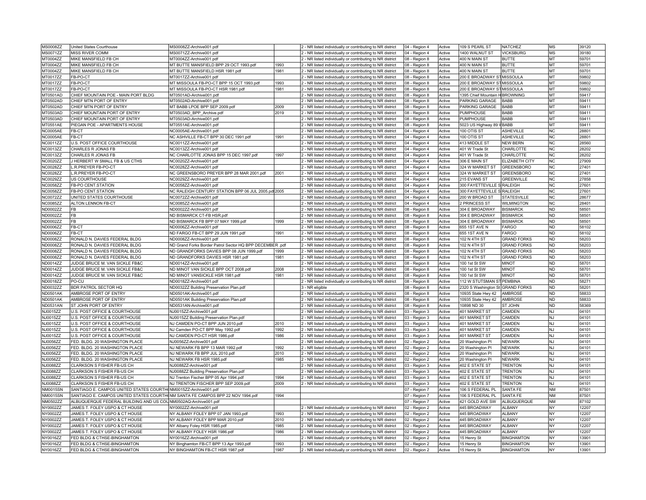| <b>MS0008ZZ</b> | United States Courthouse                                                       | MS0008ZZ-Archive001.pdf                                  |              | 2 - NR listed individually or contributing to NR district                                                              | 04 - Region 4 | Active | 109 S PEARL ST                   | NATCHEZ            | MS              | 39120          |
|-----------------|--------------------------------------------------------------------------------|----------------------------------------------------------|--------------|------------------------------------------------------------------------------------------------------------------------|---------------|--------|----------------------------------|--------------------|-----------------|----------------|
| <b>MS0071ZZ</b> | MISS RIVER COMM                                                                | MS0071ZZ-Archive001.pdf                                  |              | 2 - NR listed individually or contributing to NR district                                                              | 04 - Region 4 | Active | 1400 WALNUT ST                   | <b>VICKSBURG</b>   | MS              | 39180          |
| MT0004ZZ        | MIKE MANSFIELD FB CH                                                           | MT0004ZZ-Archive001.pdf                                  |              | 2 - NR listed individually or contributing to NR district                                                              | 08 - Region 8 | Active | 400 N MAIN ST                    | <b>BUTTE</b>       | MT              | 59701          |
| MT0004ZZ        | MIKE MANSFIELD FB CH                                                           | MT BUTTE MANSFIELD BPP 29 OCT 1993.pdf                   | 1993         | 2 - NR listed individually or contributing to NR district                                                              | 08 - Region 8 | Active | 400 N MAIN ST                    | BUTTE              | <b>IMT</b>      | 59701          |
| MT0004ZZ        | MIKE MANSFIELD FB CH                                                           | MT BUTTE MANSFIELD HSR 1981.pdf                          | 1981         | 2 - NR listed individually or contributing to NR district                                                              | 08 - Region 8 | Active | 400 N MAIN ST                    | BUTTE              | <b>IMT</b>      | 59701          |
| MT0017ZZ        | FB-PO-CT                                                                       | MT0017ZZ-Archive001.pdf                                  |              | 2 - NR listed individually or contributing to NR district                                                              | 08 - Region 8 | Active | 200 E BROADWAY STMISSOULA        |                    | <b>IMT</b>      | 59802          |
| MT0017ZZ        | FB-PO-CT                                                                       | MT MISSOULA FB-PO-CT BPP 15 OCT 1993.pdf                 | 1993         | 2 - NR listed individually or contributing to NR district                                                              | 08 - Region 8 | Active | 200 E BROADWAY STMISSOULA        |                    | MT              | 59802          |
| MT0017ZZ        | FB-PO-CT                                                                       | MT MISSOULA FB-PO-CT HSR 1981.pdf                        | 1981         | 2 - NR listed individually or contributing to NR district                                                              | 08 - Region 8 | Active | 200 E BROADWAY STMISSOULA        |                    | <b>IMT</b>      | 59802          |
| MT0501AD        | CHIEF MOUNTAIN POE - MAIN PORT BLDG                                            | MT0501AD-Archive001.pdf                                  |              | 2 - NR listed individually or contributing to NR district                                                              | 08 - Region 8 | Active | 1395 Chief Mountain H BROWNING   |                    | MT              | 59417          |
| MT0502AD        | CHIEF MTN PORT OF ENTRY                                                        | MT0502AD-Archive001.pdf                                  |              | 2 - NR listed individually or contributing to NR district                                                              | 08 - Region 8 | Active | PARKING GARAGE                   | <b>BABB</b>        | MT              | 59411          |
| MT0502AD        | CHIEF MTN PORT OF ENTRY                                                        | MT BABB LPOE BPP SEP 2009.pdf                            | 2009         | 2 - NR listed individually or contributing to NR district                                                              | 08 - Region 8 | Active | PARKING GARAGE                   | BABB               | MT              | 59411          |
| MT0503AD        | CHIEF MOUNTAIN PORT OF ENTRY                                                   | MT0503AD_BPP_Archive.pdf                                 | 2019         |                                                                                                                        |               | Active | PUMPHOUSE                        | <b>BABB</b>        | MT              | 59411          |
| MT0503AD        | CHIEF MOUNTAIN PORT OF ENTRY                                                   | MT0503AD-Archive001.pdf                                  |              | 2 - NR listed individually or contributing to NR district<br>2 - NR listed individually or contributing to NR district | 08 - Region 8 | Active | PUMPHOUSE                        | BABB               | <b>IMT</b>      | 59411          |
|                 |                                                                                |                                                          |              |                                                                                                                        | 08 - Region 8 |        |                                  |                    |                 | 59411          |
| <b>MT0551AE</b> | PIEGAN POE - APARTMENTS HOUSE                                                  | MT0551AE-Archive001.pdf                                  |              | 2 - NR listed individually or contributing to NR district                                                              | 08 - Region 8 | Active | 5023 US Highway 89 VBABB         |                    | MT              |                |
| <b>NC0005AE</b> | FB-CT                                                                          | NC0005AE-Archive001.pdf                                  |              | 2 - NR listed individually or contributing to NR district                                                              | 04 - Region 4 | Active | 100 OTIS ST                      | <b>ASHEVILLE</b>   | NC              | 28801          |
| <b>NC0005AE</b> | FB-CT                                                                          | NC ASHVILLE FB-CT BPP 30 DEC 1991.pdf                    | 1991         | 2 - NR listed individually or contributing to NR district                                                              | 04 - Region 4 | Active | 100 OTIS ST                      | <b>ASHEVILLE</b>   | <b>INC</b>      | 28801          |
| <b>NC0011ZZ</b> | U.S. POST OFFICE COURTHOUSE                                                    | NC0011ZZ-Archive001.pdf                                  |              | 2 - NR listed individually or contributing to NR district                                                              | 04 - Region 4 | Active | 413 MIDDLE ST                    | <b>NEW BERN</b>    | NC              | 28560          |
| NC0013ZZ        | CHARLES R JONAS FB                                                             | NC0013ZZ-Archive001.pdf                                  |              | 2 - NR listed individually or contributing to NR district                                                              | 04 - Region 4 | Active | 401 W Trade St                   | CHARLOTTE          | INC.            | 28202          |
| <b>NC0013ZZ</b> | CHARLES R JONAS FB                                                             | NC CHARLOTTE JONAS BPP 15 DEC 1997.pdf                   | 1997         | 2 - NR listed individually or contributing to NR district                                                              | 04 - Region 4 | Active | 401 W Trade St                   | CHARLOTTE          | <b>NC</b>       | 28202          |
| <b>NC0020ZZ</b> | J HERBERT W SMALL FB & US CTHS                                                 | NC0020ZZ-Archive001.pdf                                  |              | 2 - NR listed individually or contributing to NR district                                                              | 04 - Region 4 | Active | 306 E MAIN ST                    | ELIZABETH CITY     | NC              | 27909          |
| <b>NC0028ZZ</b> | L.R.PREYER FB-PO-CT                                                            | NC0028ZZ-Archive001.pdf                                  |              | 2 - NR listed individually or contributing to NR district                                                              | 04 - Region 4 | Active | 324 W MARKET ST                  | <b>GREENSBORO</b>  | NC              | 27401          |
| <b>NC0028ZZ</b> | L.R.PREYER FB-PO-CT                                                            | NC GREENSBORO PREYER BPP 28 MAR 2001.pdf                 | 2001         | 2 - NR listed individually or contributing to NR district                                                              | 04 - Region 4 | Active | 324 W MARKET ST                  | GREENSBORO         | NC              | 27401          |
| <b>NC0029ZZ</b> | US COURTHOUSE                                                                  | NC0029ZZ-Archive001.pdf                                  |              | 2 - NR listed individually or contributing to NR district                                                              | 04 - Region 4 | Active | 215 EVANS ST                     | GREENVILLE         | NC              | 27858          |
| <b>NC0058ZZ</b> | FB-PO CENT.STATION                                                             | NC0058ZZ-Archive001.pdf                                  |              | 2 - NR listed individually or contributing to NR district                                                              | 04 - Region 4 | Active | 300 FAYETTEVILLE SRALEIGH        |                    | <b>NC</b>       | 27601          |
| <b>NC0058ZZ</b> | FB-PO CENT.STATION                                                             | NC RALEIGH CENTURY STATION BPP 06 JUL 2005.pd 2005       |              | 2 - NR listed individually or contributing to NR district                                                              | 04 - Region 4 | Active | 300 FAYETTEVILLE S RALEIGH       |                    | NC              | 27601          |
| <b>NC0072ZZ</b> | UNITED STATES COURTHOUSE                                                       | NC0072ZZ-Archive001.pdf                                  |              | 2 - NR listed individually or contributing to NR district                                                              | 04 - Region 4 | Active | 200 W BROAD ST                   | <b>STATESVILLE</b> | NC              | 28677          |
| <b>NC0085ZZ</b> | ALTON LENNON FB-CT                                                             | NC0085ZZ-Archive001.pdf                                  |              | 2 - NR listed individually or contributing to NR district                                                              | 04 - Region 4 | Active | 2 PRINCESS ST                    | <b>WILMINGTON</b>  | NC              | 28401          |
| ND0002ZZ        | FB                                                                             | ND0002ZZ-Archive001.pdf                                  |              | 2 - NR listed individually or contributing to NR district                                                              | 08 - Region 8 | Active | 304 E BROADWAY                   | BISMARCK           | ND.             | 58501          |
| ND0002ZZ        | FB                                                                             | ND BISMARCK CT-FB HSR.pdf                                |              | 2 - NR listed individually or contributing to NR district                                                              | 08 - Region 8 | Active | 304 E BROADWAY                   | <b>BISMARCK</b>    | ND.             | 58501          |
| ND0002ZZ        | FB                                                                             | ND BISMARCK FB BPP 07 MAY 1999.pdf                       | 1999         | 2 - NR listed individually or contributing to NR district                                                              | 08 - Region 8 | Active | 304 E BROADWAY                   | <b>BISMARCK</b>    | ND.             | 58501          |
| ND0006ZZ        | FB-CT                                                                          | ND0006ZZ-Archive001.pdf                                  |              | 2 - NR listed individually or contributing to NR district                                                              | 08 - Region 8 | Active | 655 1ST AVE N                    | FARGO              | ND              | 58102          |
| ND0006ZZ        | FB-CT                                                                          | ND FARGO FB-CT BPP 29 JUN 1991.pdf                       | 1991         | 2 - NR listed individually or contributing to NR district                                                              | 08 - Region 8 | Active | 655 1ST AVE N                    | FARGO              | N <sub>D</sub>  | 58102          |
| ND0008ZZ        | RONALD N. DAVIES FEDERAL BLDG                                                  | ND0008ZZ-Archive001.pdf                                  |              | 2 - NR listed individually or contributing to NR district                                                              | 08 - Region 8 | Active | 102 N 4TH ST                     | <b>GRAND FORKS</b> | ND              | 58203          |
| ND0008ZZ        | RONALD N. DAVIES FEDERAL BLDG                                                  | ND Grand Forks Border Patrol Sector HQ BPP DECEMBER .pdf |              | 2 - NR listed individually or contributing to NR district                                                              | 08 - Region 8 | Active | 102 N 4TH ST                     | <b>GRAND FORKS</b> | <b>ND</b>       | 58203          |
| <b>ND0008ZZ</b> | RONALD N. DAVIES FEDERAL BLDG                                                  | ND GRANDFORKS DAVIES BPP 08 JUN 1999.pdf                 | 1999         | 2 - NR listed individually or contributing to NR district                                                              | 08 - Region 8 | Active | 102 N 4TH ST                     | <b>GRAND FORKS</b> | N <sub>D</sub>  | 58203          |
| <b>ND0008ZZ</b> | RONALD N. DAVIES FEDERAL BLDG                                                  | ND GRANDFORKS DAVIES HSR 1981.pdf                        | 1981         | 2 - NR listed individually or contributing to NR district                                                              | 08 - Region 8 | Active | 102 N 4TH ST                     | <b>GRAND FORKS</b> | ND              | 58203          |
| ND0014ZZ        | JUDGE BRUCE M. VAN SICKLE FB&C                                                 | ND0014ZZ-Archive001.pdf                                  |              | 2 - NR listed individually or contributing to NR district                                                              | 08 - Region 8 | Active | 100 1st St SW                    | <b>MINOT</b>       | ND              | 58701          |
| ND0014ZZ        | JUDGE BRUCE M. VAN SICKLE FB&C                                                 | ND MINOT VAN SICKLE BPP OCT 2008.pdf                     | 2008         | 2 - NR listed individually or contributing to NR district                                                              | 08 - Region 8 | Active | 100 1st St SW                    | <b>MINOT</b>       | <b>ND</b>       | 58701          |
| ND0014ZZ        | JUDGE BRUCE M. VAN SICKLE FB&C                                                 | ND MINOT VANSICKLE HSR 1981.pdf                          | 1981         | 2 - NR listed individually or contributing to NR district                                                              | 08 - Region 8 | Active | 100 1st St SW                    | <b>MINOT</b>       | ND              | 58701          |
| ND0018ZZ        | <b>PO-CU</b>                                                                   | ND0018ZZ-Archive001.pdf                                  |              | 2 - NR listed individually or contributing to NR district                                                              | 08 - Region 8 | Active | 112 W STUTSMAN ST PEMBINA        |                    | <b>ND</b>       | 58271          |
| ND0032ZZ        | BDR PATROL SECTOR HQ                                                           | ND0032ZZ Building Preservation Plan.pdf                  |              | 3 - NR eligible                                                                                                        | 08 - Region 8 | Active | 2320 S Washington St GRAND FORKS |                    | ND.             | 58201          |
| <b>ND0501AK</b> | AMBROSE PORT OF ENTRY                                                          | ND0501AK-Archive001.pdf                                  |              | 2 - NR listed individually or contributing to NR district                                                              | 08 - Region 8 | Active | 10935 State Hwy 42               | AMBROSE            | ND              | 58833          |
| ND0501AK        | AMBROSE PORT OF ENTRY                                                          | ND0501AK Building Preservation Plan.pdf                  |              | 2 - NR listed individually or contributing to NR district                                                              | 08 - Region 8 | Active | 10935 State Hwy 42               | AMBROSE            | N <sub>D</sub>  | 58833          |
| <b>ND0531AN</b> | ST JOHN PORT OF ENTRY                                                          | ND0531AN-Archive001.pdf                                  |              | 2 - NR listed individually or contributing to NR district                                                              | 08 - Region 8 | Active | 10898 ND 30                      | ST JOHN            | ND.             | 58369          |
| NJ0015ZZ        | U.S. POST OFFICE & COURTHOUSE                                                  | NJ0015ZZ-Archive001.pdf                                  |              | 2 - NR listed individually or contributing to NR district                                                              | 03 - Region 3 | Active | 401 MARKET ST                    | CAMDEN             | INJ             | 04101          |
| NJ0015ZZ        | U.S. POST OFFICE & COURTHOUSE                                                  | NJ0015ZZ Building Preservation Plan.pdf                  |              | 2 - NR listed individually or contributing to NR district                                                              | 03 - Region 3 | Active | 401 MARKET ST                    | CAMDEN             | NJ              | 04101          |
| NJ0015ZZ        | U.S. POST OFFICE & COURTHOUSE                                                  | NJ CAMDEN PO-CT BPP JUN 2010.pdf                         | 2010         | 2 - NR listed individually or contributing to NR district                                                              | 03 - Region 3 | Active | 401 MARKET ST                    | CAMDEN             | l NJ            | 04101          |
| NJ0015ZZ        | U.S. POST OFFICE & COURTHOUSE                                                  | NJ Camden PO-CT BPP May 1992.pdf                         | 1992         | 2 - NR listed individually or contributing to NR district                                                              | 03 - Region 3 | Active | 401 MARKET ST                    | CAMDEN             | NJ              | 04101          |
| NJ0015ZZ        | U.S. POST OFFICE & COURTHOUSE                                                  | NJ CAMDEN PO-CT HSR 1986.pdf                             | 1986         | 2 - NR listed individually or contributing to NR district                                                              | 03 - Region 3 | Active | 401 MARKET ST                    | CAMDEN             | l NJ            | 04101          |
| NJ0056ZZ        | FED. BLDG. 20 WASHINGTON PLACE                                                 | NJ0056ZZ-Archive001.pdf                                  |              | 2 - NR listed individually or contributing to NR district                                                              | 02 - Region 2 | Active | 20 Washington Pl                 | <b>NEWARK</b>      | <b>NJ</b>       | 04101          |
| NJ0056ZZ        | FED. BLDG. 20 WASHINGTON PLACE                                                 | NJ NEWARK FB BPP 13 MAR 1992.pdf                         | 1992         | 2 - NR listed individually or contributing to NR district                                                              | 02 - Region 2 | Active | 20 Washington PI                 | <b>NEWARK</b>      | INJ             | 04101          |
| NJ0056ZZ        | FED. BLDG. 20 WASHINGTON PLACE                                                 | NJ NEWARK FB BPP JUL 2010.pdf                            | 2010         | 2 - NR listed individually or contributing to NR district                                                              | 02 - Region 2 | Active | 20 Washington PI                 | <b>NEWARK</b>      | l NJ            | 04101          |
| NJ0056ZZ        | FED. BLDG. 20 WASHINGTON PLACE                                                 | NJ NEWARK FB HSR 1985.pdf                                | 1985         | 2 - NR listed individually or contributing to NR district                                                              | 02 - Region 2 | Active | 20 Washington PI                 | NEWARK             | NJ              | 04101          |
| NJ0088ZZ        | CLARKSON S FISHER FB-US CH                                                     | NJ0088ZZ-Archive001.pdf                                  |              | 2 - NR listed individually or contributing to NR district                                                              | 03 - Region 3 | Active | 402 E STATE ST                   | <b>TRENTON</b>     | NJ              | 04101          |
| NJ0088ZZ        | CLARKSON S FISHER FB-US CH                                                     | NJ0088ZZ Building Preservation Plan.pdf                  |              | 2 - NR listed individually or contributing to NR district                                                              | 03 - Region 3 | Active | 402 E STATE ST                   | <b>TRENTON</b>     | INJ             | 04101          |
| NJ0088ZZ        | CLARKSON S FISHER FB-US CH                                                     | NJ Trenton Fischer BPP 05 Apr 1994.pdf                   | 1994         | 2 - NR listed individually or contributing to NR district                                                              | 03 - Region 3 | Active | 402 E STATE ST                   | <b>TRENTON</b>     | NJ              | 04101          |
| NJ0088ZZ        | CLARKSON S FISHER FB-US CH                                                     | NJ TRENTON FISCHER BPP SEP 2009.pdf                      | 2009         | 2 - NR listed individually or contributing to NR district                                                              | 03 - Region 3 | Active | 402 E STATE ST                   | <b>TRENTON</b>     | INJ             | 04101          |
| <b>NM0015SN</b> | SANTIAGO E. CAMPOS UNITED STATES COURTH(NM0015ZZ-Archive001.pdf                |                                                          |              |                                                                                                                        |               | Active | 106 S FEDERAL PL                 | SANTA FE           | NM              | 87501          |
|                 |                                                                                |                                                          | 1994         |                                                                                                                        | 07 - Region 7 |        |                                  |                    | <b>NM</b>       |                |
| <b>NM0015SN</b> | SANTIAGO E. CAMPOS UNITED STATES COURTH(NM SANTA FE CAMPOS BPP 22 NOV 1994.pdf |                                                          |              |                                                                                                                        | 07 - Region 7 | Active | 106 S FEDERAL PL                 | <b>SANTA FE</b>    |                 | 87501          |
| NM0502ZZ        | ALBUQUERQUE FEDERAL BUILDING AND US COUNM0502AQ-Archive001.pdf                 |                                                          |              |                                                                                                                        | 07 - Region 7 | Active | 421 GOLD AVE SW                  | <b>ALBUQUERQUE</b> | <b>NM</b><br>NY | 87102<br>12207 |
| NY0002ZZ        | JAMES T. FOLEY USPO & CT HOUSE                                                 | NY0002ZZ-Archive001.pdf                                  |              | 2 - NR listed individually or contributing to NR district                                                              | 02 - Region 2 | Active | 445 BROADWAY                     | <b>ALBANY</b>      |                 |                |
| NY0002ZZ        | JAMES T. FOLEY USPO & CT HOUSE                                                 | NY ALBANY FOLEY BPP 07 JAN 1993.pdf                      | 1993         | 2 - NR listed individually or contributing to NR district                                                              | 02 - Region 2 | Active | 445 BROADWAY                     | <b>ALBANY</b>      | <b>NY</b>       | 12207          |
| NY0002ZZ        | JAMES T. FOLEY USPO & CT HOUSE                                                 | NY ALBANY FOLEY BPP MAR 2010.pdf                         | 2010         | 2 - NR listed individually or contributing to NR district                                                              | 02 - Region 2 | Active | 445 BROADWAY                     | <b>ALBANY</b>      | NY              | 12207          |
| NY0002ZZ        | JAMES T. FOLEY USPO & CT HOUSE                                                 | NY Albany Foley HSR 1985.pdf                             | 1985         | 2 - NR listed individually or contributing to NR district                                                              | 02 - Region 2 | Active | 445 BROADWAY                     | <b>ALBANY</b>      | NY              | 12207          |
| NY0002ZZ        | JAMES T. FOLEY USPO & CT HOUSE                                                 | NY ALBANY FOLEY HSR 1986.pdf                             | 1986         | 2 - NR listed individually or contributing to NR district                                                              | 02 - Region 2 | Active | 445 BROADWAY                     | <b>ALBANY</b>      | <b>NY</b>       | 12207          |
| NY0016ZZ        | FED BLDG & CTHSE-BINGHAMTON                                                    | NY0016ZZ-Archive001.pdf                                  |              | 2 - NR listed individually or contributing to NR district                                                              | 02 - Region 2 | Active | 15 Henry St                      | <b>BINGHAMTON</b>  | NY              | 13901          |
| NY0016ZZ        | FED BLDG & CTHSE-BINGHAMTON                                                    | NY Binghamton FB-CT BPP 13 Apr 1993.pdf                  | 1993<br>1987 | 2 - NR listed individually or contributing to NR district                                                              | 02 - Region 2 | Active | 15 Henry St                      | <b>BINGHAMTON</b>  | NY<br><b>NY</b> | 13901<br>13901 |
| NY0016ZZ        | FED BLDG & CTHSE-BINGHAMTON                                                    | NY BINGHAMTON FB-CT HSR 1987.pdf                         |              | 2 - NR listed individually or contributing to NR district                                                              | 02 - Region 2 | Active | 15 Henry St                      | <b>BINGHAMTON</b>  |                 |                |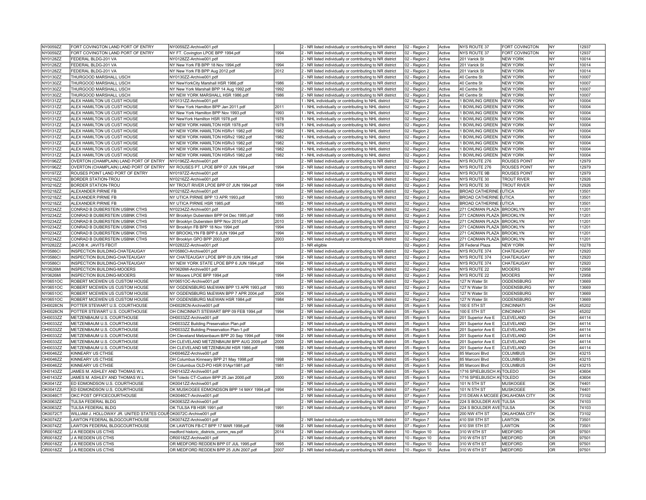| NY0059ZZ             | FORT COVINGTON LAND PORT OF ENTRY                                | NY0059ZZ-Archive001.pdf                                        |      | 2 - NR listed individually or contributing to NR district                                                              | 02 - Region 2                  | Active           | <b>NYS ROUTE 37</b>              | FORT COVINGTON      | NY                     | 12937          |
|----------------------|------------------------------------------------------------------|----------------------------------------------------------------|------|------------------------------------------------------------------------------------------------------------------------|--------------------------------|------------------|----------------------------------|---------------------|------------------------|----------------|
| NY0059ZZ             | FORT COVINGTON LAND PORT OF ENTRY                                | NY FT. Covington LPOE BPP 1994.pdf                             | 1994 | 2 - NR listed individually or contributing to NR district                                                              | 02 - Region 2                  | Active           | <b>NYS ROUTE 37</b>              | FORT COVINGTON      | NY                     | 12937          |
| <b>NY0128ZZ</b>      | FEDERAL BLDG-201 VA                                              | NY0128ZZ-Archive001.pdf                                        |      | 2 - NR listed individually or contributing to NR district                                                              | 02 - Region 2                  | Active           | 201 Varick St                    | <b>NEW YORK</b>     | <b>NY</b>              | 10014          |
| NY0128ZZ             | FEDERAL BLDG-201 VA                                              | NY New York FB BPP 18 Nov 1994.pdf                             | 1994 | 2 - NR listed individually or contributing to NR district                                                              | 02 - Region 2                  | Active           | 201 Varick St                    | <b>NEW YORK</b>     | NY                     | 10014          |
| NY0128ZZ             | FEDERAL BLDG-201 VA                                              | NY New York FB BPP Aug 2012.pdf                                | 2012 | 2 - NR listed individually or contributing to NR district                                                              | 02 - Region 2                  | Active           | 201 Varick St                    | <b>NEW YORK</b>     | NY                     | 10014          |
| NY0130ZZ             | THURGOOD MARSHALL USCH                                           | NY0130ZZ-Archive001.pdf                                        |      | 2 - NR listed individually or contributing to NR district                                                              | 02 - Region 2                  | Active           | 40 Centre St                     | <b>NEW YORK</b>     | <b>NY</b>              | 10007          |
| NY0130ZZ             | THURGOOD MARSHALL USCH                                           | NY NewYorkCity Marshall HSR 1986.pdf                           | 1986 | 2 - NR listed individually or contributing to NR district                                                              | 02 - Region 2                  | Active           | 40 Centre St                     | <b>NEW YORK</b>     | NY                     | 10007          |
| NY0130ZZ             | THURGOOD MARSHALL USCH                                           | NY New York Marshall BPP 14 Aug 1992.pdf                       | 1992 | 2 - NR listed individually or contributing to NR district                                                              | 02 - Region 2                  | Active           | 40 Centre St                     | <b>NEW YORK</b>     | <b>NY</b>              | 10007          |
| NY0130ZZ             | THURGOOD MARSHALL USCH                                           | NY NEW YORK MARSHALL HSR 1986.pdf                              | 1986 | 2 - NR listed individually or contributing to NR district                                                              | 02 - Region 2                  | Active           | 40 Centre St                     | <b>NEW YORK</b>     | <b>NY</b>              | 10007          |
| NY0131ZZ             | ALEX HAMILTON US CUST HOUSE                                      | NY0131ZZ-Archive001.pdf                                        |      | 1 - NHL individually or contributing to NHL district                                                                   | 02 - Region 2                  | Active           | 1 BOWLING GREEN NEW YORK         |                     | NY                     | 10004          |
| NY0131ZZ             | ALEX HAMILTON US CUST HOUSE                                      | NY New York Hamilton BPP Jan 2011.pdf                          | 2011 | 1 - NHL individually or contributing to NHL district                                                                   | 02 - Region 2                  | Active           | 1 BOWLING GREEN NEW YORK         |                     | NY                     | 10004          |
| NY0131ZZ             | ALEX HAMILTON US CUST HOUSE                                      | NY New York Hamilton BPP Nov 1993.pdf                          | 1993 | 1 - NHL individually or contributing to NHL district                                                                   | 02 - Region 2                  | Active           | 1 BOWLING GREEN NEW YORK         |                     | NY                     | 10004          |
| NY0131ZZ             | ALEX HAMILTON US CUST HOUSE                                      | NY NewYork Hamilton HSR 1978.pdf                               | 1978 | - NHL individually or contributing to NHL district                                                                     | 02 - Region 2                  | Active           | <b>BOWLING GREEN</b>             | <b>NEW YORK</b>     | NY                     | 10004          |
| NY0131ZZ             | ALEX HAMILTON US CUST HOUSE                                      | NY NEW YORK HAMILTON HSR 1978.pdf                              | 1978 | 1 - NHL individually or contributing to NHL district                                                                   | 02 - Region 2                  | Active           | <b>BOWLING GREEN</b>             | <b>NEW YORK</b>     | NY                     | 10004          |
| NY0131ZZ             | ALEX HAMILTON US CUST HOUSE                                      | NY NEW YORK HAMILTON HSRv1 1982.pdf                            | 1982 | 1 - NHL individually or contributing to NHL district                                                                   | 02 - Region 2                  | Active           | 1 BOWLING GREEN NEW YORK         |                     | NY                     | 10004          |
| NY0131ZZ             | ALEX HAMILTON US CUST HOUSE                                      | NY NEW YORK HAMILTON HSRv2 1982.pdf                            | 1982 | 1 - NHL individually or contributing to NHL district                                                                   | 02 - Region 2                  | Active           | 1 BOWLING GREEN                  | <b>NEW YORK</b>     | <b>NY</b>              | 10004          |
| NY0131ZZ             | ALEX HAMILTON US CUST HOUSE                                      | NY NEW YORK HAMILTON HSRv3 1982.pdf                            | 1982 | 1 - NHL individually or contributing to NHL district                                                                   | 02 - Region 2                  | Active           | 1 BOWLING GREEN NEW YORK         |                     | NY                     | 10004          |
| NY0131ZZ             | ALEX HAMILTON US CUST HOUSE                                      | NY NEW YORK HAMILTON HSRv4 1982.pdf                            | 1982 | - NHL individually or contributing to NHL district                                                                     | 02 - Region 2                  | Active           | 1 BOWLING GREEN NEW YORK         |                     | NY                     | 10004          |
| NY0131ZZ             | ALEX HAMILTON US CUST HOUSE                                      | NY NEW YORK HAMILTON HSRv5 1982.pdf                            | 1982 | 1 - NHL individually or contributing to NHL district                                                                   | 02 - Region 2                  | Active           | 1 BOWLING GREEN NEW YORK         |                     | NY                     | 10004          |
| NY0196ZZ             | OVERTON (CHAMPLAIN) LAND PORT OF ENTRY                           | NY0196ZZ-Archive001.pdf                                        |      | 2 - NR listed individually or contributing to NR district                                                              | 02 - Region 2                  | Active           | NYS ROUTE 276                    | <b>ROUSES POINT</b> | NY                     | 12979          |
| NY0196ZZ             | OVERTON (CHAMPLAIN) LAND PORT OF ENTRY                           | NY ROUSES PT. LPOE BPP 07 JUN 1994.pdf                         | 1994 | 2 - NR listed individually or contributing to NR district                                                              | 02 - Region 2                  | Active           | NYS ROUTE 276                    | <b>ROUSES POINT</b> | NY                     | 12979          |
| NY0197ZZ             | ROUSES POINT LAND PORT OF ENTRY                                  | NY0197ZZ-Archive001.pdf                                        |      | 2 - NR listed individually or contributing to NR district                                                              | 02 - Region 2                  | Active           | <b>NYS ROUTE 9B</b>              | <b>ROUSES POINT</b> | NY                     | 12979          |
| NY0216ZZ             | <b>BORDER STATION-TROU</b>                                       | NY0216ZZ-Archive001.pdf                                        |      | 2 - NR listed individually or contributing to NR district                                                              | 02 - Region 2                  | Active           | NYS ROUTE 30                     | <b>TROUT RIVER</b>  | NY                     | 12926          |
| NY0216ZZ             | <b>BORDER STATION-TROU</b>                                       | NY TROUT RIVER LPOE BPP 07 JUN 1994.pdf                        | 1994 | 2 - NR listed individually or contributing to NR district                                                              |                                | Active           | NYS ROUTE 30                     | <b>TROUT RIVER</b>  | NY                     | 12926          |
|                      |                                                                  |                                                                |      |                                                                                                                        | 02 - Region 2                  |                  | <b>BROAD CATHERINE (UTICA</b>    |                     | NY                     | 13501          |
| NY0218ZZ<br>NY0218ZZ | ALEXANDER PIRNIE FB<br>ALEXANDER PIRNIE FB                       | NY0218ZZ-Archive001.pdf<br>NY UTICA PIRNIE BPP 13 APR 1993.pdf | 1993 | 2 - NR listed individually or contributing to NR district<br>2 - NR listed individually or contributing to NR district | 02 - Region 2<br>02 - Region 2 | Active<br>Active | <b>BROAD CATHERINE (UTICA</b>    |                     | NY                     | 13501          |
|                      | ALEXANDER PIRNIE FB                                              | NY UTICA PIRNIE HSR 1985.pdf                                   | 1985 |                                                                                                                        |                                | Active           | <b>BROAD CATHERINE (UTICA</b>    |                     | NY                     | 13501          |
| NY0218ZZ             |                                                                  |                                                                |      | 2 - NR listed individually or contributing to NR district                                                              | 02 - Region 2                  |                  |                                  |                     |                        |                |
| NY0234ZZ<br>NY0234ZZ | CONRAD B DUBERSTEIN USBNK CTHS<br>CONRAD B DUBERSTEIN USBNK CTHS | NY0234ZZ-Archive001.pdf                                        | 1995 | 2 - NR listed individually or contributing to NR district                                                              | 02 - Region 2                  | Active<br>Active | 271 CADMAN PLAZA BROOKLYN        |                     | <b>NY</b><br><b>NY</b> | 11201<br>11201 |
|                      |                                                                  | NY Brooklyn Duberstein BPP 04 Dec 1995.pdf                     |      | 2 - NR listed individually or contributing to NR district                                                              | 02 - Region 2                  |                  | 271 CADMAN PLAZA BROOKLYN        |                     |                        |                |
| NY0234ZZ             | CONRAD B DUBERSTEIN USBNK CTHS                                   | NY Brooklyn Duberstein BPP Nov 2010.pdf                        | 2010 | 2 - NR listed individually or contributing to NR district                                                              | 02 - Region 2                  | Active           | 271 CADMAN PLAZA BROOKLYN        |                     | NY                     | 11201          |
| NY0234ZZ             | CONRAD B DUBERSTEIN USBNK CTHS                                   | NY Brooklyn FB BPP 18 Nov 1994.pdf                             | 1994 | 2 - NR listed individually or contributing to NR district                                                              | 02 - Region 2                  | Active           | 271 CADMAN PLAZA BROOKLYN        |                     | NY                     | 11201          |
| NY0234ZZ             | CONRAD B DUBERSTEIN USBNK CTHS                                   | NY BROOKLYN FB BPP 6 JUN 1994.pdf                              | 1994 | 2 - NR listed individually or contributing to NR district                                                              | 02 - Region 2                  | Active           | 271 CADMAN PLAZA BROOKLYN        |                     | NY                     | 11201          |
| NY0234ZZ             | CONRAD B DUBERSTEIN USBNK CTHS                                   | NY Brooklyn GPO BPP 2003.pdf                                   | 2003 | 2 - NR listed individually or contributing to NR district                                                              | 02 - Region 2                  | Active           | 271 CADMAN PLAZA BROOKLYN        |                     | NY                     | 11201          |
| NY0282ZZ             | JACOB K. JAVITS FBCIT                                            | NY0282ZZ-Archive001.pdf                                        |      | 3 - NR eligible                                                                                                        | 02 - Region 2                  | Active           | 26 Federal Plaza                 | <b>NEW YORK</b>     | <b>NY</b>              | 10278          |
| <b>NY0586CI</b>      | INSPECTION BUILDING-CHATEAUGAY                                   | NY0586Cl-Archive001.pdf                                        |      | 2 - NR listed individually or contributing to NR district                                                              | 02 - Region 2                  | Active           | NYS ROUTE 374                    | CHATEAUGAY          | NY                     | 12920          |
| <b>NY0586CI</b>      | INSPECTION BUILDING-CHATEAUGAY                                   | NY CHATEAUGAY LPOE BPP 09 JUN 1994.pdf                         | 1994 | 2 - NR listed individually or contributing to NR district                                                              | 02 - Region 2                  | Active           | NYS ROUTE 374                    | CHATEAUGAY          | NY                     | 12920          |
| <b>NY0586CI</b>      | INSPECTION BUILDING-CHATEAUGAY                                   | NY NEW YORK STATE LPOE BPP 6 JUN 1994.pdf                      | 1994 | 2 - NR listed individually or contributing to NR district                                                              | 02 - Region 2                  | Active           | NYS ROUTE 374                    | CHATEAUGAY          | <b>NY</b>              | 12920          |
| <b>NY0626MI</b>      | INSPECTION BUILDING-MOOERS                                       | NY0626MI-Archive001.pdf                                        |      | 2 - NR listed individually or contributing to NR district                                                              | 02 - Region 2                  | Active           | <b>NYS ROUTE 22</b>              | <b>MOOERS</b>       | NY                     | 12958          |
| <b>NY0626MI</b>      | INSPECTION BUILDING-MOOERS                                       | NY Mooers LPOE BPP 1994.pdf                                    | 1994 | 2 - NR listed individually or contributing to NR district                                                              | 02 - Region 2                  | Active           | <b>NYS ROUTE 22</b>              | <b>MOOERS</b>       | <b>NY</b>              | 12958          |
| NY0651OC             | ROBERT MCEWEN US CUSTOM HOUSE                                    | NY0651OC-Archive001.pdf                                        |      | 2 - NR listed individually or contributing to NR district                                                              | 02 - Region 2                  | Active           | 127 N Water St                   | OGDENSBURG          | <b>NY</b>              | 13669          |
| NY0651OC             | ROBERT MCEWEN US CUSTOM HOUSE                                    | NY OGDENSBURG McEWAN BPP 13 APR 1993.pdf                       | 1993 | 2 - NR listed individually or contributing to NR district                                                              | 02 - Region 2                  | Active           | 127 N Water St                   | OGDENSBURG          | <b>NY</b>              | 13669          |
| NY0651OC             | ROBERT MCEWEN US CUSTOM HOUSE                                    | NY OGDENSBURG McEWAN BPP 7 APR 2004.pdf                        | 2004 | 2 - NR listed individually or contributing to NR district                                                              | 02 - Region 2                  | Active           | 127 N Water St                   | OGDENSBURG          | NY                     | 13669          |
| NY0651OC             | ROBERT MCEWEN US CUSTOM HOUSE                                    | NY OGDENSBURG McEWAN HSR 1984.pdf                              | 1984 | 2 - NR listed individually or contributing to NR district                                                              | 02 - Region 2                  | Active           | 127 N Water St                   | OGDENSBURG          | NY                     | 13669          |
| OH0028CN             | POTTER STEWART U.S. COURTHOUSE                                   | OH0028CN-Archive001.pdf                                        |      | 2 - NR listed individually or contributing to NR district                                                              | 05 - Region 5                  | Active           | 100 E 5TH ST                     | <b>CINCINNATI</b>   | lон                    | 45202          |
| <b>OH0028CN</b>      | POTTER STEWART U.S. COURTHOUSE                                   | OH CINCINNATI STEWART BPP 09 FEB 1994.pdf                      | 1994 | 2 - NR listed individually or contributing to NR district                                                              | 05 - Region 5                  | Active           | 100 E 5TH ST                     | CINCINNATI          | loH                    | 45202          |
| OH0033ZZ             | METZENBAUM U.S. COURTHOUSE                                       | OH0033ZZ-Archive001.pdf                                        |      | 2 - NR listed individually or contributing to NR district                                                              | 05 - Region 5                  | Active           | 201 Superior Ave E               | <b>CLEVELAND</b>    | <b>OH</b>              | 44114          |
| OH0033ZZ             | METZENBAUM U.S. COURTHOUSE                                       | OH0033ZZ Building Preservation Plan.pdf                        |      | 2 - NR listed individually or contributing to NR district                                                              | 05 - Region 5                  | Active           | 201 Superior Ave E               | CLEVELAND           | lон                    | 44114          |
| OH0033ZZ             | METZENBAUM U.S. COURTHOUSE                                       | OH0033ZZ Building Preservation Plan-1.pdf                      |      | 2 - NR listed individually or contributing to NR district                                                              | 05 - Region 5                  | Active           | 201 Superior Ave E               | CLEVELAND           | <b>OH</b>              | 44114          |
| OH0033ZZ             | METZENBAUM U.S. COURTHOUSE                                       | OH Cleveland Metzenbaum BPP 20 Sep 1994.pdf                    | 1994 | 2 - NR listed individually or contributing to NR district                                                              | 05 - Region 5                  | Active           | 201 Superior Ave E               | CLEVELAND           | lон                    | 44114          |
| OH0033ZZ             | METZENBAUM U.S. COURTHOUSE                                       | OH CLEVELAND METZENBAUM BPP AUG 2009.pdf                       | 2009 | 2 - NR listed individually or contributing to NR district                                                              | 05 - Region 5                  | Active           | 201 Superior Ave E               | CLEVELAND           | lон                    | 44114          |
| OH0033ZZ             | METZENBAUM U.S. COURTHOUSE                                       | OH CLEVELAND METZENBAUM HSR 1986.pdf                           | 1986 | 2 - NR listed individually or contributing to NR district                                                              | 05 - Region 5                  | Active           | 201 Superior Ave E               | CLEVELAND           | lон                    | 44114          |
| OH0046ZZ             | KINNEARY US CTHSE                                                | OH0046ZZ-Archive001.pdf                                        |      | 2 - NR listed individually or contributing to NR district                                                              | 05 - Region 5                  | Active           | 85 Marconi Blvd                  | COLUMBUS            | lон                    | 43215          |
| OH0046ZZ             | KINNEARY US CTHSE                                                | OH Columbus Kinneary BPP 21 May 1998.pdf                       | 1998 | 2 - NR listed individually or contributing to NR district                                                              | 05 - Region 5                  | Active           | 85 Marconi Blvd                  | <b>COLUMBUS</b>     | OH                     | 43215          |
| OH0046ZZ             | KINNEARY US CTHSE                                                | OH Columbus OLD-PO HSR 01Apr1981.pdf                           | 1981 | 2 - NR listed individually or contributing to NR district                                                              | 05 - Region 5                  | Active           | 85 Marconi Blvd                  | <b>COLUMBUS</b>     | <b>OH</b>              | 43215          |
| OH0143ZZ             | JAMES M. ASHLEY AND THOMAS W.L                                   | OH0143ZZ-Archive001.pdf                                        |      | 2 - NR listed individually or contributing to NR district                                                              | 05 - Region 5                  | Active           | 1716 SPIELBUSCH AV TOLEDO        |                     | OH                     | 43604          |
| OH0143ZZ             | JAMES M. ASHLEY AND THOMAS W.L                                   | OH Toledo CT-Custom BPP 25 Jan 2000.pdf                        | 2000 | 2 - NR listed individually or contributing to NR district                                                              | 05 - Region 5                  | Active           | 1716 SPIELBUSCH AVTOLEDO         |                     | <b>OH</b>              | 43604          |
| OK0041ZZ             | ED EDMONDSON U.S. COURTHOUSE                                     | OK0041ZZ-Archive001.pdf                                        |      | 2 - NR listed individually or contributing to NR district                                                              | 07 - Region 7                  | Active           | 101 N 5TH ST                     | <b>MUSKOGEE</b>     | OK                     | 74401          |
| OK0041ZZ             | ED EDMONDSON U.S. COURTHOUSE                                     | OK MUSKOGEE EDMONDSON BPP 14 MAY 1994.pdf 1994                 |      | 2 - NR listed individually or contributing to NR district                                                              | 07 - Region 7                  | Active           | 101 N 5TH ST                     | <b>MUSKOGEE</b>     | <b>OK</b>              | 74401          |
| <b>OK0046CT</b>      | OKC POST OFFICECOURTHOUSE                                        | OK0046CT-Archive001.pdf                                        |      | 2 - NR listed individually or contributing to NR district                                                              | 07 - Region 7                  | Active           | 215 DEAN A MCGEE / OKLAHOMA CITY |                     | lok                    | 73102          |
| OK0063ZZ             | TULSA FEDERAL BLDG                                               | OK0063ZZ-Archive001.pdf                                        |      | 2 - NR listed individually or contributing to NR district                                                              | 07 - Region 7                  | Active           | 224 S BOULDER AVE TULSA          |                     | lok                    | 74103          |
| OK0063ZZ             | TULSA FEDERAL BLDG                                               | OK TULSA FB HSR 1991.pdf                                       | 1991 | 2 - NR listed individually or contributing to NR district                                                              | 07 - Region 7                  | Active           | 224 S BOULDER AVE TULSA          |                     | <b>OK</b>              | 74103          |
| OK0072CT             | WILLIAM J. HOLLOWAY JR. UNITED STATES COUROK0072C-Archive001.pdf |                                                                |      |                                                                                                                        | 07 - Region 7                  | Active           | <b>200 NW 4TH ST</b>             | OKLAHOMA CITY       | lok                    | 73102          |
| OK0074ZZ             | LAWTON FEDERAL BLDGCOURTHOUSE                                    | OK0074ZZ-Archive001.pdf                                        |      | 2 - NR listed individually or contributing to NR district                                                              | 07 - Region 7                  | Active           | 410 SW 5TH ST                    | LAWTON              | <b>OK</b>              | 73501          |
| OK0074ZZ             | LAWTON FEDERAL BLDGCOURTHOUSE                                    | OK LAWTON FB-CT BPP 17 MAR 1998.pdf                            | 1998 | 2 - NR listed individually or contributing to NR district                                                              | 07 - Region 7                  | Active           | 410 SW 5TH ST                    | LAWTON              | <b>OK</b>              | 73501          |
| OR0018ZZ             | J A REDDEN US CTHS                                               | medford historic_districts_comm_res.pdf                        | 2014 | 2 - NR listed individually or contributing to NR district                                                              | 10 - Region 10                 | Active           | 310 W 6TH ST                     | MEDFORD             | lor                    | 97501          |
| OR0018ZZ             | J A REDDEN US CTHS                                               | OR0018ZZ-Archive001.pdf                                        |      | 2 - NR listed individually or contributing to NR district                                                              | 10 - Region 10                 | Active           | 310 W 6TH ST                     | <b>MEDFORD</b>      | OR                     | 97501          |
| OR0018ZZ             | J A REDDEN US CTHS                                               | OR MEDFORD REDDEN BPP 07 JUL 1995.pdf                          | 1995 | 2 - NR listed individually or contributing to NR district                                                              | 10 - Region 10                 | Active           | 310 W 6TH ST                     | <b>MEDFORD</b>      | lor                    | 97501          |
| OR0018ZZ             | J A REDDEN US CTHS                                               | OR MEDFORD REDDEN BPP 25 JUN 2007.pdf                          | 2007 | 2 - NR listed individually or contributing to NR district                                                              | 10 - Region 10                 | Active           | 310 W 6TH ST                     | <b>MEDFORD</b>      | OR                     | 97501          |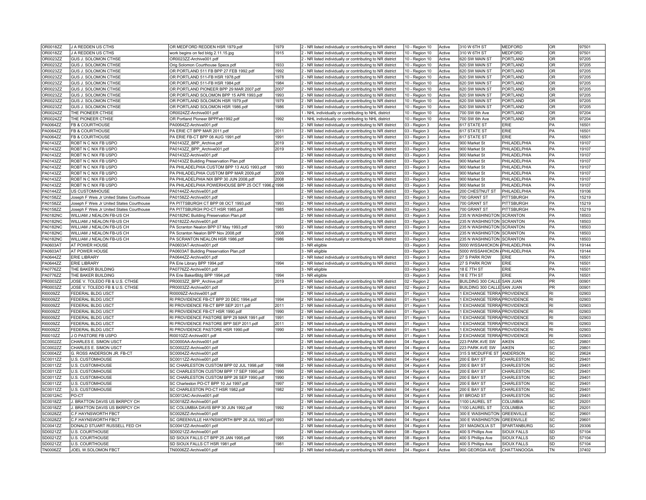| OR0018ZZ                    | J A REDDEN US CTHS                            | OR MEDFORD REDDEN HSR 1979.pdf                            | 1979 | 2 - NR listed individually or contributing to NR district                                                              | 10 - Region 10                 | Active           | 310 W 6TH ST                                                 | <b>MEDFORD</b>             | OR                     | 97501          |
|-----------------------------|-----------------------------------------------|-----------------------------------------------------------|------|------------------------------------------------------------------------------------------------------------------------|--------------------------------|------------------|--------------------------------------------------------------|----------------------------|------------------------|----------------|
| OR0018ZZ                    | J A REDDEN US CTHS                            | work begins on fed bldg 2.11.15.jpg                       | 1915 | 2 - NR listed individually or contributing to NR district                                                              | 10 - Region 10                 | Active           | 310 W 6TH ST                                                 | <b>MEDFORD</b>             | OR                     | 97501          |
| OR0023ZZ                    | GUS J. SOLOMON CTHSE                          | OR0023ZZ-Archive001.pdf                                   |      | 2 - NR listed individually or contributing to NR district                                                              | 10 - Region 10                 | Active           | 620 SW MAIN ST                                               | PORTLAND                   | OR                     | 97205          |
| OR0023ZZ                    | GUS J. SOLOMON CTHSE                          | Orig Solomon Courthouse Specs.pdf                         | 1933 | 2 - NR listed individually or contributing to NR district                                                              | 10 - Region 10                 | Active           | 620 SW MAIN ST                                               | PORTLAND                   | <b>OR</b>              | 97205          |
| OR0023ZZ                    | GUS J. SOLOMON CTHSE                          | OR PORTLAND 511 FB BPP 27 FEB 1992.pdf                    | 1992 | 2 - NR listed individually or contributing to NR district                                                              | 10 - Region 10                 | Active           | 620 SW MAIN ST                                               | <b>PORTLAND</b>            | OR                     | 97205          |
| OR0023ZZ                    | GUS J. SOLOMON CTHSE                          | OR PORTLAND 511-FB HSR 1978.pdf                           | 1978 | 2 - NR listed individually or contributing to NR district                                                              | 10 - Region 10                 | Active           | 620 SW MAIN ST                                               | PORTLAND                   | OR                     | 97205          |
| OR0023ZZ                    | GUS J. SOLOMON CTHSE                          | OR PORTLAND 511-FB HSR 1984.pdf                           | 1984 | 2 - NR listed individually or contributing to NR district                                                              | 10 - Region 10                 | Active           | 620 SW MAIN ST                                               | PORTLAND                   | OR                     | 97205          |
| OR0023ZZ                    | GUS J. SOLOMON CTHSE                          | OR PORTLAND PIONEER BPP 29 MAR 2007.pdf                   | 2007 | 2 - NR listed individually or contributing to NR district                                                              | 10 - Region 10                 | Active           | 620 SW MAIN ST                                               | PORTLAND                   | OR                     | 97205          |
| OR0023ZZ                    | GUS J. SOLOMON CTHSE                          | OR PORTLAND SOLOMON BPP 15 APR 1993.pdf                   | 1993 | 2 - NR listed individually or contributing to NR district                                                              | 10 - Region 10                 | Active           | 620 SW MAIN ST                                               | PORTLAND                   | lor                    | 97205          |
| OR0023ZZ                    | GUS J. SOLOMON CTHSE                          | OR PORTLAND SOLOMON HSR 1979.pdf                          | 1979 | 2 - NR listed individually or contributing to NR district                                                              | 10 - Region 10                 | Active           | 620 SW MAIN ST                                               | PORTLAND                   | lor                    | 97205          |
| OR0023ZZ                    | GUS J. SOLOMON CTHSE                          | OR PORTLAND SOLOMON HSR 1986.pdf                          | 1986 | 2 - NR listed individually or contributing to NR district                                                              | 10 - Region 10                 | Active           | 620 SW MAIN ST                                               | PORTLAND                   | lor                    | 97205          |
| OR0024ZZ                    | THE PIONEER CTHSE                             | OR0024ZZ-Archive001.pdf                                   |      | 1 - NHL individually or contributing to NHL district                                                                   | 10 - Region 10                 | Active           | 700 SW 6th Ave                                               | PORTLAND                   | <b>OR</b>              | 97204          |
| OR0024ZZ                    | THE PIONEER CTHSE                             | OR Portland Pioneer BPPFeb1992.pdf                        | 1992 | 1 - NHL individually or contributing to NHL district                                                                   | 10 - Region 10                 | Active           | 700 SW 6th Ave                                               | PORTLAND                   | OR                     | 97204          |
| PA0064ZZ                    | FB & COURTHOUSE                               | PA0064ZZ-Archive001.pdf                                   |      | 2 - NR listed individually or contributing to NR district                                                              | 03 - Region 3                  | Active           | 617 STATE ST                                                 | ERIE                       | PA                     | 16501          |
| PA0064ZZ                    | FB & COURTHOUSE                               | PA ERIE CT BPP MAR 2011.pdf                               | 2011 | 2 - NR listed individually or contributing to NR district                                                              | 03 - Region 3                  | Active           | 617 STATE ST                                                 | ERIE                       | <b>PA</b>              | 16501          |
| PA0064ZZ                    | FB & COURTHOUSE                               | PA ERIE FB-CT BPP 08 AUG 1991.pdf                         | 1991 | 2 - NR listed individually or contributing to NR district                                                              | 03 - Region 3                  | Active           | 617 STATE ST                                                 | ERIE                       | <b>PA</b>              | 16501          |
| PA0143ZZ                    | ROBT N C NIX FB USPO                          | PA0143ZZ_BPP_Archive.pdf                                  | 2019 | 2 - NR listed individually or contributing to NR district                                                              | 03 - Region 3                  | Active           | 900 Market St                                                | PHILADELPHIA               | PA                     | 19107          |
| PA0143ZZ                    | ROBT N C NIX FB USPO                          | PA0143ZZ_BPP_Archive001.pdf                               | 2019 | 2 - NR listed individually or contributing to NR district                                                              | 03 - Region 3                  | Active           | 900 Market St                                                | PHILADELPHIA               | PA                     | 19107          |
| PA0143ZZ                    | ROBT N C NIX FB USPO                          | PA0143ZZ-Archive001.pdf                                   |      | 2 - NR listed individually or contributing to NR district                                                              | 03 - Region 3                  | Active           | 900 Market St                                                | PHILADELPHIA               | <b>PA</b>              | 19107          |
| PA0143ZZ                    | ROBT N C NIX FB USPO                          | PA0143ZZ Building Preservation Plan.pdf                   |      | 2 - NR listed individually or contributing to NR district                                                              |                                | Active           | 900 Market St                                                | PHILADELPHIA               | <b>PA</b>              | 19107          |
| PA0143ZZ                    | ROBT N C NIX FB USPO                          | PA PHILADELPHIA CUSTOM BPP 13 AUG 1993.pdf                | 1993 | 2 - NR listed individually or contributing to NR district                                                              | 03 - Region 3<br>03 - Region 3 | Active           | 900 Market St                                                | PHILADELPHIA               | <b>PA</b>              | 19107          |
| PA0143ZZ                    | ROBT N C NIX FB USPO                          | PA PHILADELPHIA CUSTOM BPP MAR 2009.pdf                   | 2009 |                                                                                                                        |                                | Active           | 900 Market St                                                | PHILADELPHIA               | PA                     | 19107          |
| PA0143ZZ                    | ROBT N C NIX FB USPO                          | PA PHILADELPHIA NIX BPP 30 JUN 2008.pdf                   | 2008 | 2 - NR listed individually or contributing to NR district<br>2 - NR listed individually or contributing to NR district | 03 - Region 3                  | Active           | 900 Market St                                                | PHILADELPHIA               | <b>PA</b>              | 19107          |
| PA0143ZZ                    | ROBT N C NIX FB USPO                          | PA PHILADELPHIA POWERHOUSE BPP 25 OCT 1996. 1996          |      |                                                                                                                        | 03 - Region 3                  | Active           | 900 Market St                                                | PHILADELPHIA               | <b>PA</b>              | 19107          |
|                             |                                               |                                                           |      | 2 - NR listed individually or contributing to NR district                                                              | 03 - Region 3                  |                  |                                                              |                            |                        |                |
| PA0144ZZ                    | US CUSTOMHOUSE                                | PA0144ZZ-Archive001.pdf                                   |      | 2 - NR listed individually or contributing to NR district                                                              | 03 - Region 3                  | Active           | 200 CHESTNUT ST                                              | PHILADELPHIA               | <b>PA</b>              | 19106          |
| PA0158ZZ                    | Joseph F Weis Jr United States Courthouse     | PA0158ZZ-Archive001.pdf                                   |      | 2 - NR listed individually or contributing to NR district                                                              | 03 - Region 3                  | Active           | 700 GRANT ST                                                 | PITTSBURGH                 | <b>PA</b>              | 15219          |
| PA0158ZZ                    | Joseph F Weis Jr United States Courthouse     | PA PITTSBURGH CT BPP 08 OCT 1993.pdf                      | 1993 | 2 - NR listed individually or contributing to NR district                                                              | 03 - Region 3                  | Active           | 700 GRANT ST                                                 | PITTSBURGH                 | PA                     | 15219          |
| PA0158ZZ                    | Joseph F Weis Jr United States Courthouse     | PA PITTSBURGH PO-CT HSR 1985.pdf                          | 1985 | 2 - NR listed individually or contributing to NR district                                                              | 03 - Region 3                  | Active           | 700 GRANT ST                                                 | PITTSBURGH                 | <b>PA</b>              | 15219          |
| <b>PA0182NC</b>             | WILLIAM J NEALON FB-US CH                     | PA0182NC Building Preservation Plan.pdf                   |      | 2 - NR listed individually or contributing to NR district                                                              | 03 - Region 3                  | Active           | 235 N WASHINGTON SCRANTON                                    |                            | <b>PA</b>              | 18503          |
| <b>PA0182NC</b>             | WILLIAM J NEALON FB-US CH                     | PA0182ZZ-Archive001.pdf                                   |      | 2 - NR listed individually or contributing to NR district                                                              | 03 - Region 3                  | Active           | 235 N WASHINGTON SCRANTON                                    |                            | <b>PA</b>              | 18503          |
| <b>PA0182NC</b>             | WILLIAM J NEALON FB-US CH                     | PA Scranton Nealon BPP 07 May 1993.pdf                    | 1993 | 2 - NR listed individually or contributing to NR district                                                              | 03 - Region 3                  | Active           | 235 N WASHINGTON SCRANTON                                    |                            | <b>PA</b>              | 18503          |
| <b>PA0182NC</b>             | WILLIAM J NEALON FB-US CH                     | PA Scranton Nealon BPP Nov 2008.pdf                       | 2008 | 2 - NR listed individually or contributing to NR district                                                              | 03 - Region 3                  | Active           | 235 N WASHINGTON SCRANTON                                    |                            | <b>PA</b>              | 18503          |
| <b>PA0182NC</b>             | WILLIAM J NEALON FB-US CH                     | PA SCRANTON NEALON HSR 1986.pdf                           | 1986 | 2 - NR listed individually or contributing to NR district                                                              | 03 - Region 3                  | Active           | 235 N WASHINGTON SCRANTON<br>5000 WISSAHICKON / PHILADELPHIA |                            | <b>PA</b>              | 18503          |
| PA0603AT                    | AT POWER HOUSE                                | PA0603AT-Archive001.pdf                                   |      | 3 - NR eligible                                                                                                        |                                | Active           |                                                              |                            | <b>PA</b>              | 19144          |
|                             |                                               |                                                           |      |                                                                                                                        | 03 - Region 3                  |                  |                                                              |                            |                        |                |
| PA0603AT                    | AT POWER HOUSE                                | PA0603AT Building Preservation Plan.pdf                   |      | 3 - NR eligible                                                                                                        | 03 - Region 3                  | Active           | 5000 WISSAHICKON / PHILADELPHIA                              |                            | <b>PA</b>              | 19144          |
| PA0644ZZ                    | <b>ERIE LIBRARY</b>                           | PA0644ZZ-Archive001.pdf                                   |      | 2 - NR listed individually or contributing to NR district                                                              | 03 - Region 3                  | Active           | 27 S PARK ROW                                                | ERIE                       | <b>IPA</b>             | 16501          |
| PA0644ZZ                    | <b>ERIE LIBRARY</b>                           | PA Erie Library BPP 1994.pdf                              | 1994 | 2 - NR listed individually or contributing to NR district                                                              | 03 - Region 3                  | Active           | 27 S PARK ROW                                                | ERIE                       | <b>PA</b>              | 16501          |
| PA0776ZZ                    | THE BAKER BUILDING                            | PA0776ZZ-Archive001.pdf                                   |      | 3 - NR eligible                                                                                                        | 03 - Region 3                  | Active           | 18 E 7TH ST                                                  | <b>ERIE</b>                | <b>PA</b>              | 16501          |
| <b>PA0776ZZ</b>             | THE BAKER BUILDING                            | PA Erie BakerBldg BPP 1994.pdf                            | 1994 | 3 - NR eligible                                                                                                        | 03 - Region 3                  | Active           | 18 E 7TH ST                                                  | ERIE                       | PA                     | 16501          |
| PR0003ZZ                    | JOSE V. TOLEDO FB & U.S. CTHSE                | PR0003ZZ_BPP_Archive.pdf                                  | 2019 | 2 - NR listed individually or contributing to NR district                                                              | 02 - Region 2                  | Active           | BUILDING 300 CALLE SAN JUAN                                  |                            | <b>PR</b>              | 00901          |
| PR0003ZZ                    | JOSE V. TOLEDO FB & U.S. CTHSE                | PR0003ZZ-Archive001.pdf                                   |      | 2 - NR listed individually or contributing to NR district                                                              | 02 - Region 2                  | Active           | BUILDING 300 CALLE SAN JUAN                                  |                            | PR                     | 00901          |
| RI0009ZZ                    | FEDERAL BLDG USCT                             | RI0009ZZ-Archive001.pdf                                   |      | 2 - NR listed individually or contributing to NR district                                                              | 01 - Region 1                  | Active           | 1 EXCHANGE TERRA PROVIDENCE                                  |                            | İRI                    | 02903          |
| RI0009ZZ                    | FEDERAL BLDG USCT                             | RI PROVIDENCE FB-CT BPP 20 DEC 1994.pdf                   | 1994 | 2 - NR listed individually or contributing to NR district                                                              | 01 - Region 1                  | Active           | 1 EXCHANGE TERRA PROVIDENCE                                  |                            | RI                     | 02903          |
| RI0009ZZ                    | FEDERAL BLDG USCT                             | RI PROVIDENCE FB-CT BPP SEP 2011.pdf                      | 2011 | 2 - NR listed individually or contributing to NR district                                                              | 01 - Region 1                  | Active           | 1 EXCHANGE TERRA PROVIDENCE                                  |                            | İRI                    | 02903          |
| <b>RI0009ZZ</b>             | FEDERAL BLDG USCT                             | RI PROVIDENCE FB-CT HSR 1990.pdf                          | 1990 | 2 - NR listed individually or contributing to NR district                                                              | 01 - Region 1                  | Active           | <b>EXCHANGE TERRA PROVIDENCE</b>                             |                            | İRI                    | 02903          |
| RI0009ZZ                    | FEDERAL BLDG USCT                             | RI PROVIDENCE PASTORE BPP 29 MAR 1991.pdf                 | 1991 | 2 - NR listed individually or contributing to NR district                                                              | 01 - Region 1                  | Active           | <b>I EXCHANGE TERRA PROVIDENCE</b>                           |                            | RI                     | 02903          |
| RI0009ZZ                    | <b>FEDERAL BLDG USCT</b>                      | RI PROVIDENCE PASTORE BPP SEP 2011.pdf                    | 2011 | 2 - NR listed individually or contributing to NR district                                                              | 01 - Region 1                  | Active           | <b>I EXCHANGE TERRA PROVIDENCE</b>                           |                            | İRI                    | 02903          |
| RI0009ZZ                    | FEDERAL BLDG USCT                             | RI PROVIDENCE PASTORE HSR 1990.pdf                        | 1990 | 2 - NR listed individually or contributing to NR district                                                              | 01 - Region 1                  | Active           | <b>I EXCHANGE TERRA PROVIDENCE</b>                           |                            | RI                     | 02903          |
| RI0010ZZ                    | J O PASTORE FB USPO                           | RI0010ZZ-Archive001.pdf                                   |      | 2 - NR listed individually or contributing to NR district                                                              | 01 - Region 1                  | Active           | 2 EXCHANGE TERRA PROVIDENCE                                  |                            | İRI                    | 02903          |
| SC0002ZZ                    | CHARLES E. SIMON USCT                         | SC0000AA-Archive001.pdf                                   |      | 2 - NR listed individually or contributing to NR district                                                              | 04 - Region 4                  | Active           | 223 PARK AVE SW                                              | AIKEN                      | lsc                    | 29801          |
| SC0002ZZ                    | CHARLES E. SIMON USCT                         | SC0002ZZ-Archive001.pdf                                   |      | 2 - NR listed individually or contributing to NR district                                                              | 04 - Region 4                  | Active           | 223 PARK AVE SW                                              | AIKEN                      | SC                     | 29801          |
| SC0004ZZ                    | G. ROSS ANDERSON JR. FB-CT                    | SC0004ZZ-Archive001.pdf                                   |      | 2 - NR listed individually or contributing to NR district                                                              | 04 - Region 4                  | Active           | 315 S MCDUFFIE ST ANDERSON                                   |                            | lsc                    | 29624          |
| SC0011ZZ                    | <b>U.S. CUSTOMHOUSE</b>                       | SC0011ZZ-Archive001.pdf                                   |      | 2 - NR listed individually or contributing to NR district                                                              | 04 - Region 4                  | Active           | 200 E BAY ST                                                 | CHARLESTON                 | $\overline{\text{sc}}$ | 29401          |
| SC0011ZZ                    | U.S. CUSTOMHOUSE                              | SC CHARLESTON CUSTOM BPP 02 JUL 1998.pdf                  | 1998 | 2 - NR listed individually or contributing to NR district                                                              | 04 - Region 4                  | Active           | 200 E BAY ST                                                 | CHARLESTON                 | <b>SC</b>              | 29401          |
| SC0011ZZ                    | <b>U.S. CUSTOMHOUSE</b>                       | SC CHARLESTON CUSTOM BPP 17 SEP 1990.pdf                  | 1990 | 2 - NR listed individually or contributing to NR district                                                              | 04 - Region 4                  | Active           | 200 E BAY ST                                                 | CHARLESTON                 | lsc                    | 29401          |
| SC0011ZZ                    | <b>U.S. CUSTOMHOUSE</b>                       | SC CHARLESTON CUSTOM BPP 26 SEP 1990.pdf                  | 1990 | 2 - NR listed individually or contributing to NR district                                                              | 04 - Region 4                  | Active           | 200 E BAY ST                                                 | CHARLESTON                 | SC                     | 29401          |
| SC0011ZZ                    | <b>U.S. CUSTOMHOUSE</b>                       | SC Charleston PO-CT BPP 10 Jul 1997.pdf                   | 1997 | 2 - NR listed individually or contributing to NR district                                                              | 04 - Region 4                  | Active           | 200 E BAY ST                                                 | CHARLESTON                 | lsc                    | 29401          |
| SC0011ZZ                    | <b>U.S. CUSTOMHOUSE</b>                       | SC CHARLESTON PO-CT HSR 1982.pdf                          | 1982 | 2 - NR listed individually or contributing to NR district                                                              | 04 - Region 4                  | Active           | 200 E BAY ST                                                 | CHARLESTON                 | lsc                    | 29401          |
| <b>SC0012AC</b>             | PO-CT                                         | SC0012AC-Archive001.pdf                                   |      | 2 - NR listed individually or contributing to NR district                                                              | 04 - Region 4                  | Active           | 81 BROAD ST                                                  | CHARLESTON                 | lsc                    | 29401          |
| SC0018ZZ                    | J. BRATTON DAVIS US BKRPCY CH                 | SC0018ZZ-Archive001.pdf                                   |      | 2 - NR listed individually or contributing to NR district                                                              | 04 - Region 4                  | Active           | 1100 LAUREL ST                                               | COLUMBIA                   | lsc                    | 29201          |
| SC0018ZZ                    | J. BRATTON DAVIS US BKRPCY CH                 | SC COLUMBIA DAVIS BPP 30 JUN 1992.pdf                     | 1992 | 2 - NR listed individually or contributing to NR district                                                              | 04 - Region 4                  | Active           | 1100 LAUREL ST                                               | COLUMBIA                   | lsc                    | 29201          |
| SC0028ZZ                    | <b>C.F.HAYNSWORTH FBCT</b>                    | SC0028ZZ-Archive001.pdf                                   |      | 2 - NR listed individually or contributing to NR district                                                              | 04 - Region 4                  | Active           | 300 E WASHINGTON GREENVILLE                                  |                            | lsc                    | 29601          |
| SC0028ZZ                    | C.F.HAYNSWORTH FBCT                           | SC GREENVILLE HAYNSWORTH BPP 26 JUL 1993.pdf 1993         |      | 2 - NR listed individually or contributing to NR district                                                              | 04 - Region 4                  | Active           | 300 E WASHINGTON GREENVILLE                                  |                            | lsc                    | 29601          |
| SC0041ZZ                    | DONALD STUART RUSSELL FED CH                  | SC0041ZZ-Archive001.pdf                                   |      | 2 - NR listed individually or contributing to NR district                                                              | 04 - Region 4                  | Active           | 201 MAGNOLIA ST                                              | SPARTANBURG                | lsc                    | 29306          |
| SD0021ZZ                    | <b>U.S. COURTHOUSE</b>                        | SD0021ZZ-Archive001.pdf                                   |      | 2 - NR listed individually or contributing to NR district                                                              | 08 - Region 8                  | Active           | 400 S Phillips Ave                                           | SIOUX FALLS                | SD                     | 57104          |
| SD0021ZZ                    | <b>U.S. COURTHOUSE</b>                        | SD SIOUX FALLS CT BPP 25 JAN 1995.pdf                     | 1995 | 2 - NR listed individually or contributing to NR district                                                              | 08 - Region 8                  | Active           | 400 S Phillips Ave                                           | SIOUX FALLS                | <b>SD</b>              | 57104          |
| SD0021ZZ<br><b>TN0006ZZ</b> | <b>U.S. COURTHOUSE</b><br>JOEL W.SOLOMON FBCT | SD SIOUX FALLS CT HSR 1981.pdf<br>TN0006ZZ-Archive001.pdf | 1981 | 2 - NR listed individually or contributing to NR district<br>2 - NR listed individually or contributing to NR district | 08 - Region 8<br>04 - Region 4 | Active<br>Active | 400 S Phillips Ave<br>900 GEORGIA AVE                        | SIOUX FALLS<br>CHATTANOOGA | <b>SD</b><br><b>TN</b> | 57104<br>37402 |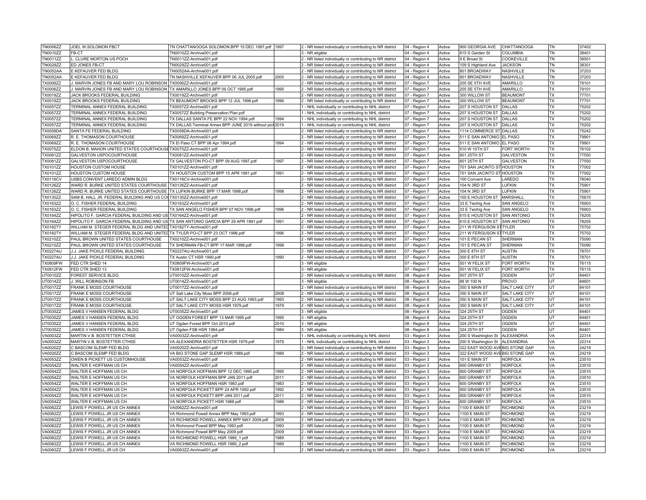| <b>TN0006ZZ</b>      | JOEL W.SOLOMON FBCT                                                                  | TN CHATTANOOGA SOLOMON BPP 15 DEC 1997.pdf 1997              |      | 2 - NR listed individually or contributing to NR district                                                              | 04 - Region 4                  | Active           | 900 GEORGIA AVE                  | CHATTANOOGA                 | TN              | 37402          |
|----------------------|--------------------------------------------------------------------------------------|--------------------------------------------------------------|------|------------------------------------------------------------------------------------------------------------------------|--------------------------------|------------------|----------------------------------|-----------------------------|-----------------|----------------|
| TN0010ZZ             | FB-CT                                                                                | TN0010ZZ-Archive001.pdf                                      |      | 3 - NR eligible                                                                                                        | 04 - Region 4                  | Active           | 815 S Garden St                  | COLUMBIA                    | TN              | 38401          |
| TN0011ZZ             | CLURE MORTON US POCH                                                                 | TN0011ZZ-Archive001.pdf                                      |      | 2 - NR listed individually or contributing to NR district                                                              | 04 - Region 4                  | Active           | 9 E Broad St                     | <b>COOKEVILLE</b>           | TN              | 38501          |
| <b>TN0029ZZ</b>      | ED JONES FB-CT                                                                       | TN0029ZZ-Archive001.pdf                                      |      | 2 - NR listed individually or contributing to NR district                                                              | 04 - Region 4                  | Active           | 109 S Highland Ave               | <b>JACKSON</b>              | <b>TN</b>       | 38301          |
| <b>TN0052AA</b>      | E KEFAUVER FED BLDG                                                                  | TN0052AA-Archive001.pdf                                      |      | 2 - NR listed individually or contributing to NR district                                                              | 04 - Region 4                  | Active           | 801 BROADWAY                     | <b>NASHVILLE</b>            | <b>TN</b>       | 37203          |
| <b>TN0052AA</b>      | E KEFAUVER FED BLDG                                                                  | TN NASHVILLE KEFAUVER BPP 06 JUL 2005.pdf                    | 2005 | 2 - NR listed individually or contributing to NR district                                                              | 04 - Region 4                  | Active           | 801 BROADWAY                     | <b>NASHVILLE</b>            | TN              | 37203          |
| <b>TX0006ZZ</b>      | MARVIN JONES FB AND MARY LOU ROBINSON TX0006ZZ-Archive001.pdf                        |                                                              |      | 2 - NR listed individually or contributing to NR district                                                              | 07 - Region 7                  | Active           | 205 SE 5TH AVE                   | AMARILLO                    | <b>TX</b>       | 79101          |
| <b>TX0006ZZ</b>      | . MARVIN JONES FB AND MARY LOU ROBINSON TX AMARILLO JONES BPP 09 OCT 1995.pdf        |                                                              | 1995 | 2 - NR listed individually or contributing to NR district                                                              | 07 - Region 7                  | Active           | 205 SE 5TH AVE                   | AMARILLO                    | <b>TX</b>       | 79101          |
| <b>TX0019ZZ</b>      | JACK BROOKS FEDERAL BUILDING                                                         | TX0019ZZ-Archive001.pdf                                      |      | 2 - NR listed individually or contributing to NR district                                                              | 07 - Region 7                  | Active           | 300 WILLOW ST                    | <b>BEAUMONT</b>             | <b>TX</b>       | 77701          |
| <b>TX0019ZZ</b>      | JACK BROOKS FEDERAL BUILDING                                                         | TX BEAUMONT BROOKS BPP 12 JUL 1996.pdf                       | 1996 | 2 - NR listed individually or contributing to NR district                                                              | 07 - Region 7                  | Active           | 300 WILLOW ST                    | <b>BEAUMONT</b>             | <b>TX</b>       | 77701          |
| <b>TX0057ZZ</b>      | TERMINAL ANNEX FEDERAL BUILDING                                                      | TX0057ZZ-Archive001.pdf                                      |      | 1 - NHL individually or contributing to NHL district                                                                   | 07 - Region 7                  | Active           | 207 S HOUSTON ST DALLAS          |                             | <b>TX</b>       | 75202          |
| <b>TX0057ZZ</b>      | TERMINAL ANNEX FEDERAL BUILDING                                                      | TX0057ZZ Building Preservation Plan.pdf                      |      | 1 - NHL individually or contributing to NHL district                                                                   | 07 - Region 7                  | Active           | 207 S HOUSTON ST                 | DALLAS                      | <b>TX</b>       | 75202          |
|                      |                                                                                      |                                                              | 1994 |                                                                                                                        |                                |                  |                                  |                             | TX              | 75202          |
| <b>TX0057ZZ</b>      | TERMINAL ANNEX FEDERAL BUILDING                                                      | TX DALLAS SANTA FE BPP 22 NOV 1994.pdf                       |      | 1 - NHL individually or contributing to NHL district                                                                   | 07 - Region 7                  | Active           | 207 S HOUSTON ST DALLAS          |                             |                 |                |
| <b>TX0057ZZ</b>      | TERMINAL ANNEX FEDERAL BUILDING                                                      | TX DALLAS Terminal Annex BPP JUNE 2019 without pict 2019     |      | - NHL individually or contributing to NHL district                                                                     | 07 - Region 7                  | Active           | 207 S HOUSTON ST                 | DALLAS                      | <b>TX</b>       | 75202          |
| <b>TX0058DA</b>      | SANTA FE FEDERAL BUILDING                                                            | TX0058DA-Archive001.pdf                                      |      | 2 - NR listed individually or contributing to NR district                                                              | 07 - Region 7                  | Active           | 1114 COMMERCE ST DALLAS          |                             | TX              | 75242          |
| TX0069ZZ             | R. E. THOMASON COURTHOUSE                                                            | TX0069ZZ-Archive001.pdf                                      |      | 2 - NR listed individually or contributing to NR district                                                              | 07 - Region 7                  | Active           | 511 E SAN ANTONIO EL PASO        |                             | <b>TX</b>       | 79901          |
| TX0069ZZ             | R. E. THOMASON COURTHOUSE                                                            | TX El Paso CT BPP 06 Apr 1994.pdf                            | 1994 | 2 - NR listed individually or contributing to NR district                                                              | 07 - Region 7                  | Active           | 511 E SAN ANTONIO EL PASO        |                             | <b>TX</b>       | 79901          |
| <b>TX0075ZZ</b>      | ELDON B. MAHON UNITED STATES COURTHOUSE TX0075ZZ-Archive001.pdf                      |                                                              |      | 2 - NR listed individually or contributing to NR district                                                              | 07 - Region 7                  | Active           | 510 W 10TH ST                    | FORT WORTH                  | <b>TX</b>       | 76102          |
| TX0081ZZ             | GALVESTON USPOCOURTHOUSE                                                             | TX0081ZZ-Archive001.pdf                                      |      | 2 - NR listed individually or contributing to NR district                                                              | 07 - Region 7                  | Active           | 601 25TH ST                      | <b>GALVESTON</b>            | <b>TX</b>       | 77550          |
| TX0081ZZ             | GALVESTON USPOCOURTHOUSE                                                             | TX GALVESTON PO-CT BPP 09 AUG 1997.pdf                       | 1997 | 2 - NR listed individually or contributing to NR district                                                              | 07 - Region 7                  | Active           | 601 25TH ST                      | <b>GALVESTON</b>            | <b>TX</b>       | 77550          |
| TX0101ZZ             | <b>HOUSTON CUSTOM HOUSE</b>                                                          | TX0101ZZ-Archive001.pdf                                      |      | 2 - NR listed individually or contributing to NR district                                                              | 07 - Region 7                  | Active           | 701 SAN JACINTO ST HOUSTON       |                             | TX              | 77002          |
| <b>TX0101ZZ</b>      | HOUSTON CUSTOM HOUSE                                                                 | TX HOUSTON CUSTOM BPP 15 APR 1991.pdf                        | 1991 | 2 - NR listed individually or contributing to NR district                                                              | 07 - Region 7                  | Active           | 701 SAN JACINTO ST HOUSTON       |                             | <b>TX</b>       | 77002          |
| <b>TX0116CV</b>      | USBS CONVENT LAREDO ADMIN BLDG                                                       | TX0116CV-Archive001.pdf                                      |      | 2 - NR listed individually or contributing to NR district                                                              | 07 - Region 7                  | Active           | 100 Convent Ave                  | LAREDO                      | <b>TX</b>       | 78040          |
| TX0126ZZ             | WARD R. BURKE UNITED STATES COURTHOUSE TX0126ZZ-Archive001.pdf                       |                                                              |      | 2 - NR listed individually or contributing to NR district                                                              | 07 - Region 7                  | Active           | 104 N 3RD ST                     | LUFKIN                      | <b>TX</b>       | 75901          |
| <b>TX0126ZZ</b>      | WARD R. BURKE UNITED STATES COURTHOUSE TX LUFKIN BURKE BPP 17 MAR 1998.pdf           |                                                              | 1998 | 2 - NR listed individually or contributing to NR district                                                              | 07 - Region 7                  | Active           | 104 N 3RD ST                     | <b>LUFKIN</b>               | <b>TX</b>       | 75901          |
| TX0130ZZ             | SAM B. HALL JR. FEDERAL BUILDING AND US COUTX0130ZZ-Archive001.pdf                   |                                                              |      | 2 - NR listed individually or contributing to NR district                                                              | 07 - Region 7                  | Active           | 100 E HOUSTON ST                 | MARSHALL                    | TX              | 75670          |
| <b>TX0163ZZ</b>      | O. C. FISHER FEDERAL BUILDING                                                        | TX0163ZZ-Archive001.pdf                                      |      | 2 - NR listed individually or contributing to NR district                                                              | 07 - Region 7                  | Active           | 33 E Twohig Ave                  | <b>SAN ANGELO</b>           | <b>TX</b>       | 76903          |
| TX0163ZZ             | O. C. FISHER FEDERAL BUILDING                                                        | TX SAN ANGELO FISHER BPP 07 NOV 1996.pdf                     | 1996 | 2 - NR listed individually or contributing to NR district                                                              | 07 - Region 7                  | Active           | 33 E Twohig Ave                  | SAN ANGELO                  | TX              | 76903          |
| TX0164ZZ             | HIPOLITO F. GARCIA FEDERAL BUILDING AND US TX0164ZZ-Archive001.pdf                   |                                                              |      | 2 - NR listed individually or contributing to NR district                                                              | 07 - Region 7                  | Active           | 615 E HOUSTON ST SAN ANTONIO     |                             | <b>TX</b>       | 78205          |
| <b>TX0164ZZ</b>      | HIPOLITO F. GARCIA FEDERAL BUILDING AND US TX SAN ANTONIO GARCIA BPP 29 APR 1991.pdf |                                                              | 1991 | 2 - NR listed individually or contributing to NR district                                                              | 07 - Region 7                  | Active           | 615 E HOUSTON ST SAN ANTONIO     |                             | <b>TX</b>       | 78205          |
| <b>TX0182TY</b>      | WILLIAM M. STEGER FEDERAL BLDG AND UNITED TX0182TY-Archive001.pdf                    |                                                              |      | 2 - NR listed individually or contributing to NR district                                                              | 07 - Region 7                  | Active           | 211 W FERGUSON STITYLER          |                             | <b>TX</b>       | 75702          |
| <b>TX0182TY</b>      | WILLIAM M. STEGER FEDERAL BLDG AND UNITEDTX TYLER PO-CT BPP 23 OCT 1996.pdf          |                                                              | 1996 | 2 - NR listed individually or contributing to NR district                                                              | 07 - Region 7                  | Active           | 211 W FERGUSON STITYLER          |                             | <b>TX</b>       | 75702          |
| <b>TX0210ZZ</b>      | PAUL BROWN UNITED STATES COURTHOUSE                                                  | TX0210ZZ-Archive001.pdf                                      |      | 2 - NR listed individually or contributing to NR district                                                              | 07 - Region 7                  | Active           | 101 E PECAN ST                   | <b>SHERMAN</b>              | <b>TX</b>       | 75090          |
| TX0210ZZ             | PAUL BROWN UNITED STATES COURTHOUSE                                                  | TX SHERMAN FB-CT BPP 17 MAR 1998.pdf                         | 1998 | 2 - NR listed individually or contributing to NR district                                                              | 07 - Region 7                  | Active           | 101 E PECAN ST                   | SHERMAN                     | <b>TX</b>       | 75090          |
|                      |                                                                                      |                                                              |      |                                                                                                                        |                                |                  |                                  |                             |                 |                |
|                      |                                                                                      |                                                              |      |                                                                                                                        |                                |                  |                                  |                             |                 |                |
| <b>TX0227AU</b>      | J.J. JAKE PICKLE FEDERAL BUILDING                                                    | TX0227AU-Archive001.pdf                                      |      | 2 - NR listed individually or contributing to NR district                                                              | 07 - Region 7                  | Active           | 300 E 8TH ST                     | <b>AUSTIN</b>               | <b>TX</b>       | 78701          |
| <b>TX0227AU</b>      | J.J. JAKE PICKLE FEDERAL BUILDING                                                    | TX Austin CT HSR 1990.pdf                                    | 1990 | 2 - NR listed individually or contributing to NR district                                                              | 07 - Region 7                  | Active           | 300 E 8TH ST                     | <b>AUSTIN</b>               | <b>TX</b>       | 78701          |
| <b>TX0809FW</b>      | FED CTR SHED 14                                                                      | TX0809FW-Archive001.pdf                                      |      | 3 - NR eligible                                                                                                        | 07 - Region 7                  | Active           | 501 W FELIX ST                   | <b>FORT WORTH</b>           | <b>TX</b>       | 76115          |
| TX0812FW             | FED CTR SHED 13                                                                      | TX0812FW-Archive001.pdf                                      |      | 3 - NR eligible                                                                                                        | 07 - Region 7                  | Active           | 501 W FELIX ST                   | FORT WORTH                  | <b>TX</b>       | 76115          |
| UT0010ZZ             | FOREST SERVICE BLDG                                                                  | UT0010ZZ-Archive001.pdf                                      |      | 2 - NR listed individually or contributing to NR district                                                              | 08 - Region 8                  | Active           | 507 25TH ST                      | <b>OGDEN</b>                | UT              | 84401          |
| UT0014ZZ             | . WILL ROBINSON FB                                                                   | UT0014ZZ-Archive001.pdf                                      |      | 3 - NR eligible                                                                                                        | 08 - Region 8                  | Active           | 88 W 100 N                       | <b>PROVO</b>                | UT              | 84601          |
| UT0017ZZ             | FRANK E MOSS COURTHOUSE                                                              | UT0017ZZ-Archive001.pdf                                      |      | 2 - NR listed individually or contributing to NR district                                                              | 08 - Region 8                  | Active           | 350 S MAIN ST                    | SALT LAKE CITY              | UT              | 84101          |
| <b>UT0017ZZ</b>      | FRANK E MOSS COURTHOUSE                                                              | UT Salt Lake City Moss BPP 2008.pdf                          | 2008 | 2 - NR listed individually or contributing to NR district                                                              | 08 - Region 8                  | Active           | 350 S MAIN ST                    | SALT LAKE CITY              | UT              | 84101          |
| UT0017ZZ             | FRANK E MOSS COURTHOUSE                                                              | UT SALT LAKE CITY MOSS BPP 23 AUG 1993.pdf                   | 1993 | 2 - NR listed individually or contributing to NR district                                                              | 08 - Region 8                  | Active           | 350 S MAIN ST                    | SALT LAKE CITY              | UT              | 84101          |
| UT0017ZZ             | FRANK E MOSS COURTHOUSE                                                              | UT SALT LAKE CITY MOSS HSR 1979.pdf                          | 1979 | 2 - NR listed individually or contributing to NR district                                                              | 08 - Region 8                  | Active           | 350 S MAIN ST                    | SALT LAKE CITY              | UT              | 84101          |
| UT0035ZZ             | JAMES V HANSEN FEDERAL BLDG                                                          | JT0035ZZ-Archive001.pdf                                      |      | 3 - NR eligible                                                                                                        | 08 - Region 8                  | Active           | 324 25TH ST                      | <b>OGDEN</b>                | lut             | 84401          |
| UT0035ZZ             | JAMES V HANSEN FEDERAL BLDG                                                          | UT OGDEN FOREST BPP 13 MAR 1995.pdf                          | 1995 | 3 - NR eligible                                                                                                        | 08 - Region 8                  | Active           | 324 25TH ST                      | <b>OGDEN</b>                | lut             | 84401          |
| UT0035ZZ             | JAMES V HANSEN FEDERAL BLDG                                                          | UT Ogden Forest BPP Oct 2010.pdf                             | 2010 | 3 - NR eligible                                                                                                        | 08 - Region 8                  | Active           | 324 25TH ST                      | <b>OGDEN</b>                | lut             | 84401          |
| UT0035ZZ             | JAMES V HANSEN FEDERAL BLDG                                                          | UT Ogden FSB HSR 1984.pdf                                    | 1984 | 3 - NR eligible                                                                                                        | 08 - Region 8                  | Active           | 324 25TH ST                      | <b>OGDEN</b>                | lut             | 84401          |
| VA0003ZZ             | MARTIN V.B. BOSTETTER CTHSE                                                          | VA0003ZZ-Archive001.pdf                                      |      | 1 - NHL individually or contributing to NHL district                                                                   | 03 - Region 3                  | Active           | 200 S Washington St ALEXANDRIA   |                             | <b>VA</b>       | 22314          |
| VA0003ZZ             | MARTIN V.B. BOSTETTER CTHSE                                                          | VA ALEXANDRIA BOSTETTER HSR 1979.pdf                         | 1979 | 1 - NHL individually or contributing to NHL district                                                                   | 03 - Region 3                  | Active           | 200 S Washington St   ALEXANDRIA |                             | <b>VA</b>       | 22314          |
| VA0020ZZ             | C BASCOM SLEMP FED BLDG                                                              | VA0020ZZ-Archive001.pdf                                      |      | 2 - NR listed individually or contributing to NR district                                                              | 03 - Region 3                  | Active           | 322 EAST WOOD AVEBIG STONE GAP   |                             | VA              | 24219          |
| VA0020ZZ             | C BASCOM SLEMP FED BLDG                                                              | VA BIG STONE GAP SLEMP HSR 1989.pdf                          | 1989 | 2 - NR listed individually or contributing to NR district                                                              | 03 - Region 3                  | Active           | 322 EAST WOOD AVEBIG STONE GAP   |                             | <b>VA</b>       | 24219          |
| VA0053ZZ             | OWEN B PICKETT US CUSTOMHOUSE                                                        | VA0053ZZ-Archive001.pdf                                      |      | 2 - NR listed individually or contributing to NR district                                                              | 03 - Region 3                  | Active           | 101 E MAIN ST                    | NORFOLK                     | VA              | 23510          |
| <b>VA0054ZZ</b>      | WALTER E HOFFMAN US CH                                                               | VA0054ZZ-Archive001.pdf                                      |      | 2 - NR listed individually or contributing to NR district                                                              | 03 - Region 3                  | Active           | 600 GRANBY ST                    | NORFOLK                     | VA              | 23510          |
| <b>VA0054ZZ</b>      | WALTER E HOFFMAN US CH                                                               | VA NORFOLK HOFFMAN BPP 12 DEC 1995.pdf                       | 1995 | 2 - NR listed individually or contributing to NR district                                                              | 03 - Region 3                  | Active           | 600 GRANBY ST                    | <b>NORFOLK</b>              | VA              | 23510          |
| VA0054ZZ             | WALTER E HOFFMAN US CH                                                               | VA NORFOLK HOFFMAN BPP JAN 2011.pdf                          | 2011 | 2 - NR listed individually or contributing to NR district                                                              | 03 - Region 3                  | Active           | 600 GRANBY ST                    | <b>NORFOLK</b>              | VA              | 23510          |
| VA0054ZZ             | WALTER E HOFFMAN US CH                                                               | VA NORFOLK HOFFMAN HSR 1983.pdf                              | 1983 | 2 - NR listed individually or contributing to NR district                                                              | 03 - Region 3                  | Active           | 600 GRANBY ST                    | <b>NORFOLK</b>              | <b>VA</b>       | 23510          |
| VA0054ZZ             | WALTER E HOFFMAN US CH                                                               | VA NORFOLK PICKETT BPP 24 APR 1992.pdf                       | 1992 | 2 - NR listed individually or contributing to NR district                                                              | 03 - Region 3                  | Active           | 600 GRANBY ST                    | <b>NORFOLK</b>              | <b>VA</b>       | 23510          |
| VA0054ZZ             | WALTER E HOFFMAN US CH                                                               | VA NORFOLK PICKETT BPP JAN 2011.pdf                          | 2011 | 2 - NR listed individually or contributing to NR district                                                              | 03 - Region 3                  | Active           | 600 GRANBY ST                    | <b>NORFOLK</b>              | VA              | 23510          |
| VA0054ZZ             | WALTER E HOFFMAN US CH                                                               | VA NORFOLK PICKETT HSR 1988.pdf                              | 1988 | 2 - NR listed individually or contributing to NR district                                                              | 03 - Region 3                  | Active           | 600 GRANBY ST                    | <b>NORFOLK</b>              | <b>VA</b>       | 23510          |
| VA0062ZZ             | LEWIS F POWELL JR US CH ANNEX                                                        |                                                              |      |                                                                                                                        |                                | Active           | 1100 E MAIN ST                   |                             | <b>VA</b>       | 23219          |
|                      |                                                                                      | VA0062ZZ-Archive001.pdf                                      | 1993 | 2 - NR listed individually or contributing to NR district                                                              | 03 - Region 3                  | Active           | 1100 E MAIN ST                   | RICHMOND<br><b>RICHMOND</b> | <b>VA</b>       |                |
| VA0062ZZ             | LEWIS F POWELL JR US CH ANNEX                                                        | VA Richmond Powell Annex BPP May 1993.pdf                    | 2009 | 2 - NR listed individually or contributing to NR district                                                              | 03 - Region 3                  | Active           |                                  | <b>RICHMOND</b>             | <b>VA</b>       | 23219<br>23219 |
| VA0062ZZ             | LEWIS F POWELL JR US CH ANNEX                                                        | VA RICHMOND POWELL ANNEX BPP MAY 2009.pdf                    |      | 2 - NR listed individually or contributing to NR district                                                              | 03 - Region 3                  |                  | 1100 E MAIN ST                   |                             |                 |                |
| VA0062ZZ             | LEWIS F POWELL JR US CH ANNEX                                                        | VA Richmond Powell BPP May 1993.pdf                          | 1993 | 2 - NR listed individually or contributing to NR district                                                              | 03 - Region 3                  | Active           | 1100 E MAIN ST                   | RICHMOND                    | VA              | 23219          |
| VA0062ZZ             | LEWIS F POWELL JR US CH ANNEX                                                        | VA Richmond Powell BPP May 2009.pdf                          | 2009 | 2 - NR listed individually or contributing to NR district                                                              | 03 - Region 3                  | Active           | 1100 E MAIN ST                   | <b>RICHMOND</b>             | VA              | 23219          |
| VA0062ZZ             | LEWIS F POWELL JR US CH ANNEX                                                        | VA RICHMOND POWELL HSR 1989_1.pdf                            | 1989 | 2 - NR listed individually or contributing to NR district                                                              | 03 - Region 3                  | Active           | 1100 E MAIN ST                   | <b>RICHMOND</b>             | VA              | 23219          |
| VA0062ZZ<br>VA0063ZZ | LEWIS F POWELL JR US CH ANNEX<br>LEWIS F POWELL JR US CH                             | VA RICHMOND POWELL HSR 1989_2.pdf<br>VA0063ZZ-Archive001.pdf | 1989 | 2 - NR listed individually or contributing to NR district<br>2 - NR listed individually or contributing to NR district | 03 - Region 3<br>03 - Region 3 | Active<br>Active | 1100 E MAIN ST<br>1000 E MAIN ST | <b>RICHMOND</b><br>RICHMOND | VA<br><b>VA</b> | 23219<br>23219 |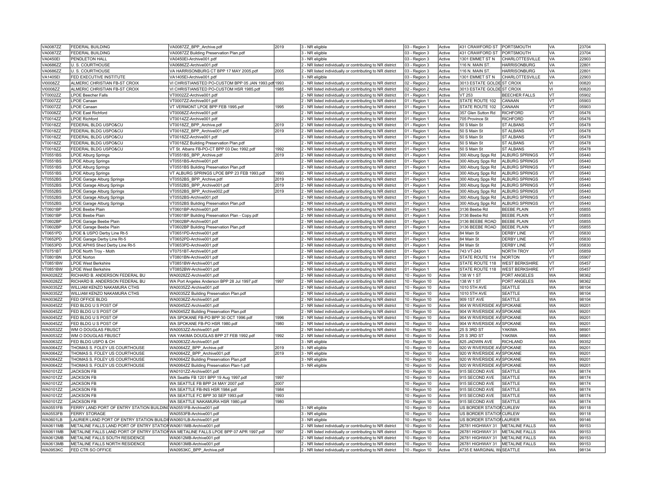| <b>VA0087ZZ</b>                    | <b>FEDERAL BUILDING</b>                                                             | VA0087ZZ_BPP_Archive.pdf                                | 2019         | 3 - NR eligible                                           | 03 - Region 3                    | Active           | 431 CRAWFORD ST                   | PORTSMOUTH             | VA        | 23704          |
|------------------------------------|-------------------------------------------------------------------------------------|---------------------------------------------------------|--------------|-----------------------------------------------------------|----------------------------------|------------------|-----------------------------------|------------------------|-----------|----------------|
| <b>VA0087ZZ</b>                    | FEDERAL BUILDING                                                                    | VA0087ZZ Building Preservation Plan.pdf                 |              | 3 - NR eligible                                           | 03 - Region 3                    | Active           | 431 CRAWFORD ST                   | PORTSMOUTH             | VA        | 23704          |
| <b>VA0450EI</b>                    | PENDLETON HALL                                                                      | VA0450El-Archive001.pdf                                 |              | 3 - NR eligible                                           | 03 - Region 3                    | Active           | 1301 EMMET ST N                   | CHARLOTTESVILLE        | VA        | 22903          |
| VA0686ZZ                           | U. S. COURTHOUSE                                                                    | VA0686ZZ-Archive001.pdf                                 |              | 2 - NR listed individually or contributing to NR district | 03 - Region 3                    | Active           | 116 N. MAIN ST                    | <b>HARRISONBURG</b>    | VA        | 22801          |
| VA0686ZZ                           | U. S. COURTHOUSE                                                                    | VA HARRISONBURG CT BPP 17 MAY 2005.pdf                  | 2005         | 2 - NR listed individually or contributing to NR district | 03 - Region 3                    | Active           | 116 N. MAIN ST                    | <b>HARRISONBURG</b>    | VA        | 22801          |
| <b>VA1405EI</b>                    | FED EXECUTIVE INSTITUTE                                                             | VA1405EI-Archive001.pdf                                 |              | 3 - NR eligible                                           | 03 - Region 3                    | Active           | 1301 EMMET ST N                   | <b>CHARLOTTESVILLE</b> | <b>VA</b> | 22903          |
| VI0008ZZ                           | ALMERIC CHRISTIAN FB-ST CROIX                                                       | VI CHRISTIANSTED PO-CUSTOM BPP 05 JAN 1993.pdf 1993     |              | 2 - NR listed individually or contributing to NR district | 02 - Region 2                    | Active           | 3013 ESTATE GOLDEST CROIX         |                        | VI.       | 00820          |
| VI0008ZZ                           | ALMERIC CHRISTIAN FB-ST CROIX                                                       | VI CHRISTIANSTED PO-CUSTOM HSR 1985.pdf                 | 1985         | 2 - NR listed individually or contributing to NR district | 02 - Region 2                    | Active           | 3013 ESTATE GOLDE ST CROIX        |                        | ΙVΙ       | 00820          |
| VT0002ZZ                           | <b>LPOE Beecher Falls</b>                                                           | VT0002ZZ-Archive001.pdf                                 |              | 2 - NR listed individually or contributing to NR district | 01 - Region 1                    | Active           | <b>VT 253</b>                     | BEECHER FALLS          | <b>VT</b> | 05902          |
| VT0007ZZ                           | LPOE Canaan                                                                         | VT0007ZZ-Archive001.pdf                                 |              | 2 - NR listed individually or contributing to NR district | 01 - Region 1                    | Active           | STATE ROUTE 102                   | CANAAN                 | VT        | 05903          |
| VT0007ZZ                           | LPOE Canaan                                                                         | VT VERMONT LPOE BPP FEB 1995.pdf                        | 1995         | 2 - NR listed individually or contributing to NR district | 01 - Region 1                    | Active           | STATE ROUTE 102                   | CANAAN                 | lvt       | 05903          |
| VT0008ZZ                           | <b>LPOE East Richford</b>                                                           | VT0008ZZ-Archive001.pdf                                 |              | - NR listed individually or contributing to NR district   | 01 - Region 1                    | Active           | 357 Glen Sutton Rd                | <b>RICHFORD</b>        | <b>VT</b> | 05476          |
| VT0014ZZ                           | <b>LPOE Richford</b>                                                                | /T0014ZZ-Archive001.pdf                                 |              | NR listed individually or contributing to NR district     | 01 - Region 1                    | Active           | 705 Province St                   | <b>RICHFORD</b>        | VT        | 05476          |
| VT0018ZZ                           | FEDERAL BLDG USPO&CU                                                                | /T0018ZZ_BPP_Archive.pdf                                | 2019         | - NR listed individually or contributing to NR district   | 01 - Region 1                    | Active           | 50 S Main St                      | <b>ST ALBANS</b>       | lvt       | 05478          |
| VT0018ZZ                           | FEDERAL BLDG USPO&CU                                                                | VT0018ZZ_BPP_Archive001.pdf                             | 2019         |                                                           | 01 - Region 1                    | Active           | 50 S Main St                      | <b>ST ALBANS</b>       | <b>VT</b> | 05478          |
| VT0018ZZ                           | FEDERAL BLDG USPO&CU                                                                |                                                         |              | 2 - NR listed individually or contributing to NR district |                                  |                  | 50 S Main St                      | ST ALBANS              | VT        | 05478          |
|                                    |                                                                                     | VT0018ZZ-Archive001.pdf                                 |              | 2 - NR listed individually or contributing to NR district | 01 - Region 1                    | Active           |                                   | <b>ST ALBANS</b>       | VT        |                |
| VT0018ZZ                           | FEDERAL BLDG USPO&CU                                                                | VT0018ZZ Building Preservation Plan.pdf                 |              | 2 - NR listed individually or contributing to NR district | 01 - Region 1                    | Active           | 50 S Main St                      |                        |           | 05478          |
| VT0018ZZ                           | FEDERAL BLDG USPO&CU                                                                | VT St. Albans FB-PO-CT BPP 03 Dec 1992.pdf              | 1992         | 2 - NR listed individually or contributing to NR district | 01 - Region 1                    | Active           | 50 S Main St                      | <b>ST ALBANS</b>       | <b>VT</b> | 05478          |
| VT0551BS                           | <b>LPOE Alburg Springs</b>                                                          | VT0551BS BPP Archive.pdf                                | 2019         | - NR listed individually or contributing to NR district   | 01 - Region 1                    | Active           | 300 Alburg Spgs Rd                | <b>ALBURG SPRINGS</b>  | lvt       | 05440          |
| VT0551BS                           | <b>LPOE Alburg Springs</b>                                                          | VT0551BS-Archive001.pdf                                 |              | 2 - NR listed individually or contributing to NR district | 01 - Region 1                    | Active           | 300 Alburg Spgs Rd                | <b>ALBURG SPRINGS</b>  | VT        | 05440          |
| VT0551BS                           | <b>LPOE Alburg Springs</b>                                                          | VT0551BS Building Preservation Plan.pdf                 |              | 2 - NR listed individually or contributing to NR district | 01 - Region 1                    | Active           | 300 Alburg Spgs Rd                | ALBURG SPRINGS         | lvt       | 05440          |
| VT0551BS                           | <b>LPOE Alburg Springs</b>                                                          | VT ALBURG SPRINGS LPOE BPP 23 FEB 1993.pdf              | 1993         | 2 - NR listed individually or contributing to NR district | 01 - Region 1                    | Active           | 300 Alburg Spgs Rd                | ALBURG SPRINGS         | VT        | 05440          |
| VT0552BS                           | LPOE Garage Alburg Springs                                                          | VT0552BS BPP Archive.pdf                                | 2019         | - NR listed individually or contributing to NR district   | 01 - Region 1                    | Active           | 300 Alburg Spgs Rd                | ALBURG SPRINGS         | <b>VT</b> | 05440          |
| <b>VT0552BS</b>                    | LPOE Garage Alburg Springs                                                          | /T0552BS BPP Archive001.pdf                             | 2019         | - NR listed individually or contributing to NR district   | 01 - Region 1                    | Active           | 300 Alburg Spgs Rd                | ALBURG SPRINGS         | lvt       | 05440          |
| VT0552BS                           | LPOE Garage Alburg Springs                                                          | VT0552BS_BPP_Archive002.pdf                             | 2019         | 2 - NR listed individually or contributing to NR district | 01 - Region 1                    | Active           | 300 Alburg Spgs Rd                | ALBURG SPRINGS         | VT        | 05440          |
| VT0552BS                           | LPOE Garage Alburg Springs                                                          | VT0552BS-Archive001.pdf                                 |              | 2 - NR listed individually or contributing to NR district | 01 - Region 1                    | Active           | 300 Alburg Spgs Rd                | ALBURG SPRINGS         | VT        | 05440          |
| VT0552BS                           | LPOE Garage Alburg Springs                                                          | VT0552BS Building Preservation Plan.pdf                 |              | 2 - NR listed individually or contributing to NR district | 01 - Region 1                    | Active           | 300 Alburg Spgs Rd                | <b>ALBURG SPRINGS</b>  | VT        | 05440          |
| VT0601BP                           | LPOE Beebe Plain                                                                    | /T0601BP-Archive001.pdf                                 |              | NR listed individually or contributing to NR district     | 01 - Region 1                    | Active           | 3136 Beebe Rd                     | <b>BEEBE PLAIN</b>     | VT        | 05855          |
| VT0601BP                           | <b>LPOE Beebe Plain</b>                                                             | VT0601BP Building Preservation Plan - Copy.pdf          |              | - NR listed individually or contributing to NR district   | 01 - Region 1                    | Active           | 3136 Beebe Rd                     | <b>BEEBE PLAIN</b>     | VT        | 05855          |
| VT0602BP                           | LPOE Garage Beebe Plain                                                             | VT0602BP-Archive001.pdf                                 |              | 2 - NR listed individually or contributing to NR district | 01 - Region 1                    | Active           | 3136 BEEBE ROAD                   | <b>BEEBE PLAIN</b>     | lvt       | 05855          |
| VT0602BP                           | LPOE Garage Beebe Plain                                                             | VT0602BP Building Preservation Plan.pdf                 |              | 2 - NR listed individually or contributing to NR district | 01 - Region 1                    | Active           | 3136 BEEBE ROAD                   | <b>BEEBE PLAIN</b>     | VT        | 05855          |
| VT0651PD                           | LPOE & USPO Derby Line Rt-5                                                         | VT0651PD-Archive001.pdf                                 |              | 2 - NR listed individually or contributing to NR district | 01 - Region 1                    | Active           | 84 Main St                        | <b>DERBY LINE</b>      | lvt       | 05830          |
| VT0652PD                           | LPOE Garage Derby Line Rt-5                                                         | VT0652PD-Archive001.pdf                                 |              | NR listed individually or contributing to NR district     | 01 - Region 1                    | Active           | 84 Main St                        | <b>DERBY LINE</b>      | VT        | 05830          |
| VT0653PD                           | LPOE APHIS Shed Derby Line Rt-5                                                     | /T0653PD-Archive001.pdf                                 |              | NR listed individually or contributing to NR district     | 01 - Region 1                    | Active           | 84 Main St                        | <b>DERBY LINE</b>      | lvt       | 05830          |
| VT0751BT                           | LPOE North Troy - Moth                                                              | VT0751BT-Archive001.pdf                                 |              | 2 - NR listed individually or contributing to NR district | 01 - Region 1                    | Active           | 743 VT-243                        | <b>NORTH TROY</b>      | <b>VT</b> | 05859          |
| VT0801BN                           | <b>LPOE Norton</b>                                                                  | VT0801BN-Archive001.pdf                                 |              | 2 - NR listed individually or contributing to NR district | 01 - Region 1                    | Active           | STATE ROUTE 114                   | NORTON                 | lvt       | 05907          |
| <b>VT0851BW</b>                    | <b>LPOE West Berkshire</b>                                                          | VT0851BW-Archive001.pdf                                 |              | 2 - NR listed individually or contributing to NR district | 01 - Region 1                    | Active           | <b>STATE ROUTE 118</b>            | <b>WEST BERKSHIRE</b>  | lvt       | 05457          |
| VT0851BW                           | <b>LPOE West Berkshire</b>                                                          | VT0852BW-Archive001.pdf                                 |              | 2 - NR listed individually or contributing to NR district | 01 - Region 1                    | Active           | STATE ROUTE 118                   | <b>WEST BERKSHIRE</b>  | VT        | 05457          |
| <b>WA0028ZZ</b>                    | RICHARD B. ANDERSON FEDERAL BU                                                      | WA0028ZZ-Archive001.pdf                                 |              | - NR listed individually or contributing to NR district   | 10 - Region 10                   | Active           | 138 W 1 ST                        | PORT ANGELES           | <b>WA</b> | 98362          |
| WA0028ZZ                           | RICHARD B. ANDERSON FEDERAL BU                                                      | WA Port Angeles Anderson BPP 28 Jul 1997.pdf            | 1997         | 2 - NR listed individually or contributing to NR district | 10 - Region 10                   | Active           | 138 W 1 ST                        | PORT ANGELES           | <b>WA</b> | 98362          |
| <b>WA0035ZZ</b>                    | WILLIAM KENZO NAKAMURA CTHS                                                         | WA0035ZZ-Archive001.pdf                                 |              | 2 - NR listed individually or contributing to NR district | 10 - Region 10                   | Active           | 1010 5TH AVE                      | SEATTLE                | <b>WA</b> | 98104          |
| <b>WA0035ZZ</b>                    | WILLIAM KENZO NAKAMURA CTHS                                                         | WA0035ZZ Building Preservation Plan.pdf                 |              | 2 - NR listed individually or contributing to NR district | 10 - Region 10                   | Active           | 1010 5TH AVE                      | <b>SEATTLE</b>         | WA        | 98104          |
| WA0036ZZ                           | FED OFFICE BLDG                                                                     | WA0036ZZ-Archive001.pdf                                 |              | - NR listed individually or contributing to NR district   | 10 - Region 10                   | Active           | 909 1ST AVE                       | SEATTLE                | WA        | 98104          |
| <b>WA0045ZZ</b>                    | FED BLDG U S POST OF                                                                | WA0045ZZ-Archive001.pdf                                 |              | NR listed individually or contributing to NR district     | 10 - Region 10                   | Active           | 904 W RIVERSIDE AV SPOKANE        |                        | <b>WA</b> | 99201          |
| <b>WA0045ZZ</b>                    | FED BLDG U S POST OF                                                                | WA0045ZZ Building Preservation Plan.pdf                 |              | - NR listed individually or contributing to NR district   | 10 - Region 10                   | Active           | 904 W RIVERSIDE AV SPOKANE        |                        | <b>WA</b> | 99201          |
| <b>WA0045ZZ</b>                    | FED BLDG U S POST OF                                                                | WA SPOKANE FB-PO BPP 30 OCT 1996.pdf                    | 1996         | 2 - NR listed individually or contributing to NR district | 10 - Region 10                   | Active           | 904 W RIVERSIDE AV SPOKANE        |                        | WA        | 99201          |
| <b>WA0045ZZ</b>                    | FED BLDG U S POST OF                                                                | WA SPOKANE FB-PO HSR 1980.pdf                           | 1980         | 2 - NR listed individually or contributing to NR district | 10 - Region 10                   | Active           | 904 W RIVERSIDE AV SPOKANE        |                        | <b>WA</b> | 99201          |
| <b>WA0053ZZ</b>                    | WM O DOUGLAS FBUSCT                                                                 | WA0053ZZ-Archive001.pdf                                 |              | 2 - NR listed individually or contributing to NR district | 10 - Region 10                   | Active           | 25 S 3RD ST                       | YAKIMA                 | <b>WA</b> | 98901          |
| <b>WA0053ZZ</b>                    | WM O DOUGLAS FBUSCT                                                                 | WA YAKIMA DOUGLAS BPP 27 FEB 1992.pdf                   | 1992         | 2 - NR listed individually or contributing to NR district | 10 - Region 10                   | Active           | 25 S 3RD ST                       | YAKIMA                 | <b>WA</b> | 98901          |
| WA0063ZZ                           | FED BLDG USPO & CH                                                                  | WA0063ZZ-Archive001.pdf                                 |              | 3 - NR eligible                                           | 10 - Region 10                   | Active           | 825 JADWIN AVE                    | RICHLAND               | <b>WA</b> | 99352          |
|                                    |                                                                                     |                                                         |              |                                                           |                                  |                  | 920 W RIVERSIDE AV SPOKANE        |                        | <b>WA</b> | 99201          |
| <b>WA0064ZZ</b><br><b>WA0064ZZ</b> | THOMAS S. FOLEY US COURTHOUSE<br>THOMAS S. FOLEY US COURTHOUSE                      | WA0064ZZ_BPP_Archive.pdf<br>WA0064ZZ_BPP_Archive001.pdf | 2019<br>2019 | 3 - NR eligible<br>3 - NR eligible                        | 10 - Region 10<br>10 - Region 10 | Active<br>Active | 920 W RIVERSIDE AV SPOKANE        |                        | WA        | 99201          |
|                                    |                                                                                     |                                                         |              |                                                           |                                  |                  |                                   |                        | <b>WA</b> |                |
| <b>WA0064ZZ</b>                    | THOMAS S. FOLEY US COURTHOUSE                                                       | WA0064ZZ Building Preservation Plan.pdf                 |              | 3 - NR eligible                                           | 10 - Region 10                   | Active<br>Active | 920 W RIVERSIDE AV SPOKANE        |                        | <b>WA</b> | 99201<br>99201 |
| <b>WA0064ZZ</b>                    | THOMAS S. FOLEY US COURTHOUSE<br><b>JACKSON FB</b>                                  | WA0064ZZ Building Preservation Plan-1.pdf               |              | 3 - NR eligible                                           | 10 - Region 10                   |                  | 920 W RIVERSIDE AV SPOKANE        |                        | <b>WA</b> | 98174          |
| WA0101ZZ                           |                                                                                     | WA0101ZZ-Archive001.pdf                                 |              |                                                           | 10 - Region 10                   | Active           | 915 SECOND AVE                    | <b>SEATTLE</b>         |           |                |
| WA0101ZZ                           | <b>JACKSON FB</b>                                                                   | WA Seattle FB 1201 BPP 19 Aug 1997.pdf                  | 1997         |                                                           | 10 - Region 10                   | Active           | 915 SECOND AVE                    | <b>SEATTLE</b>         | WA        | 98174          |
| WA0101ZZ                           | <b>JACKSON FB</b>                                                                   | WA SEATTLE FB BPP 24 MAY 2007.pdf                       | 2007         |                                                           | 10 - Region 10                   | Active           | 915 SECOND AVE                    | <b>SEATTLE</b>         | WA        | 98174          |
| WA0101ZZ                           | <b>JACKSON FB</b>                                                                   | WA SEATTLE FB-INS HSR 1984.pdf                          | 1984         |                                                           | 10 - Region 10                   | Active           | 915 SECOND AVE                    | SEATTLE                | <b>WA</b> | 98174          |
| WA0101ZZ                           | <b>JACKSON FB</b>                                                                   | WA SEATTLE FC BPP 30 SEP 1993.pdf                       | 1993         |                                                           | 10 - Region 10                   | Active           | 915 SECOND AVE                    | SEATTLE                | <b>WA</b> | 98174          |
| WA0101ZZ                           | <b>JACKSON FB</b>                                                                   | WA SEATTLE NAKAMURA HSR 1980.pdf                        | 1980         |                                                           | 10 - Region 10                   | Active           | 915 SECOND AVE                    | SEATTLE                | <b>WA</b> | 98174          |
| <b>WA0551FB</b>                    | FERRY LAND PORT OF ENTRY STATION BUILDING WA0551FB-Archive001.pdf                   |                                                         |              | 3 - NR eligible                                           | 10 - Region 10                   | Active           | US BORDER STATION CURLEW          |                        | <b>WA</b> | 99118          |
| <b>WA0553FB</b>                    | <b>FERRY STORAGE</b>                                                                | WA0553FB-Archive001.pdf                                 |              | 3 - NR eligible                                           | 10 - Region 10                   | Active           | US BORDER STATION CURLEW          |                        | <b>WA</b> | 99118          |
| <b>WA0601LB</b>                    | LAURIER LAND PORT OF ENTRY STATION BUILDINWA0601LB-Archive001.pdf                   |                                                         |              | 3 - NR eligible                                           | 10 - Region 10                   | Active           | US BORDER STATION LAURIER         |                        | <b>WA</b> | 99146          |
| <b>WA0611MB</b>                    | METALINE FALLS LAND PORT OF ENTRY STATION WA0611MB-Archive001.pdf                   |                                                         |              | - NR listed individually or contributing to NR district   | 10 - Region 10                   | Active           | 26781 HIGHWAY 31   METALINE FALLS |                        | <b>WA</b> | 99153          |
| WA0611MB                           | METALINE FALLS LAND PORT OF ENTRY STATIONWA METALINE FALLS LPOE BPP 07 APR 1997.pdf |                                                         | 1997         | - NR listed individually or contributing to NR district   | 10 - Region 10                   | Active           | 26781 HIGHWAY 31   METALINE FALLS |                        | <b>WA</b> | 99153          |
| WA0612MB                           | METALINE FALLS SOUTH RESIDENCE                                                      | WA0612MB-Archive001.pdf                                 |              | 2 - NR listed individually or contributing to NR district | 10 - Region 10                   | Active           | 26781 HIGHWAY 31   METALINE FALLS |                        | <b>WA</b> | 99153          |
| WA0613MB                           | METALINE FALLS NORTH RESIDENCE                                                      | WA0613MB-Archive001.pdf                                 |              | 2 - NR listed individually or contributing to NR district | 10 - Region 10                   | Active           | 26781 HIGHWAY 31   METALINE FALLS |                        | <b>WA</b> | 99153          |
| <b>WA0953KC</b>                    | FED CTR SO OFFICE                                                                   | WA0953KC BPP Archive.pdf                                |              | 2 - NR listed individually or contributing to NR district | 10 - Region 10                   | Active           | 4735 E MARGINAL W/SEATTLE         |                        | <b>WA</b> | 98134          |